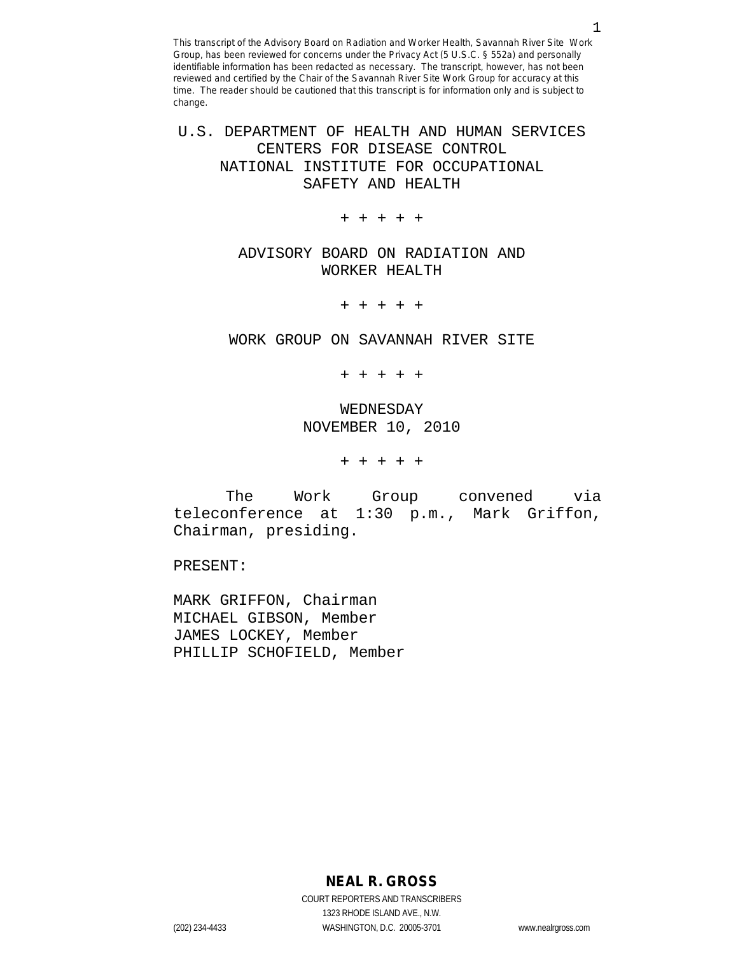U.S. DEPARTMENT OF HEALTH AND HUMAN SERVICES CENTERS FOR DISEASE CONTROL NATIONAL INSTITUTE FOR OCCUPATIONAL SAFETY AND HEALTH

+ + + + +

ADVISORY BOARD ON RADIATION AND WORKER HEALTH

+ + + + +

WORK GROUP ON SAVANNAH RIVER SITE

+ + + + +

WEDNESDAY NOVEMBER 10, 2010

+ + + + +

The Work Group convened via teleconference at 1:30 p.m., Mark Griffon, Chairman, presiding.

PRESENT:

MARK GRIFFON, Chairman MICHAEL GIBSON, Member JAMES LOCKEY, Member PHILLIP SCHOFIELD, Member

**NEAL R. GROSS**

COURT REPORTERS AND TRANSCRIBERS 1323 RHODE ISLAND AVE., N.W. (202) 234-4433 WASHINGTON, D.C. 20005-3701 www.nealrgross.com

1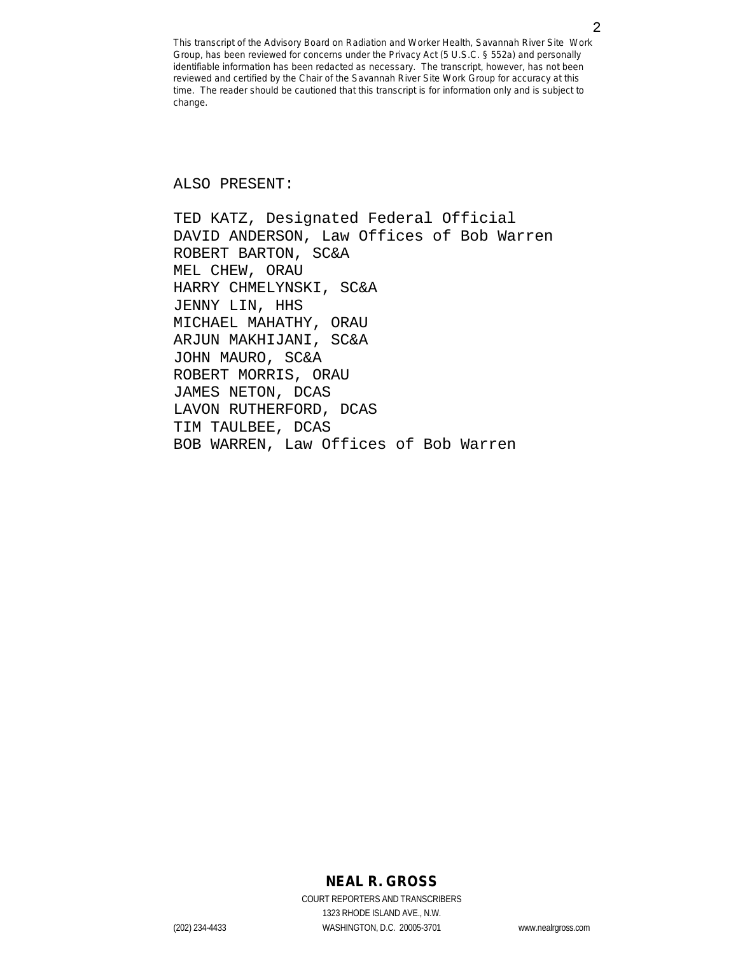ALSO PRESENT:

TED KATZ, Designated Federal Official DAVID ANDERSON, Law Offices of Bob Warren ROBERT BARTON, SC&A MEL CHEW, ORAU HARRY CHMELYNSKI, SC&A JENNY LIN, HHS MICHAEL MAHATHY, ORAU ARJUN MAKHIJANI, SC&A JOHN MAURO, SC&A ROBERT MORRIS, ORAU JAMES NETON, DCAS LAVON RUTHERFORD, DCAS TIM TAULBEE, DCAS BOB WARREN, Law Offices of Bob Warren

# **NEAL R. GROSS**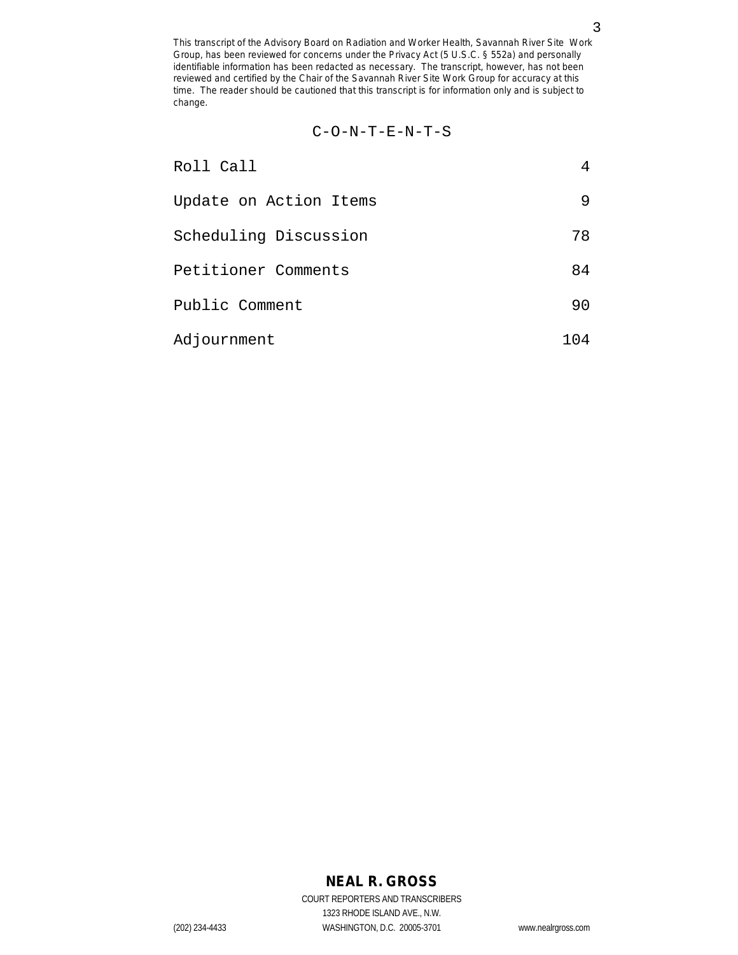$$
C-O-N-T-E-N-T-S
$$

| Roll Call              |     |
|------------------------|-----|
| Update on Action Items | 9   |
| Scheduling Discussion  | 78  |
| Petitioner Comments    | 84  |
| Public Comment         | 90  |
| Adjournment            | 104 |

# **NEAL R. GROSS**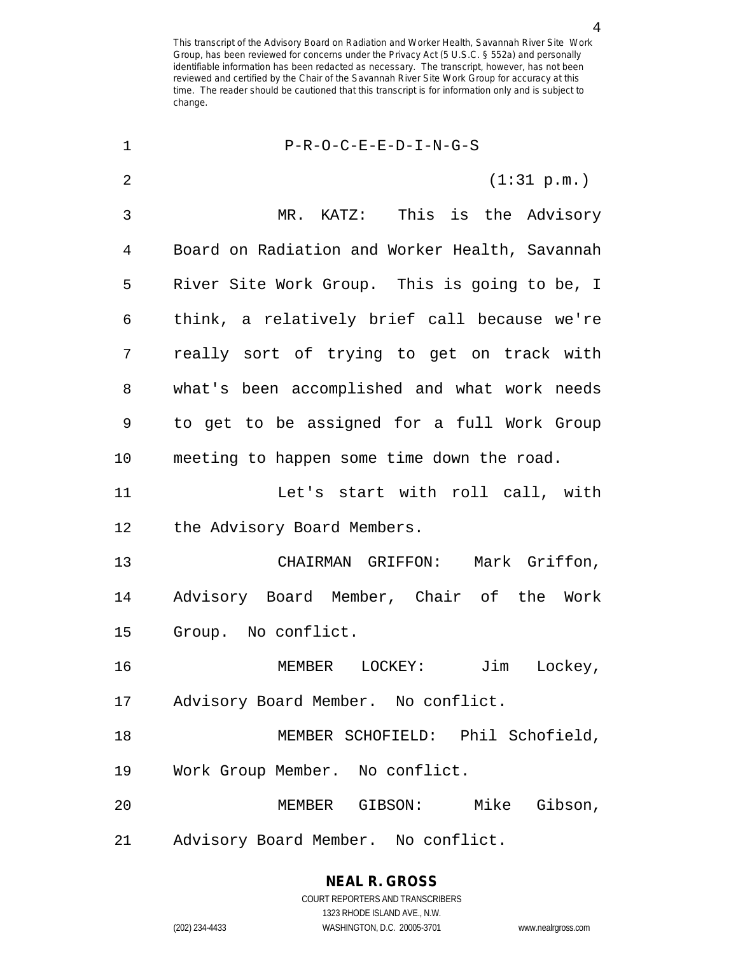4

| 1  | $P-R-O-C-E-E-D-I-N-G-S$                        |
|----|------------------------------------------------|
| 2  | (1:31 p.m.)                                    |
| 3  | KATZ: This is the Advisory<br>MR.              |
| 4  | Board on Radiation and Worker Health, Savannah |
| 5  | River Site Work Group. This is going to be, I  |
| 6  | think, a relatively brief call because we're   |
| 7  | really sort of trying to get on track with     |
| 8  | what's been accomplished and what work needs   |
| 9  | to get to be assigned for a full Work Group    |
| 10 | meeting to happen some time down the road.     |
| 11 | Let's start with roll call, with               |
| 12 | the Advisory Board Members.                    |
| 13 | Mark Griffon,<br>CHAIRMAN GRIFFON:             |
| 14 | Advisory Board Member, Chair of the Work       |
| 15 | Group. No conflict.                            |
| 16 | Lockey,<br>MEMBER LOCKEY:<br>Jim               |
| 17 | Advisory Board Member. No conflict.            |
| 18 | MEMBER SCHOFIELD: Phil Schofield,              |
| 19 | Work Group Member. No conflict.                |
| 20 | MEMBER GIBSON: Mike Gibson,                    |
| 21 | Advisory Board Member. No conflict.            |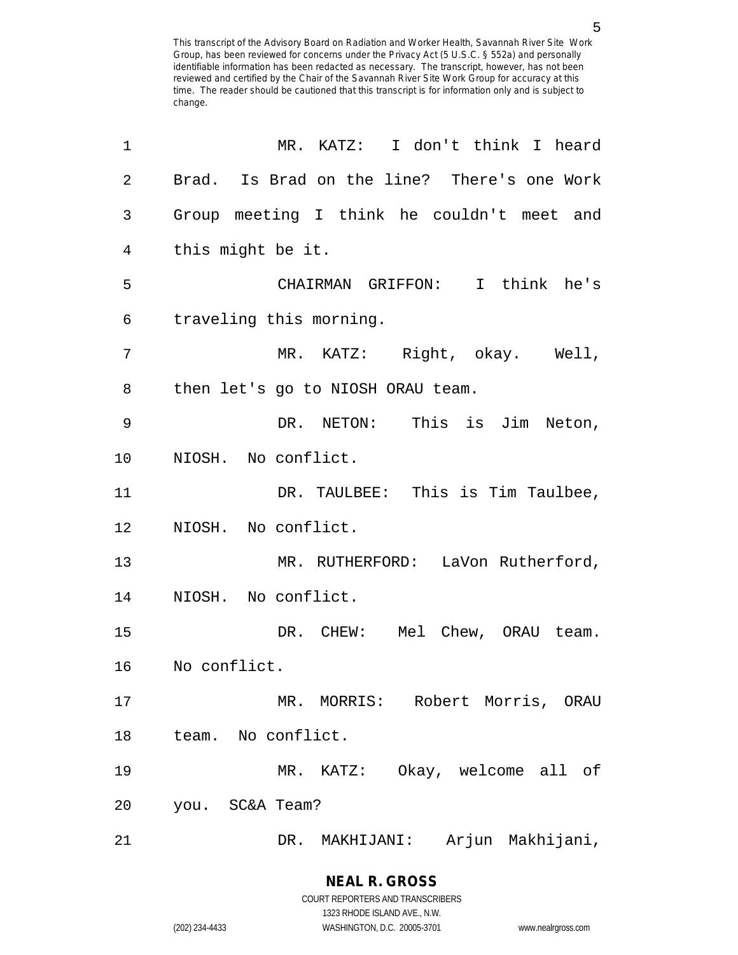1 MR. KATZ: I don't think I heard 2 Brad. Is Brad on the line? There's one Work 3 Group meeting I think he couldn't meet and 4 this might be it. 5 CHAIRMAN GRIFFON: I think he's 6 traveling this morning. 7 MR. KATZ: Right, okay. Well, 8 then let's go to NIOSH ORAU team. 9 DR. NETON: This is Jim Neton, 10 NIOSH. No conflict. 11 DR. TAULBEE: This is Tim Taulbee, 12 NIOSH. No conflict. 13 MR. RUTHERFORD: LaVon Rutherford, 14 NIOSH. No conflict. 15 DR. CHEW: Mel Chew, ORAU team. 16 No conflict. 17 MR. MORRIS: Robert Morris, ORAU 18 team. No conflict. 19 MR. KATZ: Okay, welcome all of 20 you. SC&A Team? 21 DR. MAKHIJANI: Arjun Makhijani,

1323 RHODE ISLAND AVE., N.W.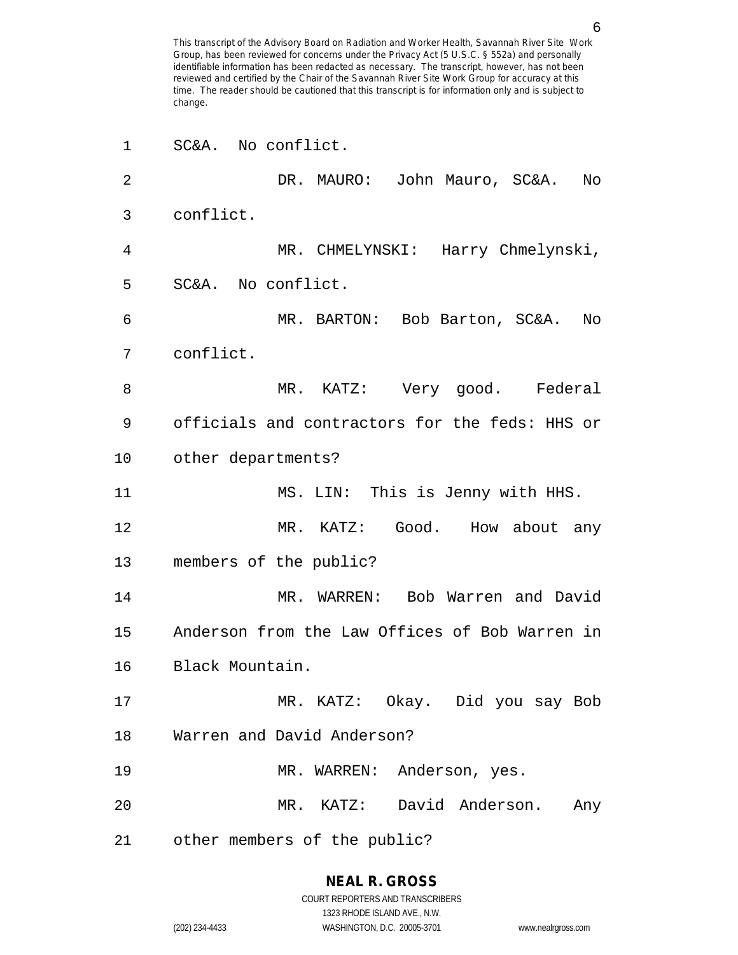| 1  | SC&A. No conflict.                             |
|----|------------------------------------------------|
| 2  | DR. MAURO: John Mauro, SC&A.<br>No             |
| 3  | conflict.                                      |
| 4  | MR. CHMELYNSKI: Harry Chmelynski,              |
| 5  | SC&A. No conflict.                             |
| 6  | MR. BARTON: Bob Barton, SC&A.<br>No            |
| 7  | conflict.                                      |
| 8  | MR. KATZ: Very good. Federal                   |
| 9  | officials and contractors for the feds: HHS or |
| 10 | other departments?                             |
| 11 | MS. LIN: This is Jenny with HHS.               |
| 12 | MR. KATZ: Good. How about any                  |
| 13 | members of the public?                         |
| 14 | MR. WARREN:<br>Bob Warren and David            |
| 15 | Anderson from the Law Offices of Bob Warren in |
| 16 | Black Mountain.                                |
| 17 | MR. KATZ: Okay. Did you say Bob                |
| 18 | Warren and David Anderson?                     |
| 19 | MR. WARREN: Anderson, yes.                     |
| 20 | MR. KATZ: David Anderson. Any                  |
| 21 | other members of the public?                   |

# **NEAL R. GROSS**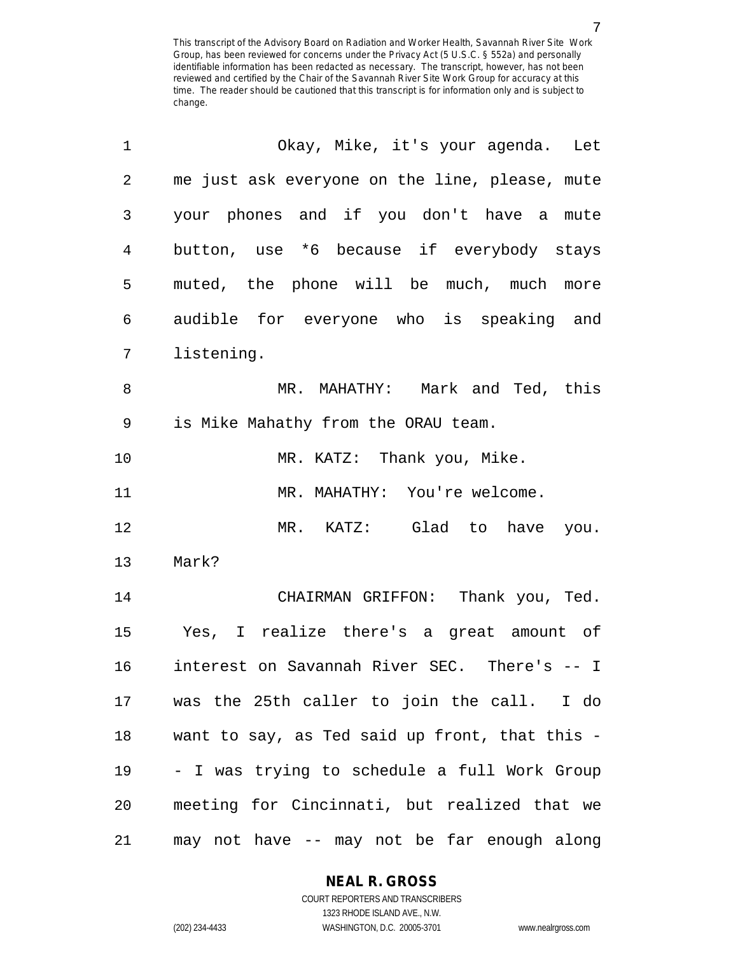| 1              | Okay, Mike, it's your agenda. Let              |
|----------------|------------------------------------------------|
| $\overline{2}$ | me just ask everyone on the line, please, mute |
| 3              | your phones and if you don't have a mute       |
| $\overline{4}$ | button, use *6 because if everybody stays      |
| 5              | muted, the phone will be much, much more       |
| 6              | audible for everyone who is speaking and       |
| 7              | listening.                                     |
| 8              | MR. MAHATHY: Mark and Ted, this                |
| 9              | is Mike Mahathy from the ORAU team.            |
| 10             | MR. KATZ: Thank you, Mike.                     |
| 11             | MR. MAHATHY: You're welcome.                   |
| 12             | MR. KATZ: Glad to have you.                    |
| 13             | Mark?                                          |
| 14             | CHAIRMAN GRIFFON: Thank you, Ted.              |
| 15             | Yes, I realize there's a great amount of       |
| 16             | interest on Savannah River SEC. There's -- I   |
| 17             | was the 25th caller to join the call. I do     |
| $18\,$         | want to say, as Ted said up front, that this - |
| 19             | - I was trying to schedule a full Work Group   |
| 20             | meeting for Cincinnati, but realized that we   |
| 21             | may not have -- may not be far enough along    |

**NEAL R. GROSS**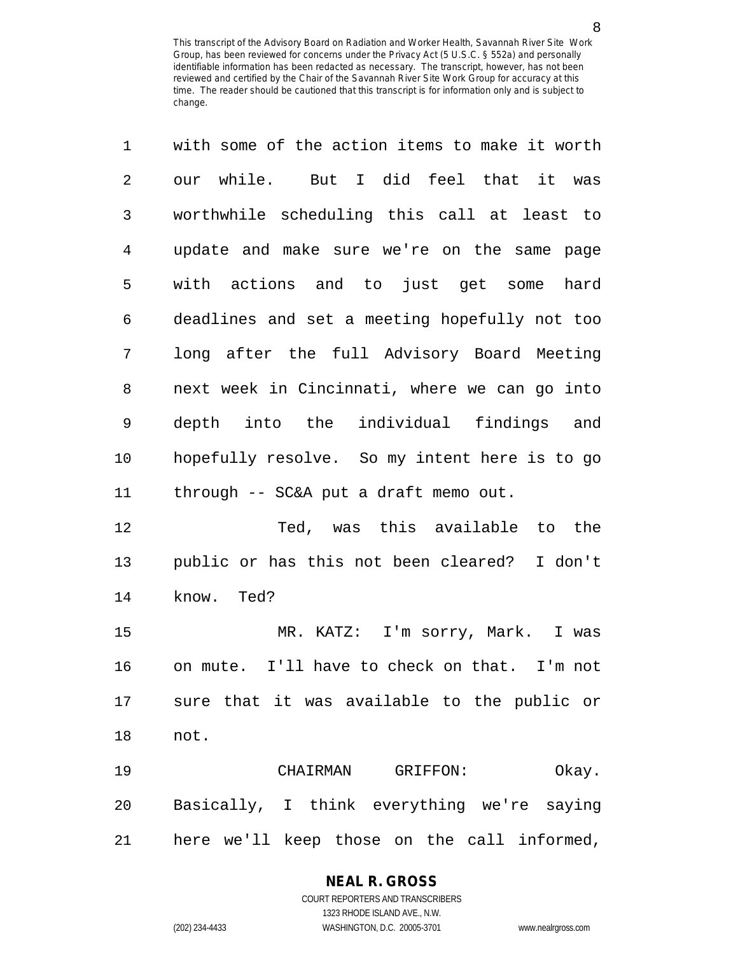| 1              | with some of the action items to make it worth |
|----------------|------------------------------------------------|
| $\overline{2}$ | our while. But I did feel that it was          |
| 3              | worthwhile scheduling this call at least to    |
| 4              | update and make sure we're on the same<br>page |
| 5              | with actions and to just get some<br>hard      |
| 6              | deadlines and set a meeting hopefully not too  |
| 7              | long after the full Advisory Board Meeting     |
| 8              | next week in Cincinnati, where we can go into  |
| $\mathsf 9$    | depth into the individual findings and         |
| 10             | hopefully resolve. So my intent here is to go  |
| 11             | through -- SC&A put a draft memo out.          |
| 12             | Ted, was this available to the                 |
| 13             | public or has this not been cleared? I don't   |
| 14             | know. Ted?                                     |
| 15             | MR. KATZ: I'm sorry, Mark. I was               |
| 16             | on mute. I'll have to check on that. I'm not   |
| 17             | sure that it was available to the public or    |

18 not.

19 CHAIRMAN GRIFFON: Okay. 20 Basically, I think everything we're saying 21 here we'll keep those on the call informed,

#### **NEAL R. GROSS**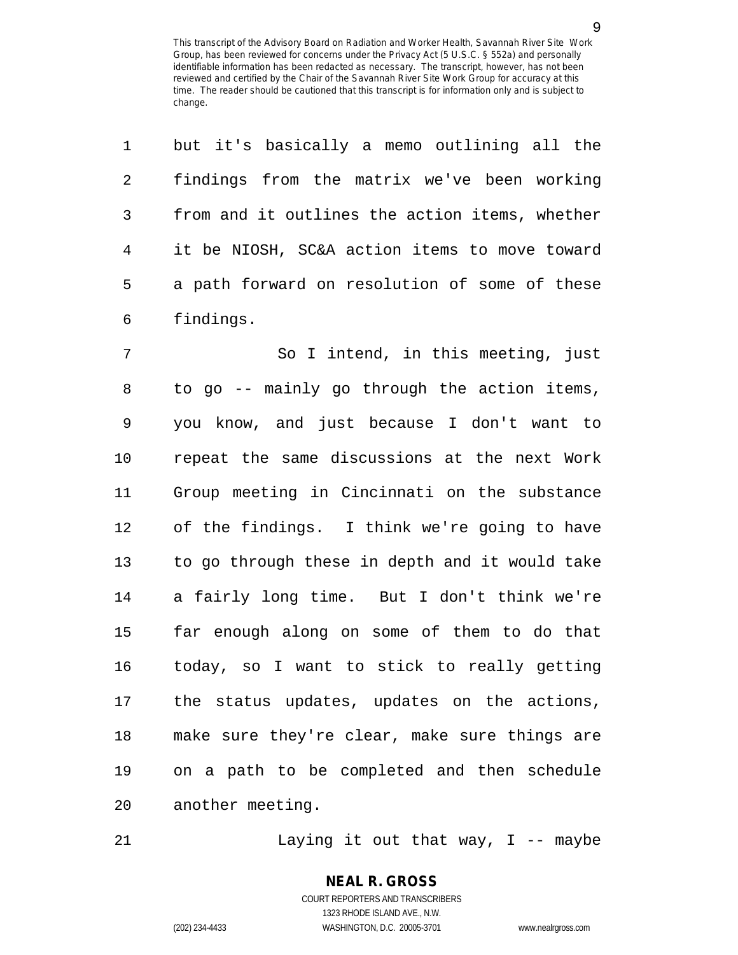| $\mathbf 1$    | but it's basically a memo outlining all the    |
|----------------|------------------------------------------------|
| $\overline{2}$ | findings from the matrix we've been working    |
| 3              | from and it outlines the action items, whether |
| $\overline{4}$ | it be NIOSH, SC&A action items to move toward  |
| 5              | a path forward on resolution of some of these  |
| $\epsilon$     | findings.                                      |
| $\overline{7}$ | So I intend, in this meeting, just             |
| 8              | to go -- mainly go through the action items,   |
| $\mathsf 9$    | you know, and just because I don't want to     |
| 10             | repeat the same discussions at the next Work   |
| 11             | Group meeting in Cincinnati on the substance   |
| 12             | of the findings. I think we're going to have   |
| 13             | to go through these in depth and it would take |
| 14             | a fairly long time. But I don't think we're    |
| 15             | far enough along on some of them to do that    |
| 16             | today, so I want to stick to really getting    |
| 17             | the status updates, updates on the actions,    |
|                |                                                |

18 make sure they're clear, make sure things are 19 on a path to be completed and then schedule 20 another meeting.

21 Laying it out that way, I -- maybe

# **NEAL R. GROSS** COURT REPORTERS AND TRANSCRIBERS

1323 RHODE ISLAND AVE., N.W.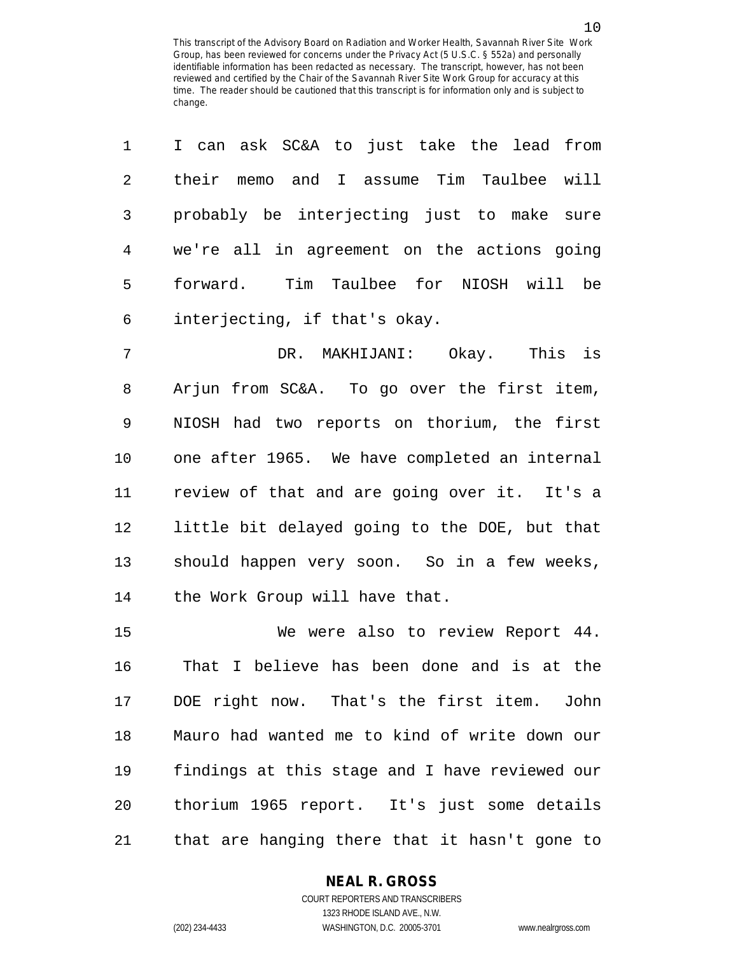| 1              | I can ask SC&A to just take the lead from      |
|----------------|------------------------------------------------|
| $\overline{2}$ | their memo and I assume Tim Taulbee will       |
| 3              | probably be interjecting just to make sure     |
| 4              | we're all in agreement on the actions going    |
| 5              | forward. Tim Taulbee for NIOSH will be         |
| 6              | interjecting, if that's okay.                  |
| 7              | DR. MAKHIJANI: Okay. This is                   |
| 8              | Arjun from SC&A. To go over the first item,    |
| 9              | NIOSH had two reports on thorium, the first    |
| 10             | one after 1965. We have completed an internal  |
| 11             | review of that and are going over it. It's a   |
| 12             | little bit delayed going to the DOE, but that  |
| 13             | should happen very soon. So in a few weeks,    |
| 14             | the Work Group will have that.                 |
| 15             | We were also to review Report 44.              |
| 16             | That I believe has been done and is at the     |
| 17             | DOE right now. That's the first item. John     |
| 18             | Mauro had wanted me to kind of write down our  |
| 19             | findings at this stage and I have reviewed our |
|                |                                                |

21 that are hanging there that it hasn't gone to

20 thorium 1965 report. It's just some details

## **NEAL R. GROSS**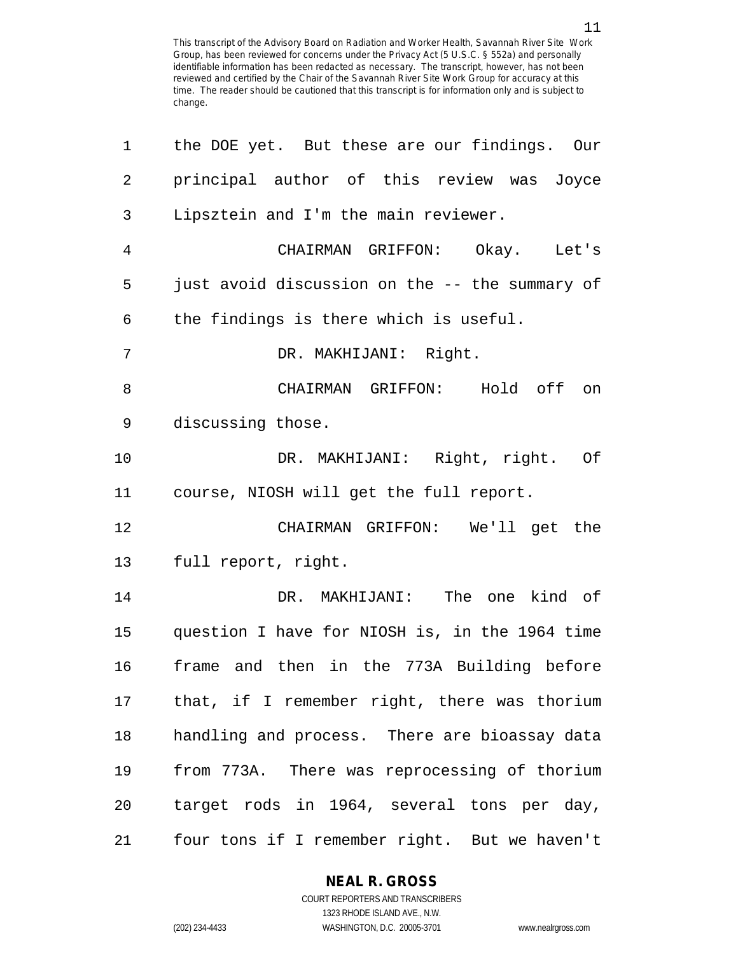| 1              | the DOE yet. But these are our findings. Our   |
|----------------|------------------------------------------------|
| $\overline{2}$ | principal author of this review was Joyce      |
| $\mathbf{3}$   | Lipsztein and I'm the main reviewer.           |
| 4              | CHAIRMAN GRIFFON: Okay. Let's                  |
| 5              | just avoid discussion on the -- the summary of |
| 6              | the findings is there which is useful.         |
| 7              | DR. MAKHIJANI: Right.                          |
| 8              | CHAIRMAN GRIFFON: Hold off<br>on               |
| 9              | discussing those.                              |
| 10             | DR. MAKHIJANI: Right, right. Of                |
| 11             | course, NIOSH will get the full report.        |
| 12             | CHAIRMAN GRIFFON: We'll get the                |
| 13             | full report, right.                            |
| 14             | DR. MAKHIJANI: The one kind of                 |
| 15             | question I have for NIOSH is, in the 1964 time |
| 16             | frame and then in the 773A Building before     |
| 17             | that, if I remember right, there was thorium   |
| 18             | handling and process. There are bioassay data  |
| 19             | from 773A. There was reprocessing of thorium   |
| 20             | target rods in 1964, several tons per day,     |
| 21             | four tons if I remember right. But we haven't  |

**NEAL R. GROSS**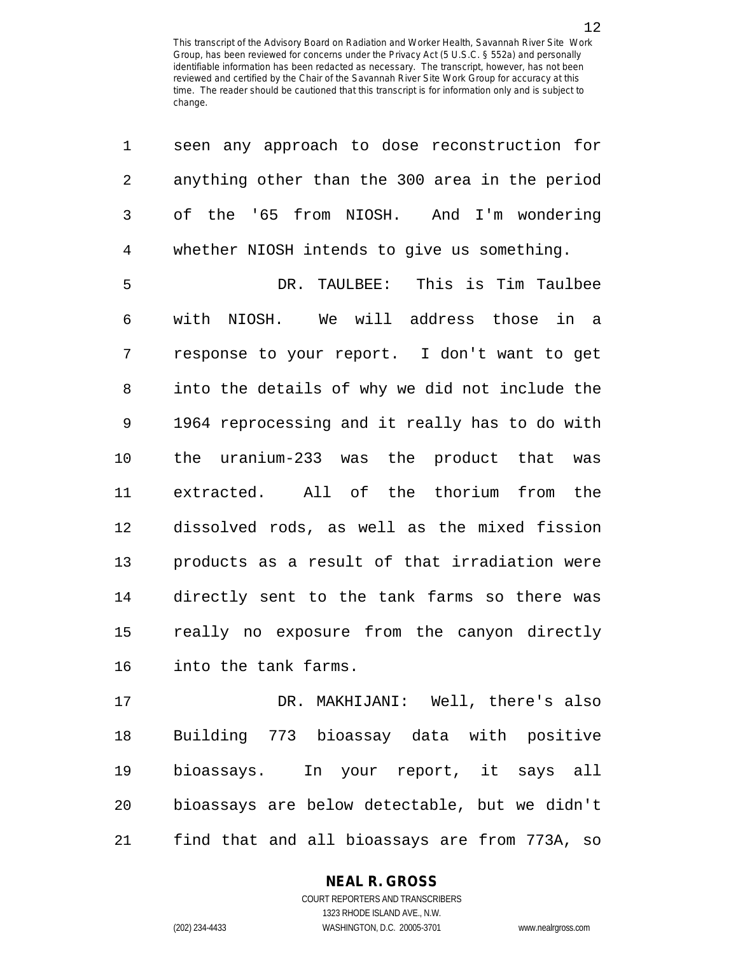1 seen any approach to dose reconstruction for

| 2  | anything other than the 300 area in the period |
|----|------------------------------------------------|
| 3  | of the '65 from NIOSH. And I'm wondering       |
| 4  | whether NIOSH intends to give us something.    |
| 5  | DR. TAULBEE: This is Tim Taulbee               |
| 6  | with NIOSH. We will address those in a         |
| 7  | response to your report. I don't want to get   |
| 8  | into the details of why we did not include the |
| 9  | 1964 reprocessing and it really has to do with |
| 10 | the uranium-233 was the product that was       |
| 11 | extracted. All of the thorium from the         |
| 12 | dissolved rods, as well as the mixed fission   |
| 13 | products as a result of that irradiation were  |
| 14 | directly sent to the tank farms so there was   |
| 15 | really no exposure from the canyon directly    |
| 16 | into the tank farms.                           |
| 17 | DR. MAKHIJANI: Well, there's also              |
| 18 | Building 773 bioassay data with positive       |
| 19 | bioassays. In your report, it says all         |
| 20 | bioassays are below detectable, but we didn't  |
| 21 | find that and all bioassays are from 773A, so  |

# **NEAL R. GROSS**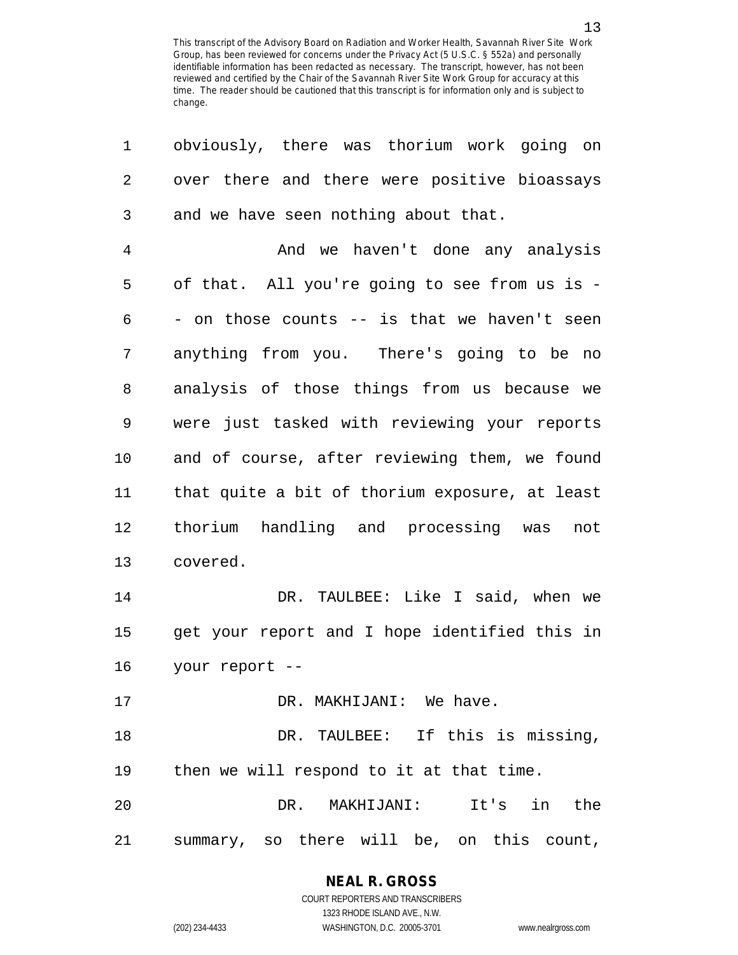| 1  | obviously, there was thorium work going on     |
|----|------------------------------------------------|
| 2  | over there and there were positive bioassays   |
| 3  | and we have seen nothing about that.           |
| 4  | And we haven't done any analysis               |
| 5  | of that. All you're going to see from us is -  |
| 6  | - on those counts -- is that we haven't seen   |
| 7  | anything from you. There's going to be no      |
| 8  | analysis of those things from us because we    |
| 9  | were just tasked with reviewing your reports   |
| 10 | and of course, after reviewing them, we found  |
| 11 | that quite a bit of thorium exposure, at least |
| 12 | thorium handling and processing was<br>not     |
| 13 | covered.                                       |
| 14 | DR. TAULBEE: Like I said, when we              |
| 15 | get your report and I hope identified this in  |
| 16 | your report --                                 |
| 17 | DR. MAKHIJANI: We have.                        |
| 18 | DR. TAULBEE: If this is missing,               |
| 19 | then we will respond to it at that time.       |
| 20 | DR. MAKHIJANI: It's in the                     |
| 21 | summary, so there will be, on this count,      |

**NEAL R. GROSS** COURT REPORTERS AND TRANSCRIBERS

1323 RHODE ISLAND AVE., N.W.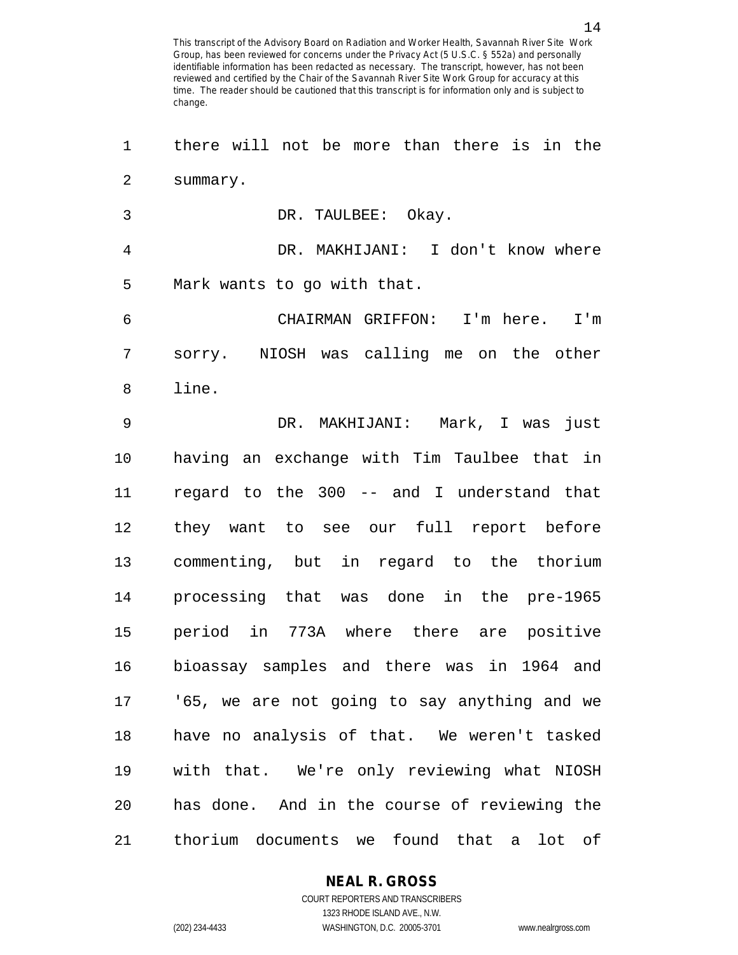1 there will not be more than there is in the 2 summary. 3 DR. TAULBEE: Okay. 4 DR. MAKHIJANI: I don't know where 5 Mark wants to go with that. 6 CHAIRMAN GRIFFON: I'm here. I'm 7 sorry. NIOSH was calling me on the other 8 line. 9 DR. MAKHIJANI: Mark, I was just 10 having an exchange with Tim Taulbee that in 11 regard to the 300 -- and I understand that 12 they want to see our full report before 13 commenting, but in regard to the thorium 14 processing that was done in the pre-1965 15 period in 773A where there are positive 16 bioassay samples and there was in 1964 and 17 '65, we are not going to say anything and we 18 have no analysis of that. We weren't tasked 19 with that. We're only reviewing what NIOSH 20 has done. And in the course of reviewing the 21 thorium documents we found that a lot of

# **NEAL R. GROSS**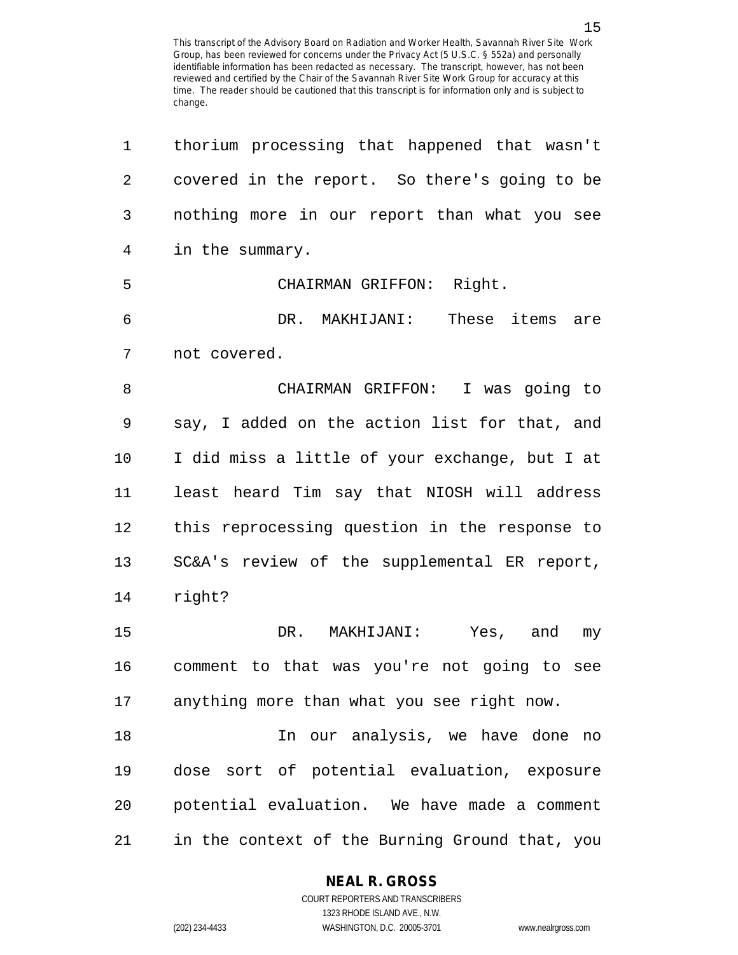| 1  | thorium processing that happened that wasn't   |
|----|------------------------------------------------|
| 2  | covered in the report. So there's going to be  |
| 3  | nothing more in our report than what you see   |
| 4  | in the summary.                                |
| 5  | CHAIRMAN GRIFFON: Right.                       |
| 6  | DR. MAKHIJANI: These items are                 |
| 7  | not covered.                                   |
| 8  | CHAIRMAN GRIFFON: I was going to               |
| 9  | say, I added on the action list for that, and  |
| 10 | I did miss a little of your exchange, but I at |
| 11 | least heard Tim say that NIOSH will address    |
| 12 | this reprocessing question in the response to  |
| 13 | SC&A's review of the supplemental ER report,   |
| 14 | right?                                         |
| 15 | DR. MAKHIJANI: Yes, and<br>my                  |
| 16 | comment to that was you're not going to see    |
| 17 | anything more than what you see right now.     |
| 18 | In our analysis, we have done no               |
| 19 | dose sort of potential evaluation, exposure    |
| 20 | potential evaluation. We have made a comment   |
| 21 | in the context of the Burning Ground that, you |

#### **NEAL R. GROSS**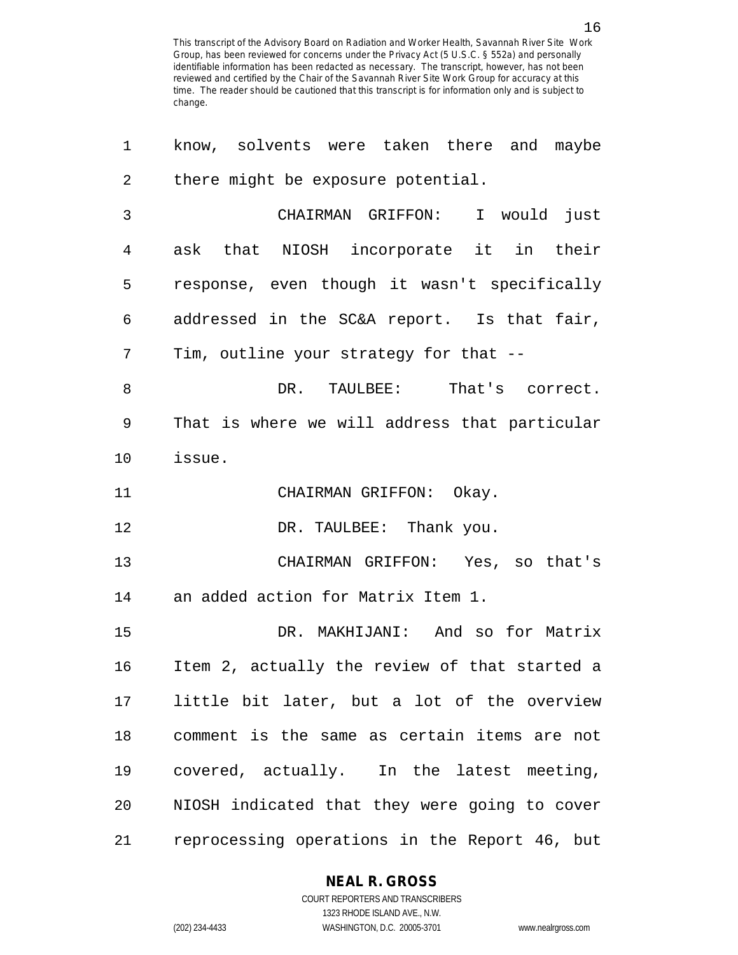| 1              | know, solvents were taken there and maybe     |
|----------------|-----------------------------------------------|
| $\overline{2}$ | there might be exposure potential.            |
| 3              | CHAIRMAN GRIFFON: I would just                |
| 4              | ask that NIOSH incorporate it in their        |
| 5              | response, even though it wasn't specifically  |
| 6              | addressed in the SC&A report. Is that fair,   |
| 7              | Tim, outline your strategy for that --        |
| 8              | DR. TAULBEE: That's correct.                  |
| 9              | That is where we will address that particular |
| 10             | issue.                                        |
| 11             | CHAIRMAN GRIFFON: Okay.                       |
| 12             | DR. TAULBEE: Thank you.                       |
| 13             | CHAIRMAN GRIFFON: Yes, so that's              |
| 14             | an added action for Matrix Item 1.            |
| 15             | DR. MAKHIJANI: And so for Matrix              |
| 16             | Item 2, actually the review of that started a |
| 17             | little bit later, but a lot of the overview   |
| 18             | comment is the same as certain items are not  |
| 19             | covered, actually. In the latest meeting,     |
| 20             | NIOSH indicated that they were going to cover |
| 21             | reprocessing operations in the Report 46, but |

**NEAL R. GROSS**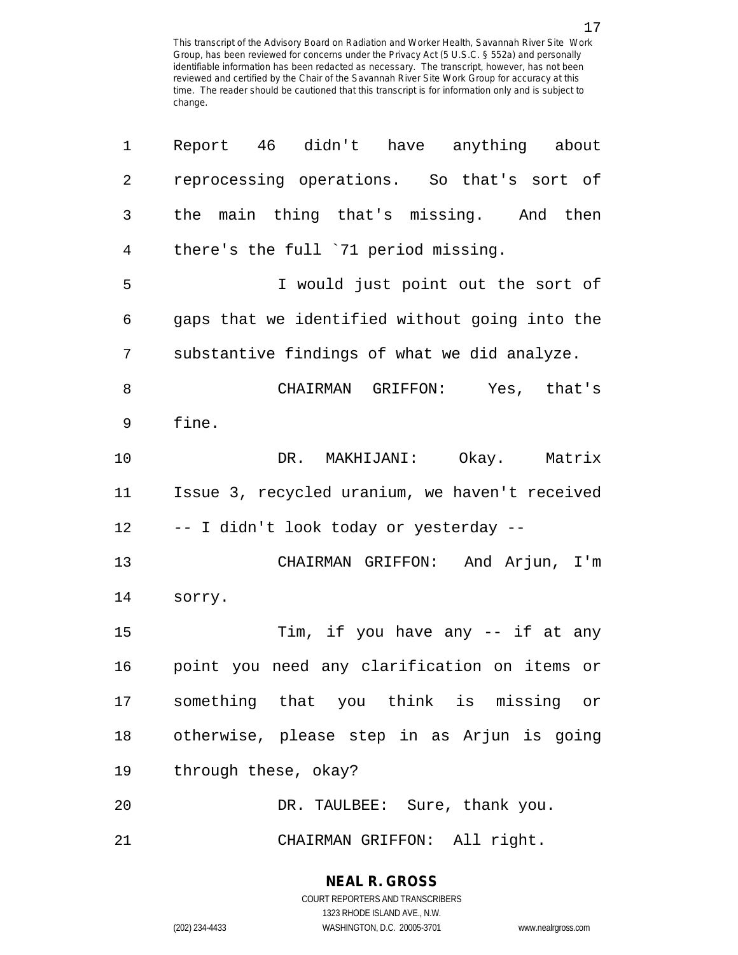| 1              | Report 46 didn't have anything about           |
|----------------|------------------------------------------------|
| $\sqrt{2}$     | reprocessing operations. So that's sort of     |
| $\mathfrak{Z}$ | the main thing that's missing. And then        |
| 4              | there's the full '71 period missing.           |
| 5              | I would just point out the sort of             |
| 6              | gaps that we identified without going into the |
| 7              | substantive findings of what we did analyze.   |
| 8              | CHAIRMAN GRIFFON: Yes, that's                  |
| 9              | fine.                                          |
| 10             | DR. MAKHIJANI: Okay. Matrix                    |
| 11             | Issue 3, recycled uranium, we haven't received |
| 12             | -- I didn't look today or yesterday --         |
| 13             | CHAIRMAN GRIFFON: And Arjun, I'm               |
| 14             | sorry.                                         |
| 15             | Tim, if you have any -- if at any              |
| 16             | point you need any clarification on items or   |
| 17             | something that you think is missing or         |
| 18             | otherwise, please step in as Arjun is going    |
| 19             | through these, okay?                           |
| 20             | DR. TAULBEE: Sure, thank you.                  |
| 21             | CHAIRMAN GRIFFON: All right.                   |

1323 RHODE ISLAND AVE., N.W.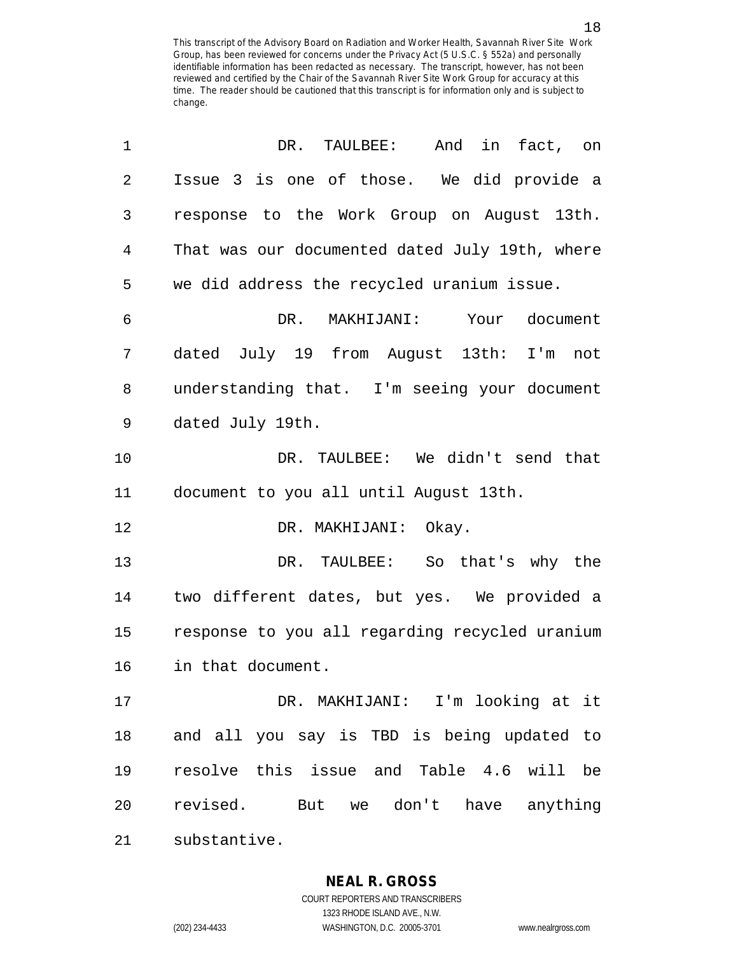| 1  | And in fact, on<br>DR. TAULBEE:                |
|----|------------------------------------------------|
| 2  | Issue 3 is one of those. We did provide a      |
| 3  | response to the Work Group on August 13th.     |
| 4  | That was our documented dated July 19th, where |
| 5  | we did address the recycled uranium issue.     |
| 6  | DR.<br>MAKHIJANI: Your document                |
| 7  | dated July 19 from August 13th: I'm not        |
| 8  | understanding that. I'm seeing your document   |
| 9  | dated July 19th.                               |
| 10 | DR. TAULBEE: We didn't send that               |
| 11 | document to you all until August 13th.         |
| 12 | DR. MAKHIJANI: Okay.                           |
| 13 | DR. TAULBEE: So that's why the                 |
| 14 | two different dates, but yes. We provided a    |
| 15 | response to you all regarding recycled uranium |
| 16 | in that document.                              |
| 17 | DR. MAKHIJANI: I'm looking at it               |
| 18 | and all you say is TBD is being updated to     |
| 19 | resolve this issue and Table 4.6 will be       |
| 20 | revised. But we don't have anything            |
| 21 | substantive.                                   |

**NEAL R. GROSS** COURT REPORTERS AND TRANSCRIBERS

1323 RHODE ISLAND AVE., N.W.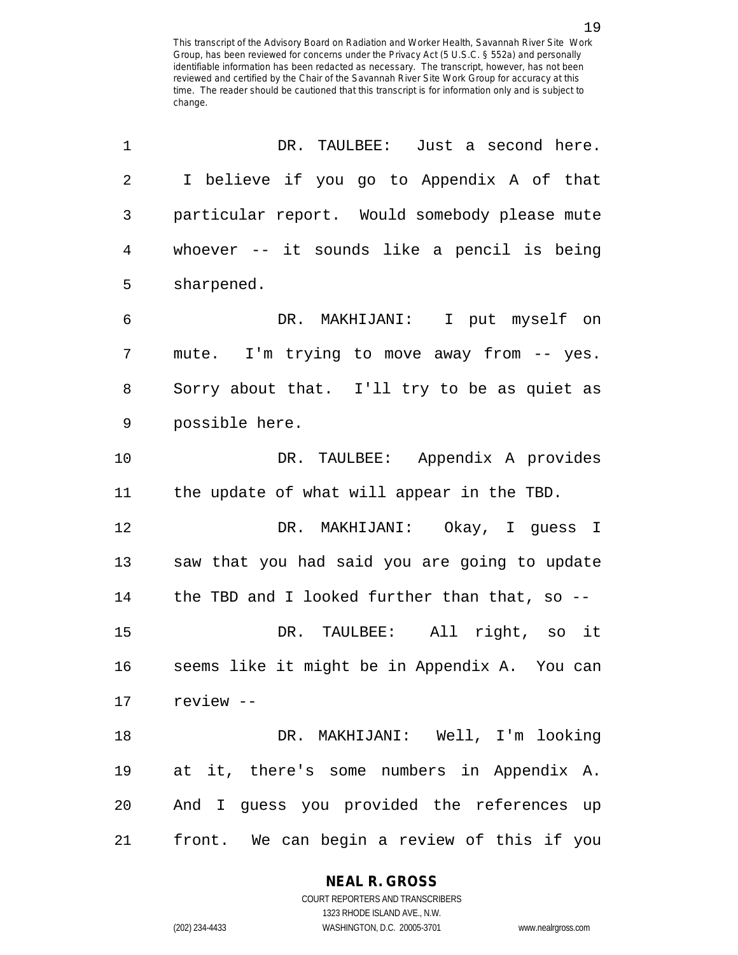| 1              | DR. TAULBEE: Just a second here.              |
|----------------|-----------------------------------------------|
| $\overline{2}$ | I believe if you go to Appendix A of that     |
| $\mathsf{3}$   | particular report. Would somebody please mute |
| 4              | whoever -- it sounds like a pencil is being   |
| 5              | sharpened.                                    |
| 6              | DR. MAKHIJANI: I put myself on                |
| 7              | mute. I'm trying to move away from -- yes.    |
| 8              | Sorry about that. I'll try to be as quiet as  |
| 9              | possible here.                                |
| 10             | DR. TAULBEE: Appendix A provides              |
| 11             | the update of what will appear in the TBD.    |
| 12             | DR. MAKHIJANI: Okay, I guess I                |
| 13             | saw that you had said you are going to update |
| 14             | the TBD and I looked further than that, so -- |
| 15             | DR. TAULBEE: All right, so it                 |
| 16             | seems like it might be in Appendix A. You can |
|                | 17 review --                                  |
| 18             | DR. MAKHIJANI: Well, I'm looking              |
| 19             | at it, there's some numbers in Appendix A.    |
| 20             | And I guess you provided the references up    |
| 21             | front. We can begin a review of this if you   |

# **NEAL R. GROSS**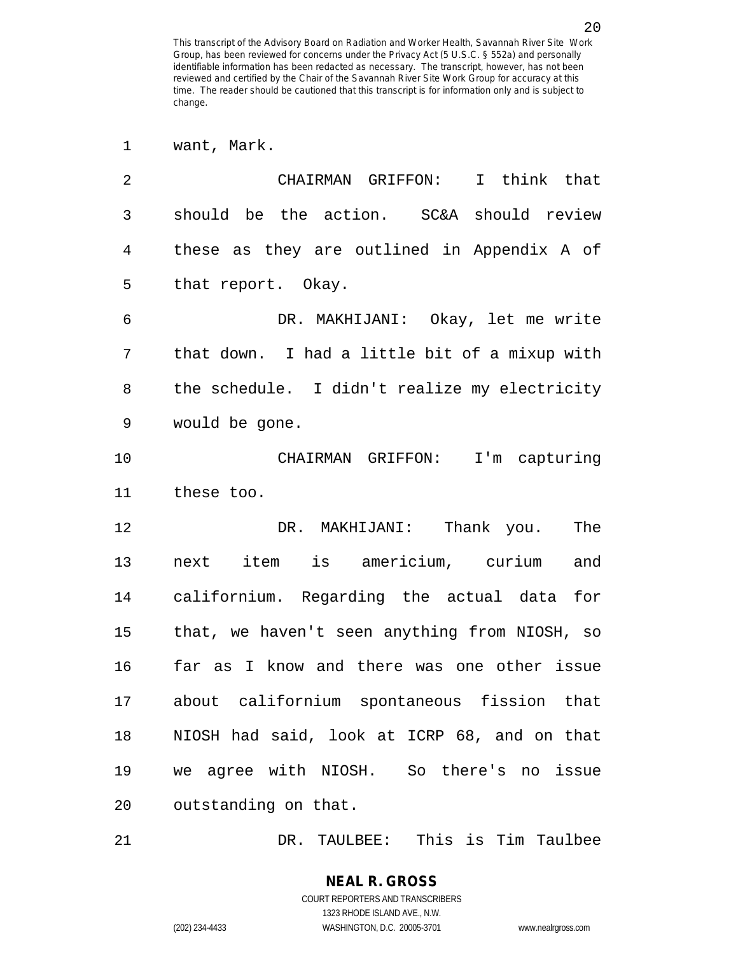| $\mathbf 1$    | want, Mark.                                   |
|----------------|-----------------------------------------------|
| $\overline{2}$ | CHAIRMAN GRIFFON: I think that                |
| 3              | should be the action. SC&A should review      |
| 4              | these as they are outlined in Appendix A of   |
| 5              | that report. Okay.                            |
| 6              | DR. MAKHIJANI: Okay, let me write             |
| 7              | that down. I had a little bit of a mixup with |
| 8              | the schedule. I didn't realize my electricity |
| 9              | would be gone.                                |
| 10             | CHAIRMAN GRIFFON: I'm capturing               |
| 11             | these too.                                    |
| 12             | DR. MAKHIJANI: Thank you.<br>The              |
| 13             | next item is americium, curium<br>and         |
| 14             | californium. Regarding the actual data for    |
| 15             | that, we haven't seen anything from NIOSH, so |
| 16             | far as I know and there was one other issue   |
| 17             | about californium spontaneous fission that    |
| 18             | NIOSH had said, look at ICRP 68, and on that  |
| 19             | we agree with NIOSH. So there's no issue      |
| 20             | outstanding on that.                          |

21 DR. TAULBEE: This is Tim Taulbee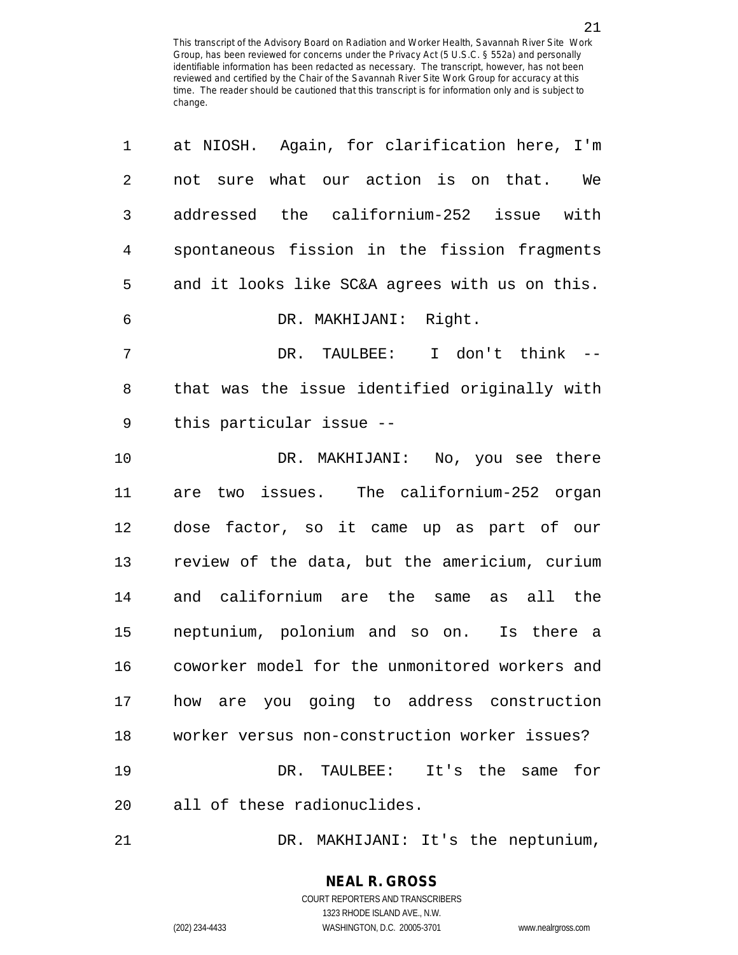| 1              | at NIOSH. Again, for clarification here, I'm   |
|----------------|------------------------------------------------|
| $\overline{2}$ | not sure what our action is on that.<br>We     |
| 3              | addressed the californium-252 issue with       |
| 4              | spontaneous fission in the fission fragments   |
| 5              | and it looks like SC&A agrees with us on this. |
| 6              | Right.<br>DR. MAKHIJANI:                       |
| 7              | DR. TAULBEE:<br>I don't think --               |
| 8              | that was the issue identified originally with  |
| 9              | this particular issue --                       |
| 10             | DR. MAKHIJANI: No, you see there               |
| 11             | are two issues. The californium-252 organ      |
| 12             | dose factor, so it came up as part of our      |
| 13             | review of the data, but the americium, curium  |
| 14             | and californium are the same as all the        |
| 15             | neptunium, polonium and so on. Is there a      |
| 16             | coworker model for the unmonitored workers and |
| 17             | how are you going to address construction      |
| 18             | worker versus non-construction worker issues?  |
| 19             | DR. TAULBEE: It's the same<br>for              |
| 20             | all of these radionuclides.                    |
| 21             | DR. MAKHIJANI: It's the neptunium,             |

**NEAL R. GROSS** COURT REPORTERS AND TRANSCRIBERS

1323 RHODE ISLAND AVE., N.W.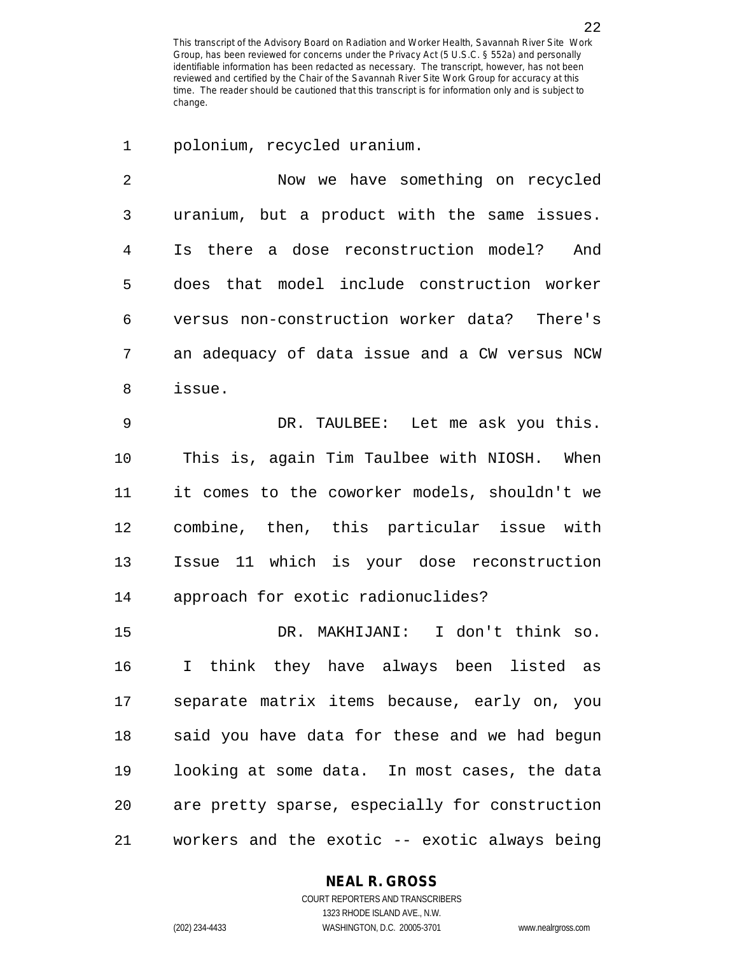1 polonium, recycled uranium.

2 Now we have something on recycled 3 uranium, but a product with the same issues. 4 Is there a dose reconstruction model? And 5 does that model include construction worker 6 versus non-construction worker data? There's 7 an adequacy of data issue and a CW versus NCW 8 issue. 9 DR. TAULBEE: Let me ask you this. 10 This is, again Tim Taulbee with NIOSH. When 11 it comes to the coworker models, shouldn't we 12 combine, then, this particular issue with 13 Issue 11 which is your dose reconstruction 14 approach for exotic radionuclides? 15 DR. MAKHIJANI: I don't think so. 16 I think they have always been listed as 17 separate matrix items because, early on, you 18 said you have data for these and we had begun 19 looking at some data. In most cases, the data 20 are pretty sparse, especially for construction 21 workers and the exotic -- exotic always being

**NEAL R. GROSS**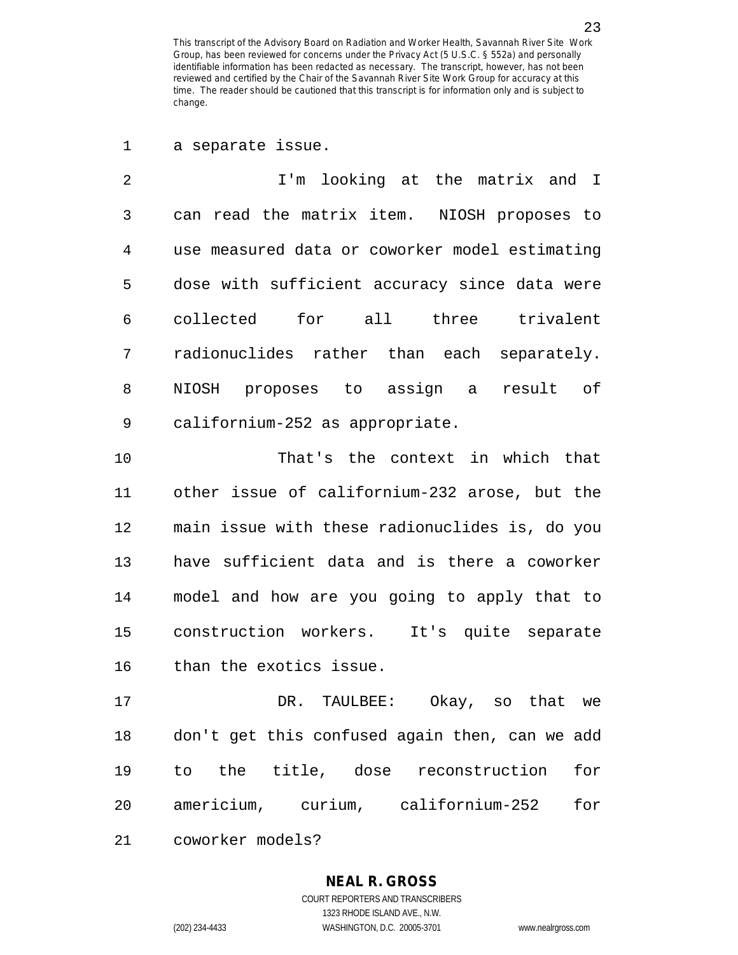1 a separate issue.

2 I'm looking at the matrix and I 3 can read the matrix item. NIOSH proposes to 4 use measured data or coworker model estimating 5 dose with sufficient accuracy since data were 6 collected for all three trivalent 7 radionuclides rather than each separately. 8 NIOSH proposes to assign a result of 9 californium-252 as appropriate.

10 That's the context in which that 11 other issue of californium-232 arose, but the 12 main issue with these radionuclides is, do you 13 have sufficient data and is there a coworker 14 model and how are you going to apply that to 15 construction workers. It's quite separate 16 than the exotics issue.

17 DR. TAULBEE: Okay, so that we 18 don't get this confused again then, can we add 19 to the title, dose reconstruction for 20 americium, curium, californium-252 for 21 coworker models?

1323 RHODE ISLAND AVE., N.W.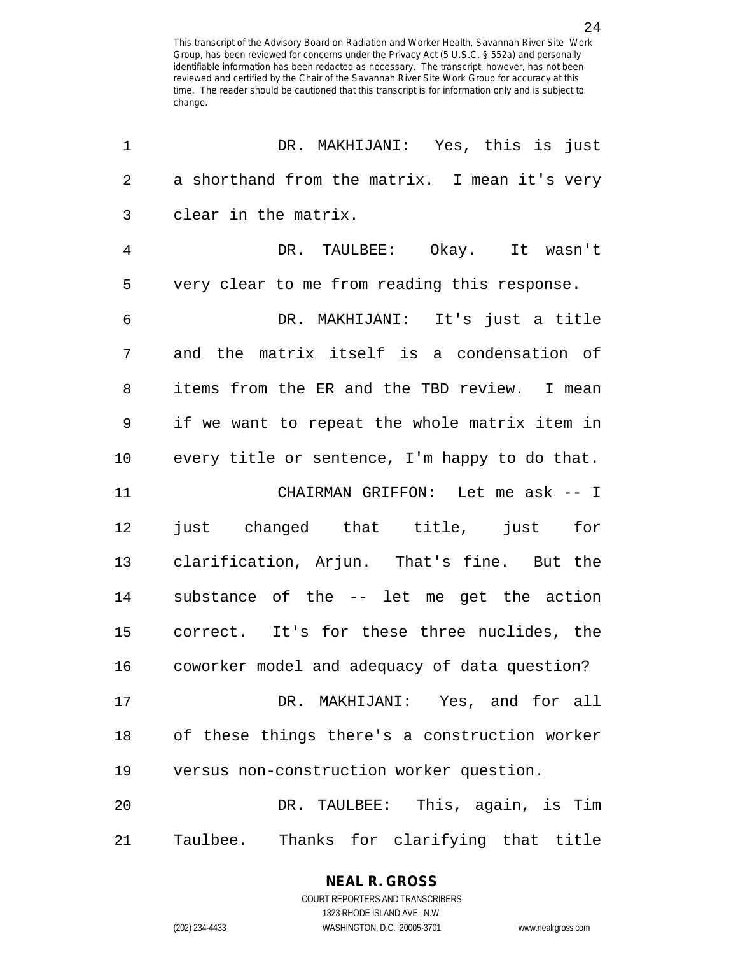| 1              | DR. MAKHIJANI: Yes, this is just               |
|----------------|------------------------------------------------|
| $\sqrt{2}$     | a shorthand from the matrix. I mean it's very  |
| $\mathsf{3}$   | clear in the matrix.                           |
| $\overline{4}$ | DR. TAULBEE: Okay. It wasn't                   |
| 5              | very clear to me from reading this response.   |
| 6              | DR. MAKHIJANI: It's just a title               |
| 7              | and the matrix itself is a condensation of     |
| 8              | items from the ER and the TBD review. I mean   |
| 9              | if we want to repeat the whole matrix item in  |
| 10             | every title or sentence, I'm happy to do that. |
| 11             | CHAIRMAN GRIFFON: Let me ask -- I              |
| 12             | just changed that title, just for              |
| 13             | clarification, Arjun. That's fine. But the     |
| 14             | substance of the -- let me get the action      |
| 15             | correct. It's for these three nuclides, the    |
| 16             | coworker model and adequacy of data question?  |
| 17             | DR. MAKHIJANI: Yes, and for all                |
| 18             | of these things there's a construction worker  |
| 19             | versus non-construction worker question.       |
| 20             | DR. TAULBEE: This, again, is Tim               |
| 21             | Taulbee.<br>Thanks for clarifying that title   |

1323 RHODE ISLAND AVE., N.W.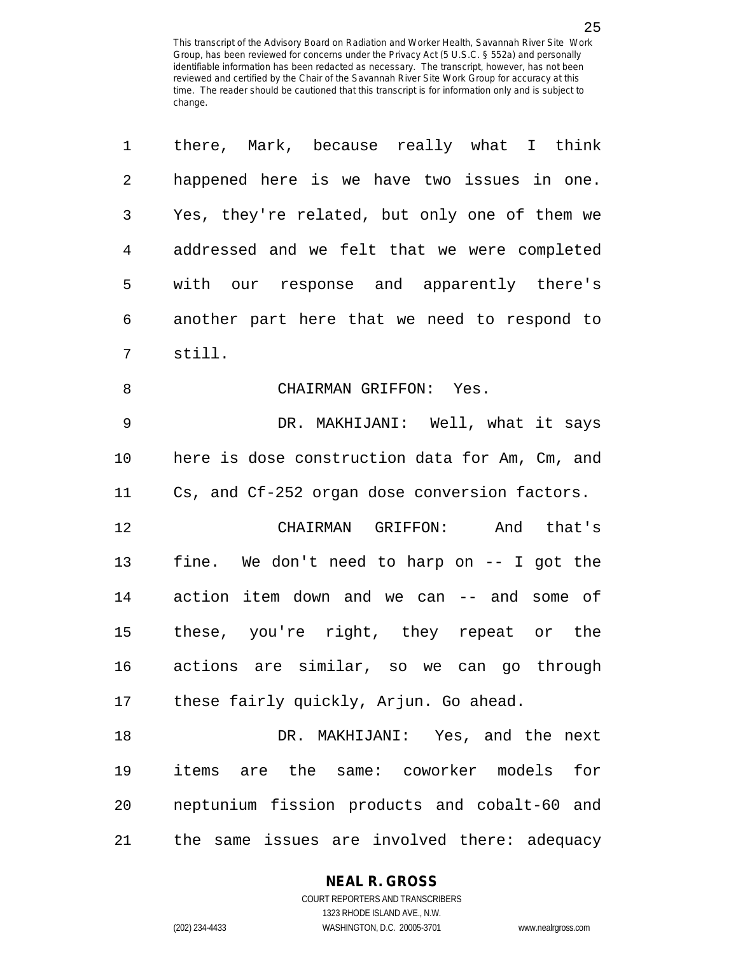| 1              | there, Mark, because really what I think       |
|----------------|------------------------------------------------|
| $\overline{2}$ | happened here is we have two issues in one.    |
| 3              | Yes, they're related, but only one of them we  |
| $\overline{4}$ | addressed and we felt that we were completed   |
| 5              | with our response and apparently there's       |
| 6              | another part here that we need to respond to   |
| 7              | still.                                         |
| 8              | CHAIRMAN GRIFFON: Yes.                         |
| $\mathsf 9$    | DR. MAKHIJANI: Well, what it says              |
| 10             | here is dose construction data for Am, Cm, and |
| 11             | Cs, and Cf-252 organ dose conversion factors.  |
| 12             | CHAIRMAN GRIFFON: And that's                   |
| 13             | fine. We don't need to harp on -- I got the    |
| 14             | action item down and we can -- and some of     |
| 15             | these, you're right, they repeat or the        |
| 16             | actions are similar, so we can go through      |
| 17             | these fairly quickly, Arjun. Go ahead.         |
| 18             | DR. MAKHIJANI: Yes, and the next               |
| 19             | items are the same: coworker models<br>for     |
| 20             | neptunium fission products and cobalt-60 and   |
| 21             | the same issues are involved there: adequacy   |

**NEAL R. GROSS**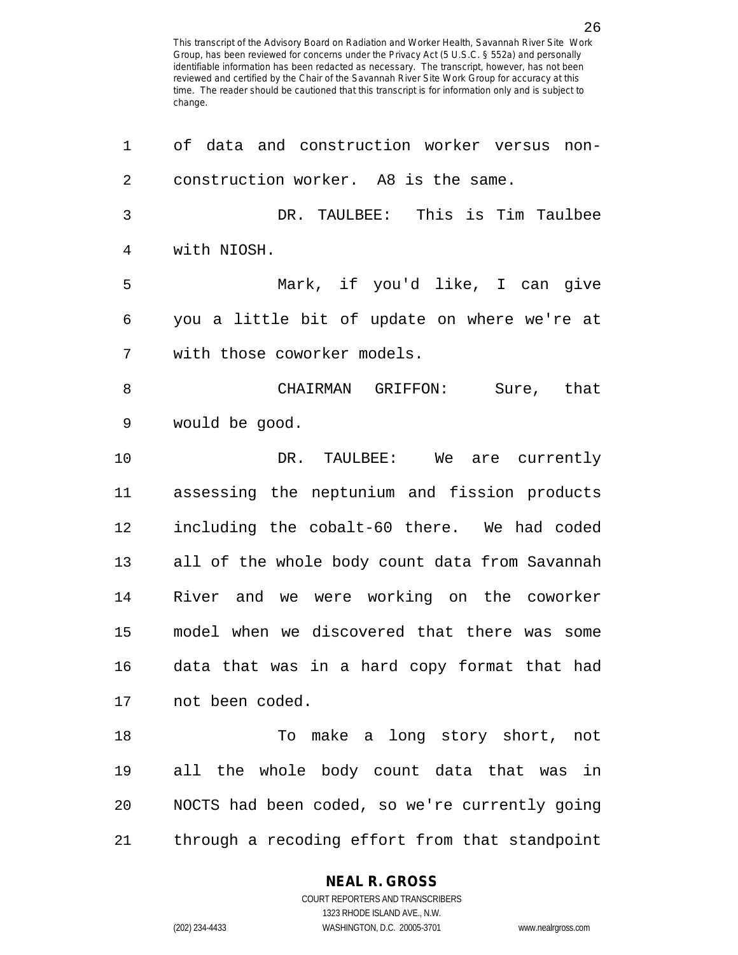1 of data and construction worker versus non-2 construction worker. A8 is the same. 3 DR. TAULBEE: This is Tim Taulbee 4 with NIOSH. 5 Mark, if you'd like, I can give 6 you a little bit of update on where we're at 7 with those coworker models. 8 CHAIRMAN GRIFFON: Sure, that 9 would be good. 10 DR. TAULBEE: We are currently 11 assessing the neptunium and fission products 12 including the cobalt-60 there. We had coded 13 all of the whole body count data from Savannah 14 River and we were working on the coworker 15 model when we discovered that there was some 16 data that was in a hard copy format that had 17 not been coded. 18 To make a long story short, not 19 all the whole body count data that was in 20 NOCTS had been coded, so we're currently going 21 through a recoding effort from that standpoint

**NEAL R. GROSS**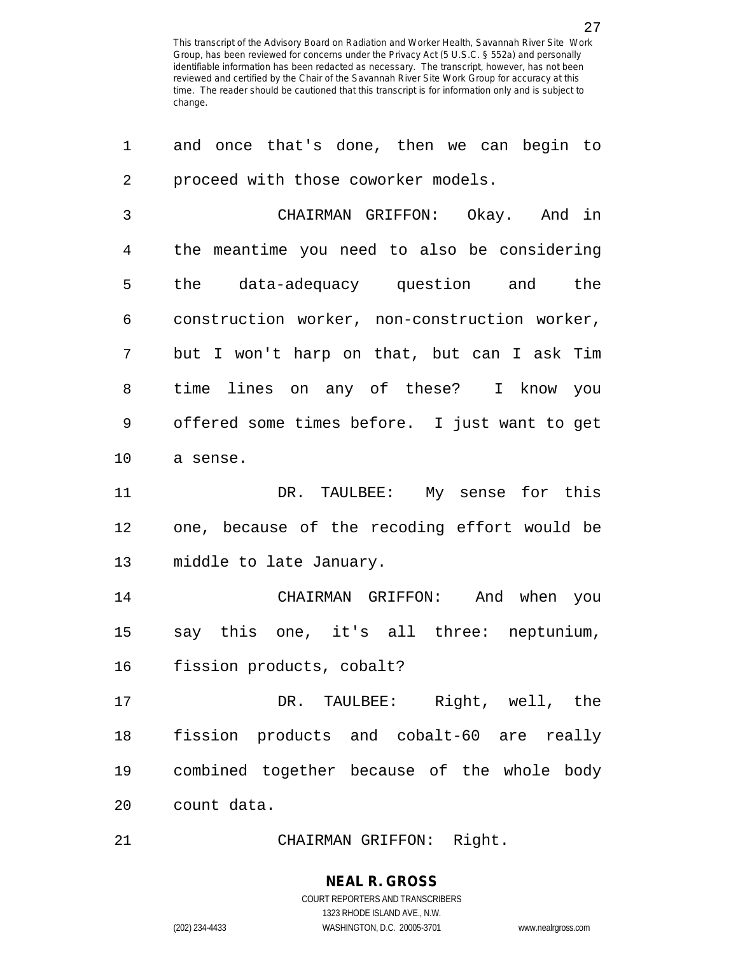| 1              | and once that's done, then we can begin to    |
|----------------|-----------------------------------------------|
| $\overline{2}$ | proceed with those coworker models.           |
| $\mathfrak{Z}$ | CHAIRMAN GRIFFON: Okay. And in                |
| 4              | the meantime you need to also be considering  |
| 5              | the data-adequacy question and the            |
| 6              | construction worker, non-construction worker, |
| 7              | but I won't harp on that, but can I ask Tim   |
| 8              | time lines on any of these? I know you        |
| 9              | offered some times before. I just want to get |
| 10             | a sense.                                      |
| 11             | DR. TAULBEE: My sense for this                |
| 12             | one, because of the recoding effort would be  |
| 13             | middle to late January.                       |
| 14             | CHAIRMAN GRIFFON: And when you                |
| 15             | say this one, it's all three: neptunium,      |
| 16             | fission products, cobalt?                     |
| 17             | DR. TAULBEE: Right, well, the                 |
| 18             | fission products and cobalt-60 are really     |
|                |                                               |
| 19             | combined together because of the whole body   |

21 CHAIRMAN GRIFFON: Right.

# **NEAL R. GROSS**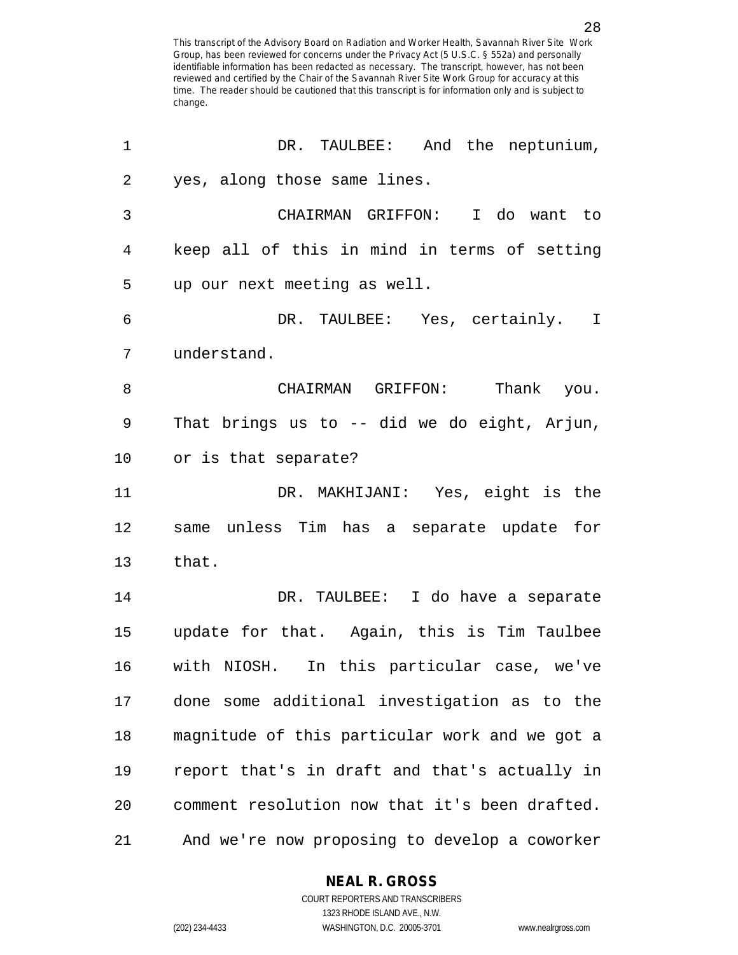| 1              | DR. TAULBEE: And the neptunium,                |
|----------------|------------------------------------------------|
| $\overline{2}$ | yes, along those same lines.                   |
| 3              | CHAIRMAN GRIFFON: I do want to                 |
| 4              | keep all of this in mind in terms of setting   |
| 5              | up our next meeting as well.                   |
| 6              | DR. TAULBEE: Yes, certainly. I                 |
| 7              | understand.                                    |
| 8              | CHAIRMAN GRIFFON: Thank you.                   |
| 9              | That brings us to -- did we do eight, Arjun,   |
| 10             | or is that separate?                           |
| 11             | DR. MAKHIJANI: Yes, eight is the               |
| 12             | same unless Tim has a separate update for      |
| 13             | that.                                          |
| 14             | DR. TAULBEE: I do have a separate              |
| 15             | update for that. Again, this is Tim Taulbee    |
| 16             | with NIOSH. In this particular case, we've     |
| 17             | done some additional investigation as to the   |
| 18             | magnitude of this particular work and we got a |
| 19             | report that's in draft and that's actually in  |
| 20             | comment resolution now that it's been drafted. |
| 21             | And we're now proposing to develop a coworker  |

**NEAL R. GROSS**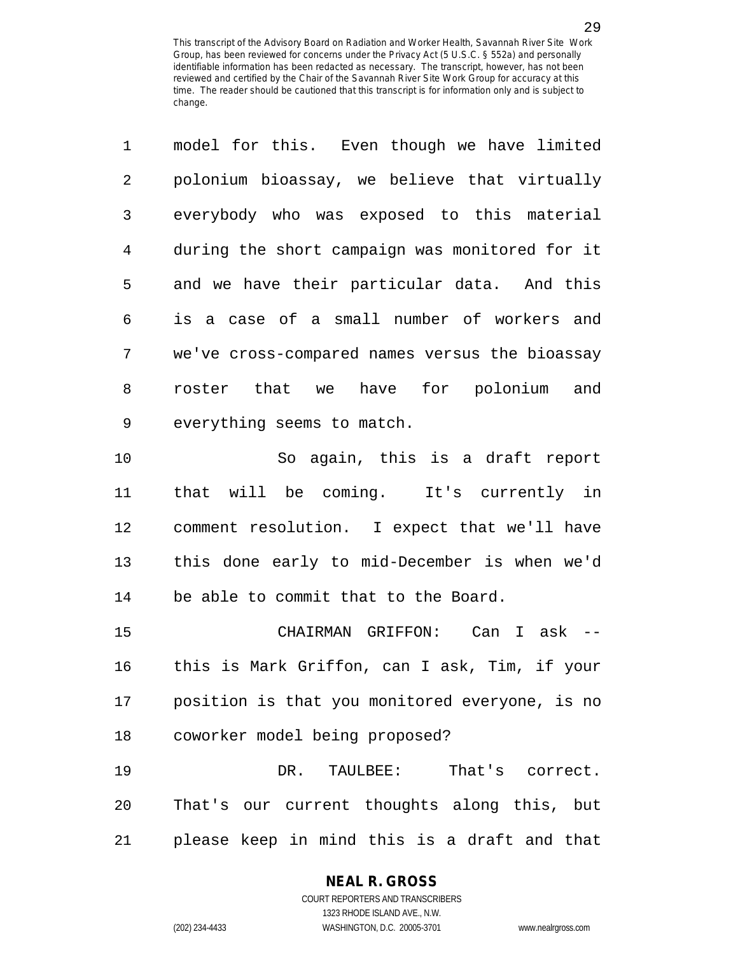1 model for this. Even though we have limited 2 polonium bioassay, we believe that virtually 3 everybody who was exposed to this material 4 during the short campaign was monitored for it 5 and we have their particular data. And this 6 is a case of a small number of workers and 7 we've cross-compared names versus the bioassay 8 roster that we have for polonium and 9 everything seems to match.

10 So again, this is a draft report 11 that will be coming. It's currently in 12 comment resolution. I expect that we'll have 13 this done early to mid-December is when we'd 14 be able to commit that to the Board.

15 CHAIRMAN GRIFFON: Can I ask -- 16 this is Mark Griffon, can I ask, Tim, if your 17 position is that you monitored everyone, is no 18 coworker model being proposed?

19 DR. TAULBEE: That's correct. 20 That's our current thoughts along this, but 21 please keep in mind this is a draft and that

# **NEAL R. GROSS**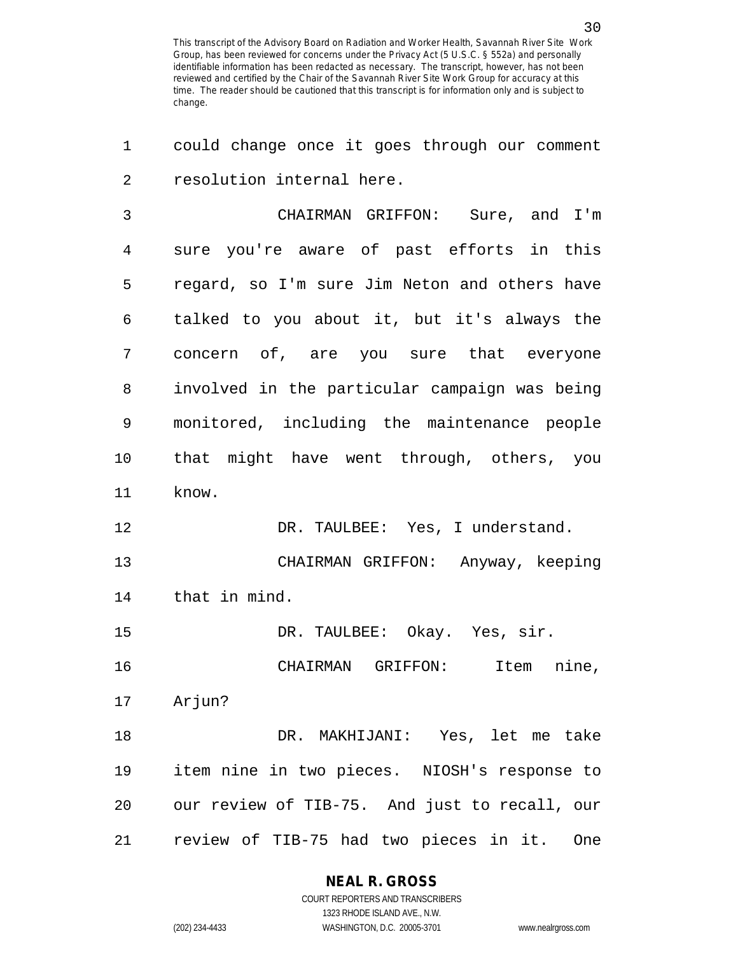1 could change once it goes through our comment 2 resolution internal here.

3 CHAIRMAN GRIFFON: Sure, and I'm 4 sure you're aware of past efforts in this 5 regard, so I'm sure Jim Neton and others have 6 talked to you about it, but it's always the 7 concern of, are you sure that everyone 8 involved in the particular campaign was being 9 monitored, including the maintenance people 10 that might have went through, others, you 11 know. 12 DR. TAULBEE: Yes, I understand.

13 CHAIRMAN GRIFFON: Anyway, keeping 14 that in mind.

15 DR. TAULBEE: Okay. Yes, sir.

16 CHAIRMAN GRIFFON: Item nine, 17 Arjun?

18 DR. MAKHIJANI: Yes, let me take 19 item nine in two pieces. NIOSH's response to 20 our review of TIB-75. And just to recall, our 21 review of TIB-75 had two pieces in it. One

> **NEAL R. GROSS** COURT REPORTERS AND TRANSCRIBERS

> > 1323 RHODE ISLAND AVE., N.W.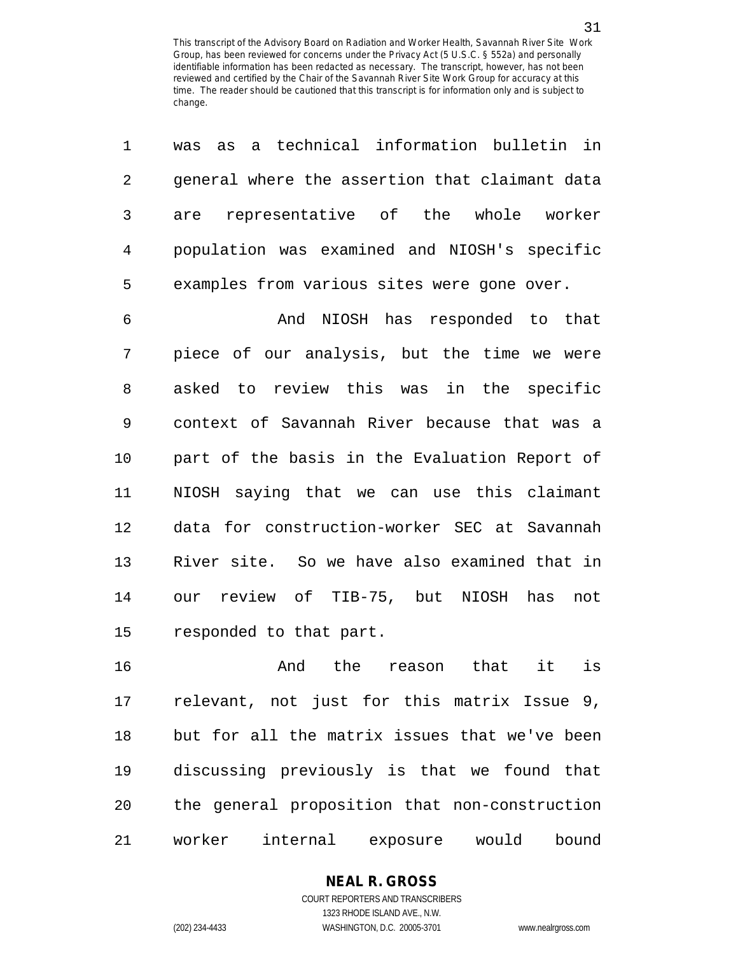| 1  | a technical information bulletin in<br>was<br>as |
|----|--------------------------------------------------|
| 2  | general where the assertion that claimant data   |
| 3  | representative of the whole worker<br>are        |
| 4  | population was examined and NIOSH's specific     |
| 5  | examples from various sites were gone over.      |
| 6  | And NIOSH has responded to that                  |
| 7  | piece of our analysis, but the time we were      |
| 8  | asked to review this was in the specific         |
| 9  | context of Savannah River because that was a     |
| 10 | part of the basis in the Evaluation Report of    |
| 11 | NIOSH saying that we can use this claimant       |
| 12 | data for construction-worker SEC at Savannah     |
| 13 | River site. So we have also examined that in     |
| 14 | review of TIB-75, but NIOSH<br>has<br>not<br>our |
| 15 | responded to that part.                          |
| 16 | is<br>the<br>that<br>it<br>And<br>reason         |
| 17 | relevant, not just for this matrix Issue 9,      |
| 18 | but for all the matrix issues that we've been    |
| 19 | discussing previously is that we found that      |

21 worker internal exposure would bound

20 the general proposition that non-construction

# **NEAL R. GROSS**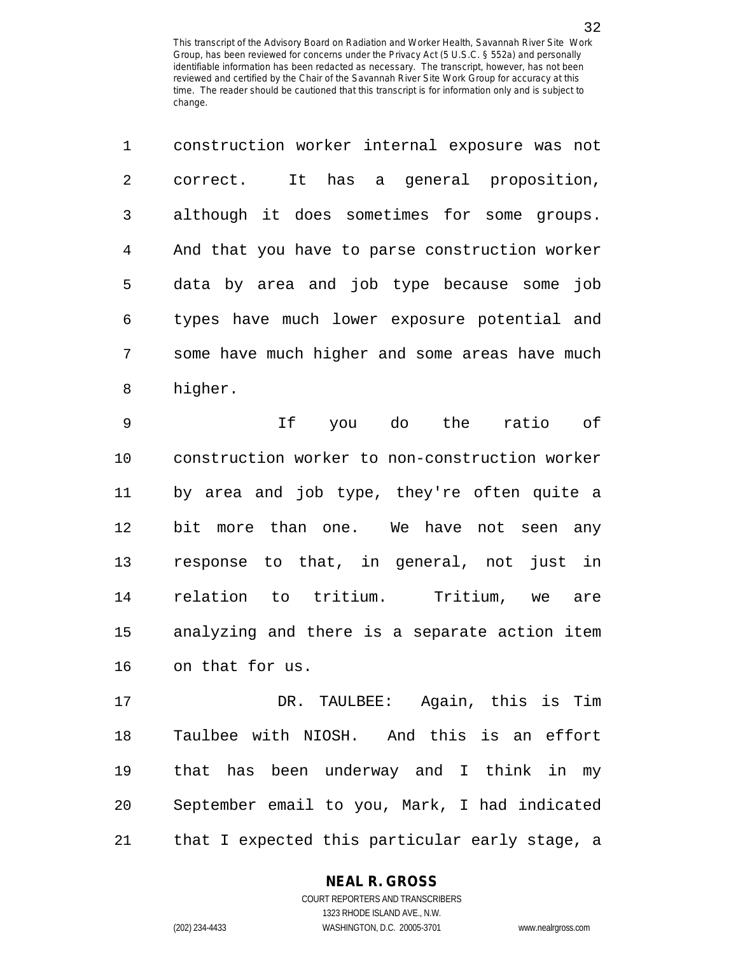|             | construction worker internal exposure was not  |
|-------------|------------------------------------------------|
| $2^{\circ}$ | It has a general proposition,<br>correct.      |
| 3           | although it does sometimes for some groups.    |
| 4           | And that you have to parse construction worker |
| 5           | data by area and job type because some job     |
| 6           | types have much lower exposure potential and   |
| 7           | some have much higher and some areas have much |
| 8           | higher.                                        |

9 If you do the ratio of 10 construction worker to non-construction worker 11 by area and job type, they're often quite a 12 bit more than one. We have not seen any 13 response to that, in general, not just in 14 relation to tritium. Tritium, we are 15 analyzing and there is a separate action item 16 on that for us.

17 DR. TAULBEE: Again, this is Tim 18 Taulbee with NIOSH. And this is an effort 19 that has been underway and I think in my 20 September email to you, Mark, I had indicated 21 that I expected this particular early stage, a

### **NEAL R. GROSS** COURT REPORTERS AND TRANSCRIBERS

1323 RHODE ISLAND AVE., N.W. (202) 234-4433 WASHINGTON, D.C. 20005-3701 www.nealrgross.com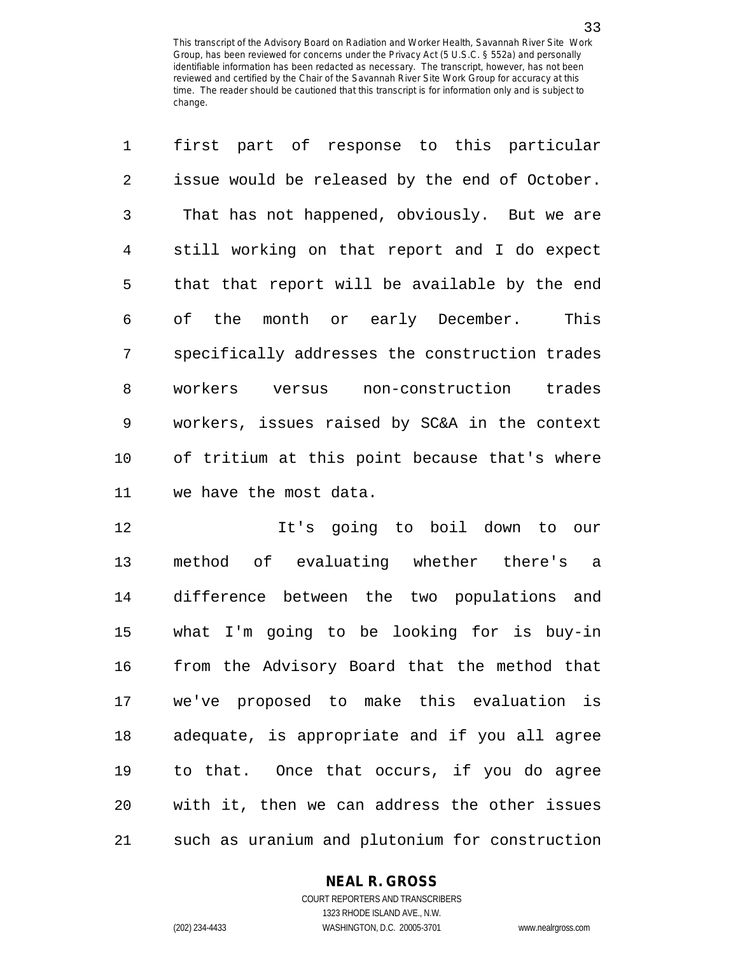1 first part of response to this particular 2 issue would be released by the end of October. 3 That has not happened, obviously. But we are 4 still working on that report and I do expect 5 that that report will be available by the end 6 of the month or early December. This 7 specifically addresses the construction trades 8 workers versus non-construction trades 9 workers, issues raised by SC&A in the context 10 of tritium at this point because that's where 11 we have the most data.

12 It's going to boil down to our 13 method of evaluating whether there's a 14 difference between the two populations and 15 what I'm going to be looking for is buy-in 16 from the Advisory Board that the method that 17 we've proposed to make this evaluation is 18 adequate, is appropriate and if you all agree 19 to that. Once that occurs, if you do agree 20 with it, then we can address the other issues 21 such as uranium and plutonium for construction

# **NEAL R. GROSS**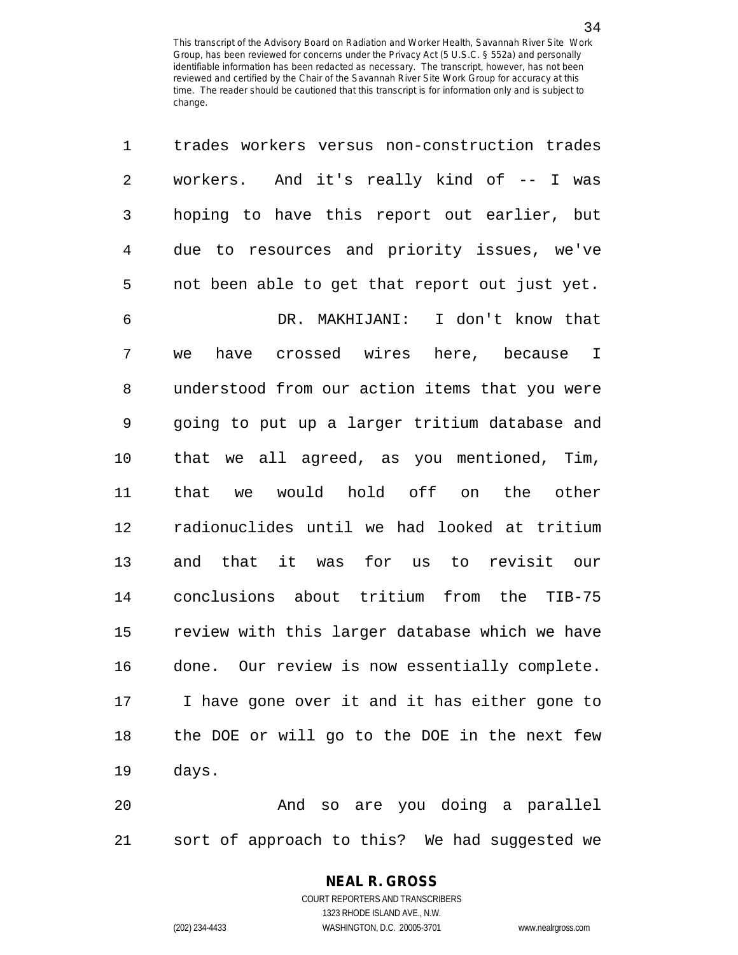| 1              | trades workers versus non-construction trades  |
|----------------|------------------------------------------------|
| 2              | workers. And it's really kind of -- I was      |
| 3              | hoping to have this report out earlier, but    |
| $\overline{4}$ | due to resources and priority issues, we've    |
| 5              | not been able to get that report out just yet. |
| 6              | DR. MAKHIJANI: I don't know that               |
| 7              | have crossed wires here, because I<br>we       |
| 8              | understood from our action items that you were |
| 9              | going to put up a larger tritium database and  |
| 10             | that we all agreed, as you mentioned, Tim,     |
| 11             | would hold off on the other<br>that<br>we      |
| 12             | radionuclides until we had looked at tritium   |
| 13             | and that it was for us to revisit our          |
| 14             | conclusions about tritium from the TIB-75      |
| 15             | review with this larger database which we have |
| 16             | done. Our review is now essentially complete.  |
| 17             | I have gone over it and it has either gone to  |
| 18             | the DOE or will go to the DOE in the next few  |
| 19             | days.                                          |
| 20             | And so are you doing a parallel                |

20 And so are you doing a parallel 21 sort of approach to this? We had suggested we

# **NEAL R. GROSS**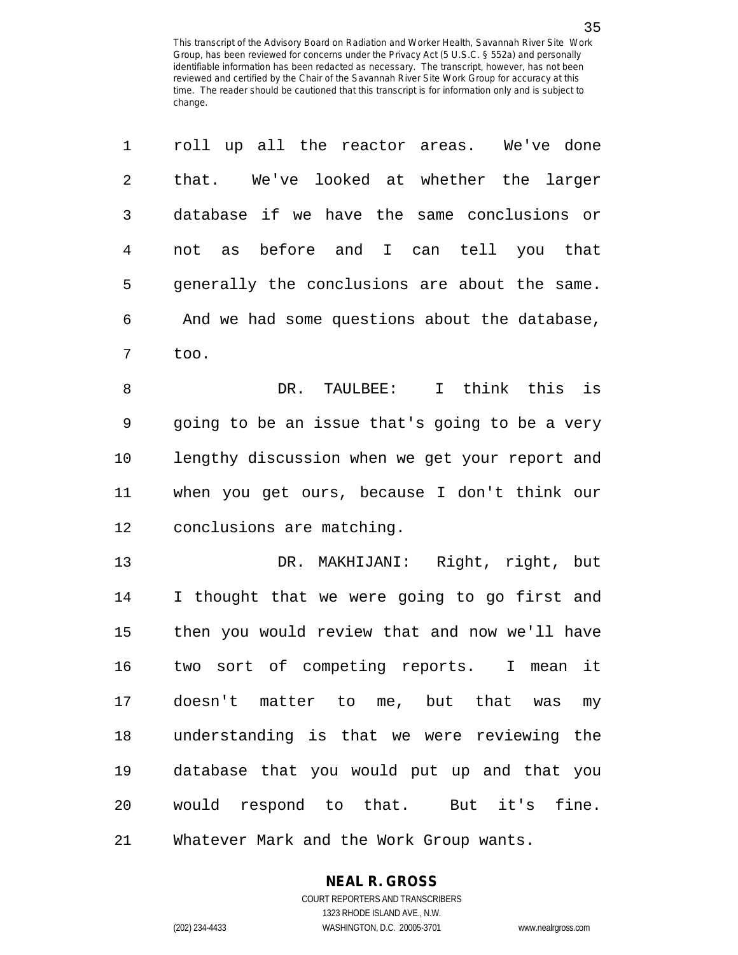| 1  | roll up all the reactor areas. We've done        |
|----|--------------------------------------------------|
| 2  | We've looked at whether the larger<br>that.      |
| 3  | database if we have the same conclusions or      |
| 4  | not as before and I can tell you that            |
| 5  | generally the conclusions are about the same.    |
| 6  | And we had some questions about the database,    |
| 7  | too.                                             |
| 8  | think this is<br>DR.<br>TAULBEE:<br>$\mathbf{I}$ |
| 9  | going to be an issue that's going to be a very   |
| 10 | lengthy discussion when we get your report and   |
| 11 | when you get ours, because I don't think our     |
| 12 | conclusions are matching.                        |
| 13 | MAKHIJANI: Right, right, but<br>DR.              |
| 14 | I thought that we were going to go first and     |
| 15 | then you would review that and now we'll have    |
| 16 | two sort of competing reports.<br>it<br>I mean   |
| 17 | doesn't matter to me, but that was my            |
| 18 | understanding is that we were reviewing the      |
| 19 | database that you would put up and that you      |
| 20 | would respond to that. But it's fine.            |
| 21 | Whatever Mark and the Work Group wants.          |

**NEAL R. GROSS**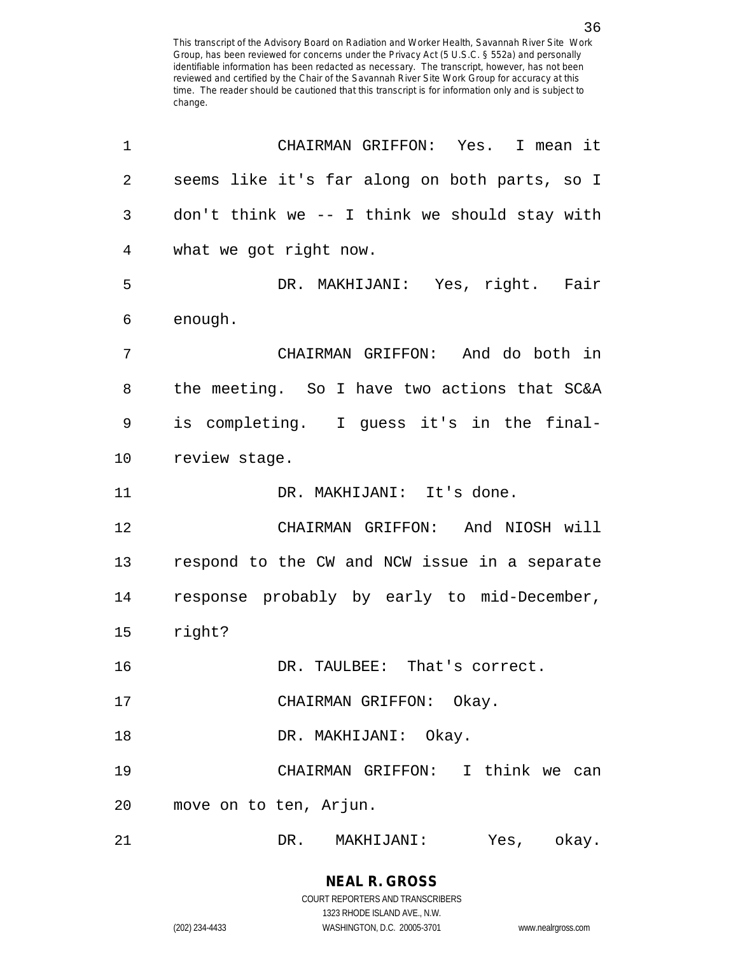| 1              | CHAIRMAN GRIFFON: Yes. I mean it              |
|----------------|-----------------------------------------------|
| $\overline{2}$ | seems like it's far along on both parts, so I |
| $\mathbf{3}$   | don't think we -- I think we should stay with |
| 4              | what we got right now.                        |
| 5              | DR. MAKHIJANI: Yes, right. Fair               |
| 6              | enough.                                       |
| 7              | CHAIRMAN GRIFFON: And do both in              |
| 8              | the meeting. So I have two actions that SC&A  |
| 9              | is completing. I guess it's in the final-     |
| 10             | review stage.                                 |
| 11             | DR. MAKHIJANI: It's done.                     |
| 12             | CHAIRMAN GRIFFON: And NIOSH will              |
| 13             | respond to the CW and NCW issue in a separate |
| 14             | response probably by early to mid-December,   |
| 15             | right?                                        |
| 16             | DR. TAULBEE: That's correct.                  |
| 17             | CHAIRMAN GRIFFON: Okay.                       |
| 18             | DR. MAKHIJANI: Okay.                          |
| 19             | CHAIRMAN GRIFFON: I think we can              |
| 20             | move on to ten, Arjun.                        |
| 21             | DR. MAKHIJANI:<br>Yes, okay.                  |

COURT REPORTERS AND TRANSCRIBERS 1323 RHODE ISLAND AVE., N.W. (202) 234-4433 WASHINGTON, D.C. 20005-3701 www.nealrgross.com

**NEAL R. GROSS**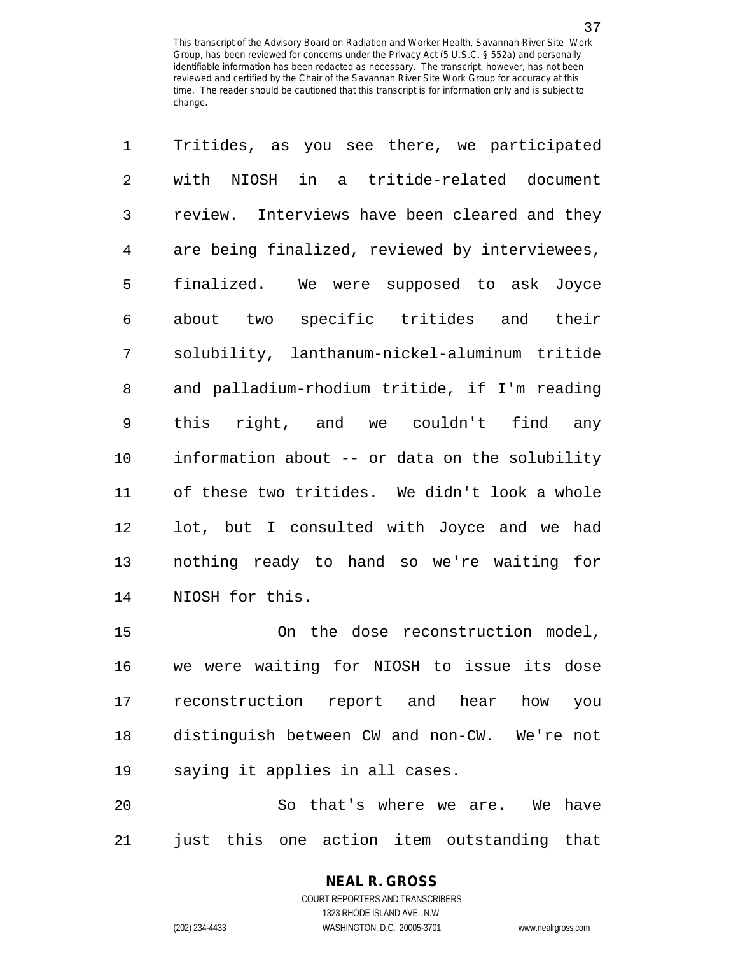| with NIOSH in a tritide-related document<br>review. Interviews have been cleared and they<br>are being finalized, reviewed by interviewees,<br>finalized. We were supposed to ask Joyce<br>about two specific tritides and their<br>solubility, lanthanum-nickel-aluminum tritide<br>and palladium-rhodium tritide, if I'm reading<br>right, and we couldn't find any<br>this<br>information about -- or data on the solubility<br>of these two tritides. We didn't look a whole<br>lot, but I consulted with Joyce and we had |
|--------------------------------------------------------------------------------------------------------------------------------------------------------------------------------------------------------------------------------------------------------------------------------------------------------------------------------------------------------------------------------------------------------------------------------------------------------------------------------------------------------------------------------|
|                                                                                                                                                                                                                                                                                                                                                                                                                                                                                                                                |
|                                                                                                                                                                                                                                                                                                                                                                                                                                                                                                                                |
|                                                                                                                                                                                                                                                                                                                                                                                                                                                                                                                                |
|                                                                                                                                                                                                                                                                                                                                                                                                                                                                                                                                |
|                                                                                                                                                                                                                                                                                                                                                                                                                                                                                                                                |
|                                                                                                                                                                                                                                                                                                                                                                                                                                                                                                                                |
|                                                                                                                                                                                                                                                                                                                                                                                                                                                                                                                                |
|                                                                                                                                                                                                                                                                                                                                                                                                                                                                                                                                |
|                                                                                                                                                                                                                                                                                                                                                                                                                                                                                                                                |
|                                                                                                                                                                                                                                                                                                                                                                                                                                                                                                                                |
|                                                                                                                                                                                                                                                                                                                                                                                                                                                                                                                                |
| nothing ready to hand so we're waiting for                                                                                                                                                                                                                                                                                                                                                                                                                                                                                     |
| NIOSH for this.                                                                                                                                                                                                                                                                                                                                                                                                                                                                                                                |
| On the dose reconstruction model,                                                                                                                                                                                                                                                                                                                                                                                                                                                                                              |
| were waiting for NIOSH to issue its dose<br>we                                                                                                                                                                                                                                                                                                                                                                                                                                                                                 |
|                                                                                                                                                                                                                                                                                                                                                                                                                                                                                                                                |

17 reconstruction report and hear how you 18 distinguish between CW and non-CW. We're not 19 saying it applies in all cases.

20 So that's where we are. We have 21 just this one action item outstanding that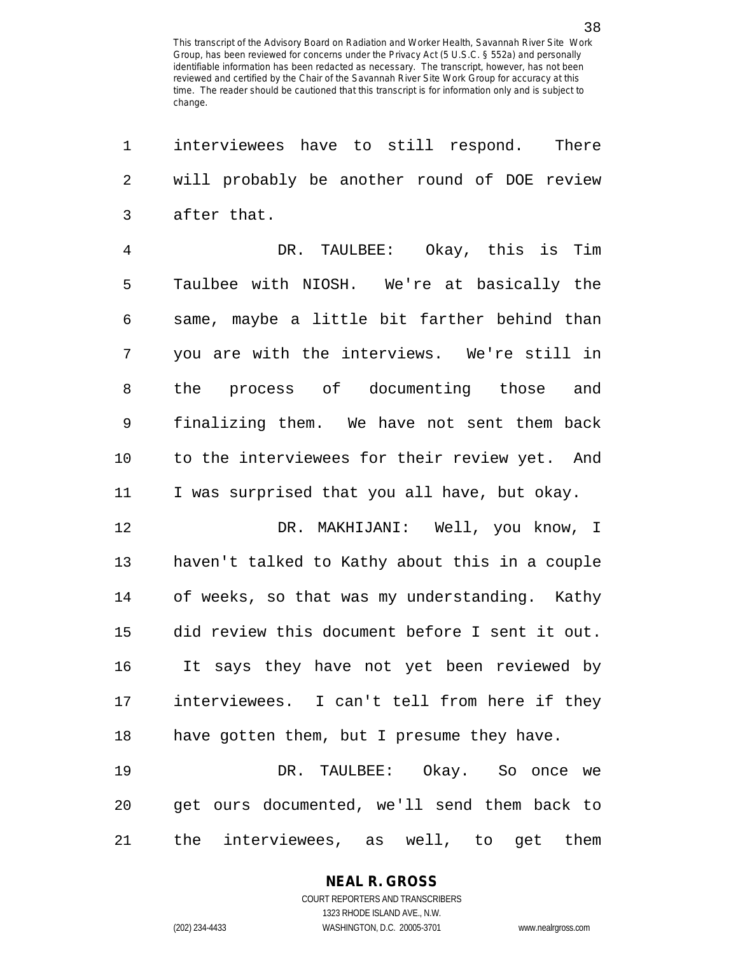1 interviewees have to still respond. There 2 will probably be another round of DOE review 3 after that.

4 DR. TAULBEE: Okay, this is Tim 5 Taulbee with NIOSH. We're at basically the 6 same, maybe a little bit farther behind than 7 you are with the interviews. We're still in 8 the process of documenting those and 9 finalizing them. We have not sent them back 10 to the interviewees for their review yet. And 11 I was surprised that you all have, but okay.

12 DR. MAKHIJANI: Well, you know, I 13 haven't talked to Kathy about this in a couple 14 of weeks, so that was my understanding. Kathy 15 did review this document before I sent it out. 16 It says they have not yet been reviewed by 17 interviewees. I can't tell from here if they 18 have gotten them, but I presume they have.

19 DR. TAULBEE: Okay. So once we 20 get ours documented, we'll send them back to 21 the interviewees, as well, to get them

#### **NEAL R. GROSS**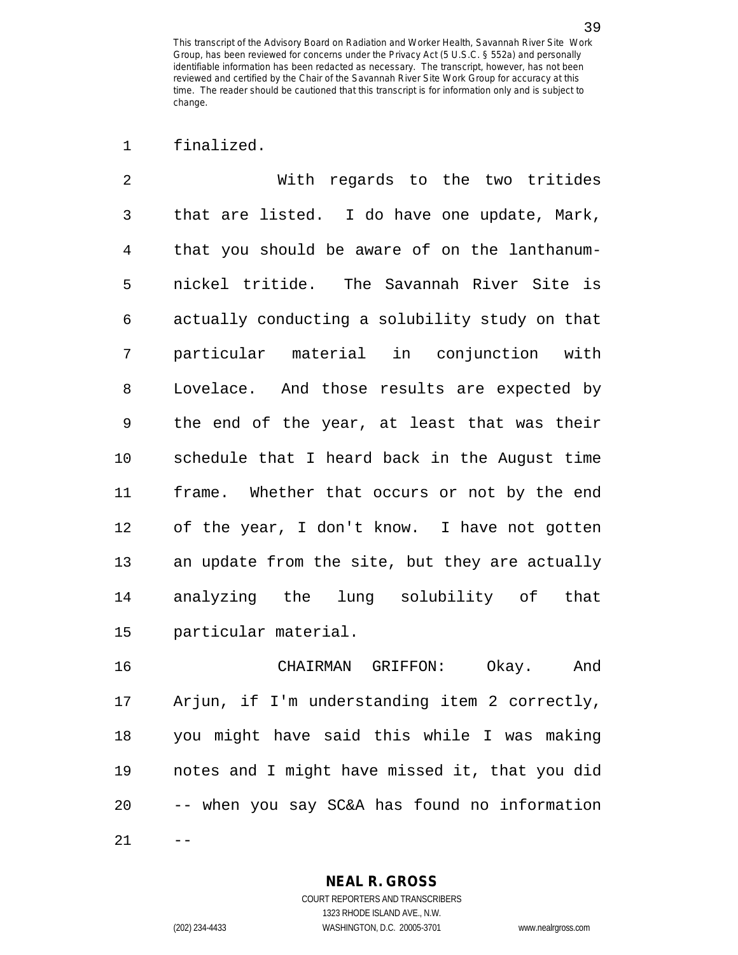1 finalized.

2 With regards to the two tritides 3 that are listed. I do have one update, Mark, 4 that you should be aware of on the lanthanum-5 nickel tritide. The Savannah River Site is 6 actually conducting a solubility study on that 7 particular material in conjunction with 8 Lovelace. And those results are expected by 9 the end of the year, at least that was their 10 schedule that I heard back in the August time 11 frame. Whether that occurs or not by the end 12 of the year, I don't know. I have not gotten 13 an update from the site, but they are actually 14 analyzing the lung solubility of that 15 particular material.

16 CHAIRMAN GRIFFON: Okay. And 17 Arjun, if I'm understanding item 2 correctly, 18 you might have said this while I was making 19 notes and I might have missed it, that you did 20 -- when you say SC&A has found no information  $21$ 

> **NEAL R. GROSS** COURT REPORTERS AND TRANSCRIBERS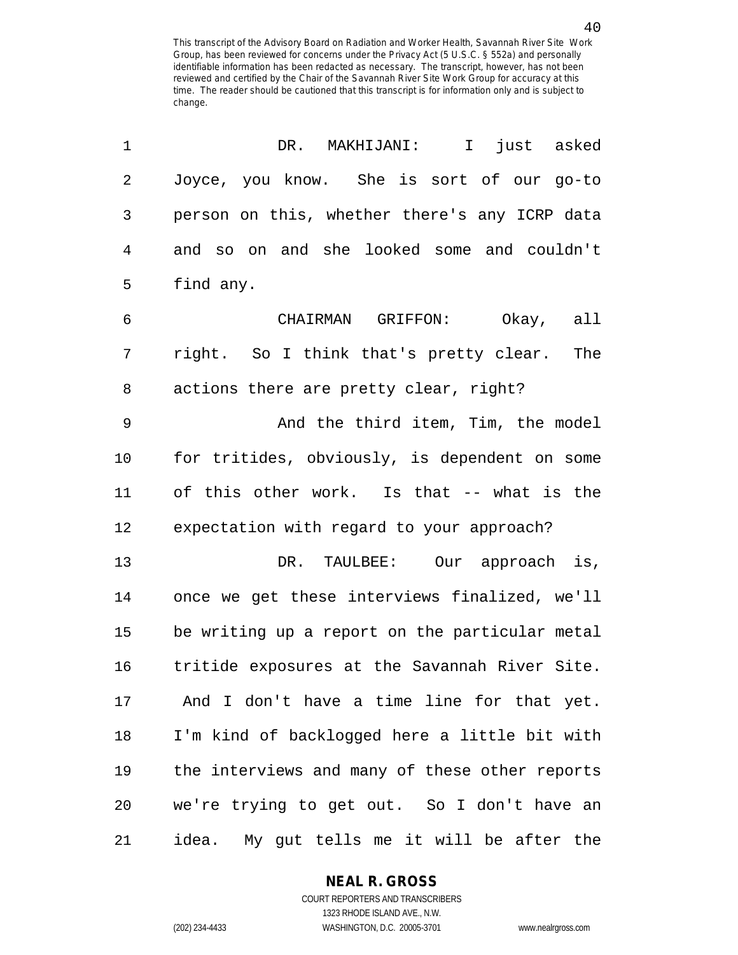1 DR. MAKHIJANI: I just asked 2 Joyce, you know. She is sort of our go-to 3 person on this, whether there's any ICRP data 4 and so on and she looked some and couldn't 5 find any. 6 CHAIRMAN GRIFFON: Okay, all 7 right. So I think that's pretty clear. The 8 actions there are pretty clear, right? 9 And the third item, Tim, the model 10 for tritides, obviously, is dependent on some 11 of this other work. Is that -- what is the 12 expectation with regard to your approach? 13 DR. TAULBEE: Our approach is, 14 once we get these interviews finalized, we'll 15 be writing up a report on the particular metal 16 tritide exposures at the Savannah River Site. 17 And I don't have a time line for that yet. 18 I'm kind of backlogged here a little bit with 19 the interviews and many of these other reports 20 we're trying to get out. So I don't have an 21 idea. My gut tells me it will be after the

> **NEAL R. GROSS** COURT REPORTERS AND TRANSCRIBERS

1323 RHODE ISLAND AVE., N.W. (202) 234-4433 WASHINGTON, D.C. 20005-3701 www.nealrgross.com

40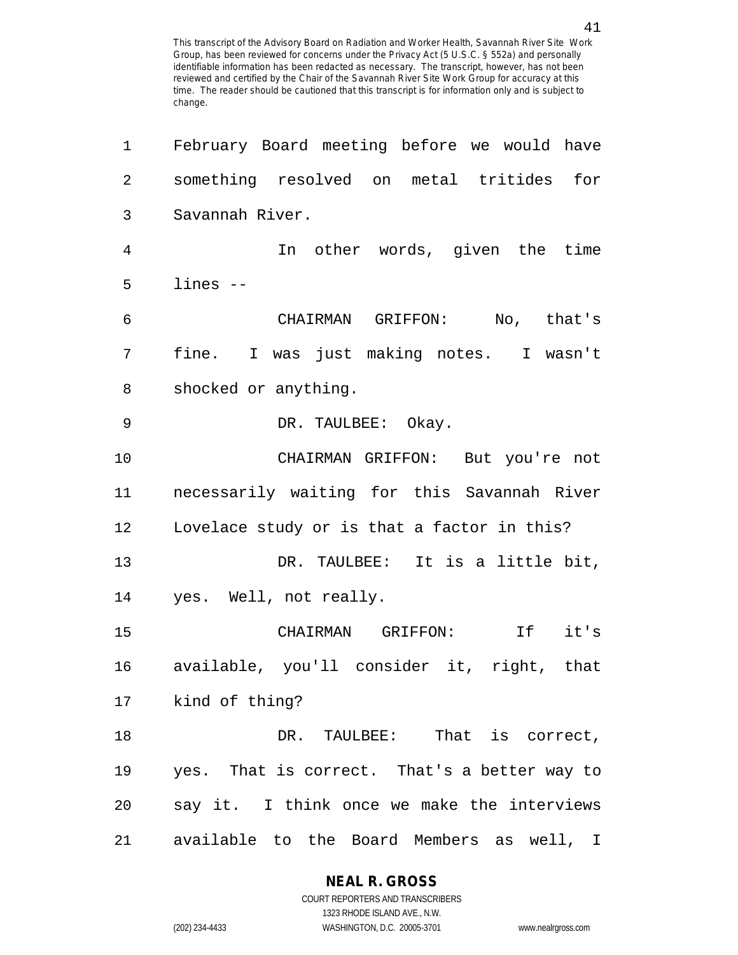1 February Board meeting before we would have 2 something resolved on metal tritides for 3 Savannah River. 4 In other words, given the time 5 lines -- 6 CHAIRMAN GRIFFON: No, that's 7 fine. I was just making notes. I wasn't 8 shocked or anything. 9 DR. TAULBEE: Okay. 10 CHAIRMAN GRIFFON: But you're not 11 necessarily waiting for this Savannah River 12 Lovelace study or is that a factor in this? 13 DR. TAULBEE: It is a little bit, 14 yes. Well, not really. 15 CHAIRMAN GRIFFON: If it's 16 available, you'll consider it, right, that 17 kind of thing? 18 DR. TAULBEE: That is correct, 19 yes. That is correct. That's a better way to 20 say it. I think once we make the interviews 21 available to the Board Members as well, I

**NEAL R. GROSS**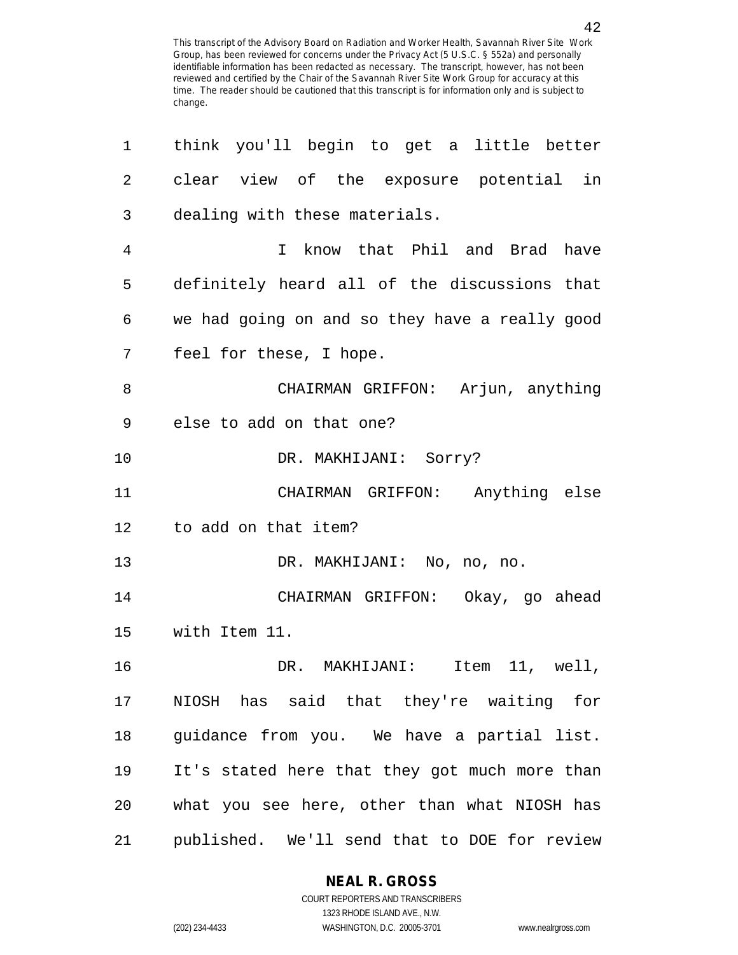| 1  | think you'll begin to get a little better      |
|----|------------------------------------------------|
| 2  | clear view of the exposure potential in        |
| 3  | dealing with these materials.                  |
| 4  | I know that Phil and Brad have                 |
| 5  | definitely heard all of the discussions that   |
| 6  | we had going on and so they have a really good |
| 7  | feel for these, I hope.                        |
| 8  | CHAIRMAN GRIFFON: Arjun, anything              |
| 9  | else to add on that one?                       |
| 10 | DR. MAKHIJANI: Sorry?                          |
| 11 | CHAIRMAN GRIFFON: Anything else                |
| 12 | to add on that item?                           |
| 13 | DR. MAKHIJANI: No, no, no.                     |
| 14 | CHAIRMAN GRIFFON: Okay, go ahead               |
| 15 | with Item 11.                                  |
| 16 | Item 11, well,<br>DR. MAKHIJANI:               |
| 17 | NIOSH has said that they're waiting for        |
| 18 | guidance from you. We have a partial list.     |
| 19 | It's stated here that they got much more than  |
| 20 | what you see here, other than what NIOSH has   |
| 21 | published. We'll send that to DOE for review   |

**NEAL R. GROSS**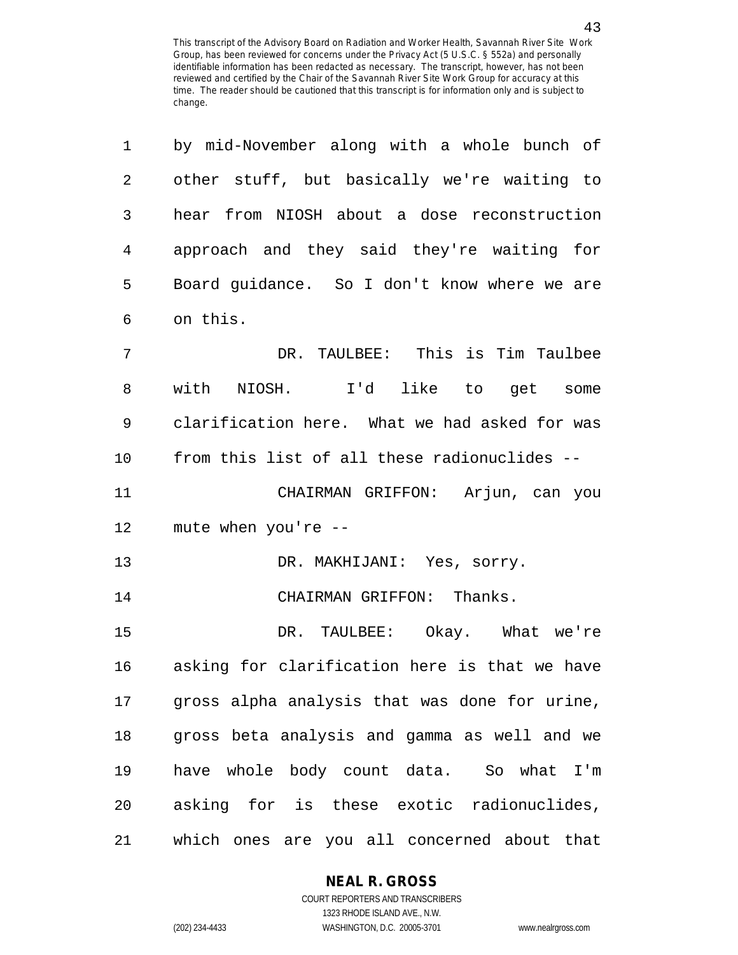| $\mathbf 1$ | by mid-November along with a whole bunch of   |
|-------------|-----------------------------------------------|
| 2           | other stuff, but basically we're waiting to   |
| 3           | hear from NIOSH about a dose reconstruction   |
| 4           | approach and they said they're waiting for    |
| 5           | Board guidance. So I don't know where we are  |
| 6           | on this.                                      |
| 7           | DR. TAULBEE: This is Tim Taulbee              |
| 8           | with NIOSH. I'd like to get some              |
| 9           | clarification here. What we had asked for was |
| 10          | from this list of all these radionuclides --  |
| 11          | CHAIRMAN GRIFFON: Arjun, can you              |
| 12          | mute when you're --                           |
| 13          | DR. MAKHIJANI: Yes, sorry.                    |
| 14          | CHAIRMAN GRIFFON: Thanks.                     |
| 15          | DR. TAULBEE: Okay. What we're                 |
| 16          | asking for clarification here is that we have |
| 17          | gross alpha analysis that was done for urine, |
| 18          | gross beta analysis and gamma as well and we  |
| 19          | have whole body count data. So what I'm       |
| 20          | asking for is these exotic radionuclides,     |
| 21          | which ones are you all concerned about that   |

#### **NEAL R. GROSS**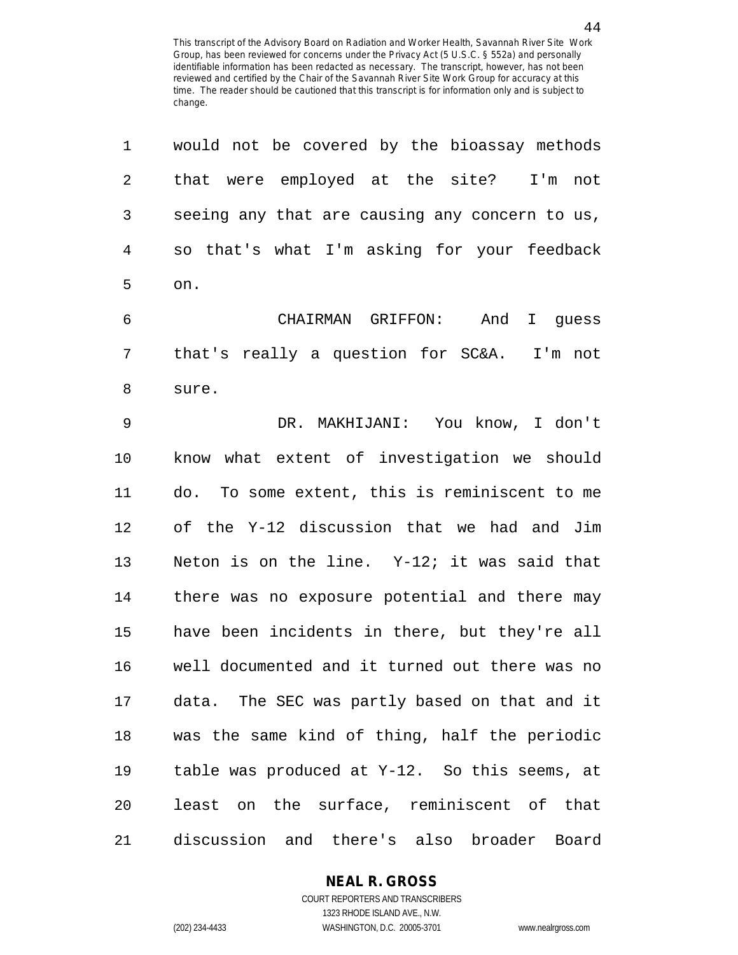| 1              | would not be covered by the bioassay methods   |
|----------------|------------------------------------------------|
| $\overline{2}$ | that were employed at the site? I'm not        |
| $\mathfrak{Z}$ | seeing any that are causing any concern to us, |
| 4              | so that's what I'm asking for your feedback    |
| 5              | on.                                            |
| 6              | CHAIRMAN GRIFFON: And I guess                  |
| 7              | that's really a question for SC&A. I'm not     |
| 8              | sure.                                          |
| 9              | DR. MAKHIJANI: You know, I don't               |
| 10             | know what extent of investigation we should    |
| 11             | do. To some extent, this is reminiscent to me  |
| 12             | of the Y-12 discussion that we had and Jim     |
| 13             | Neton is on the line. Y-12; it was said that   |
| 14             | there was no exposure potential and there may  |
| 15             | have been incidents in there, but they're all  |
| 16             | well documented and it turned out there was no |
| 17             | data. The SEC was partly based on that and it  |
| 18             | was the same kind of thing, half the periodic  |
| 19             | table was produced at Y-12. So this seems, at  |
| 20             | least on the surface, reminiscent of that      |
| 21             | discussion and there's also broader Board      |

1323 RHODE ISLAND AVE., N.W.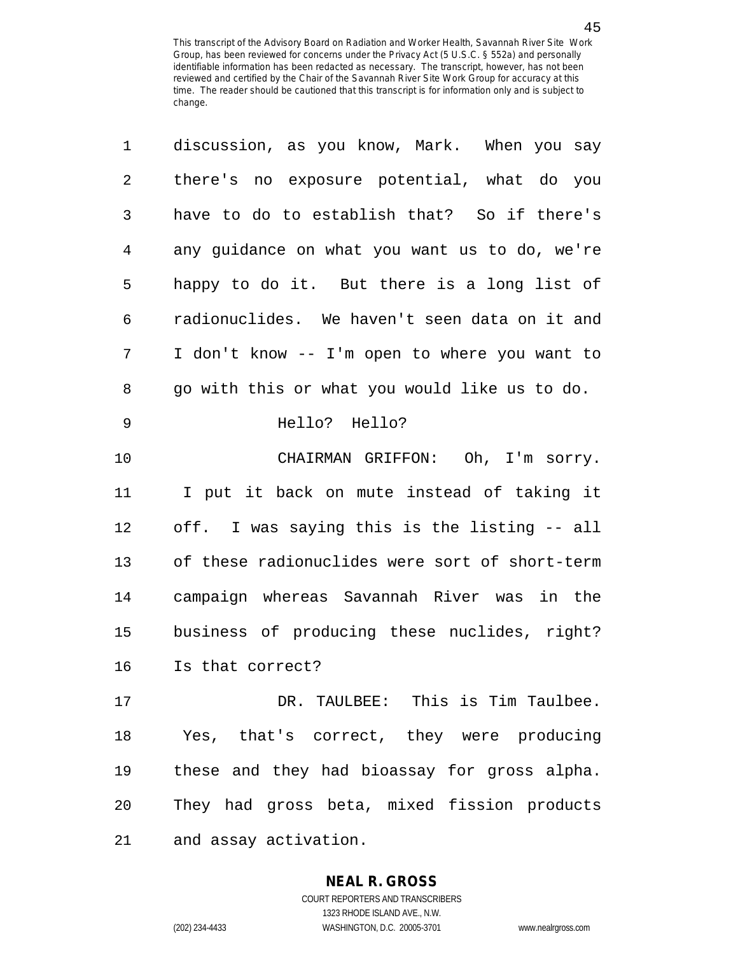| 1  | discussion, as you know, Mark. When you say    |
|----|------------------------------------------------|
| 2  | there's no exposure potential, what do you     |
| 3  | have to do to establish that? So if there's    |
| 4  | any guidance on what you want us to do, we're  |
| 5  | happy to do it. But there is a long list of    |
| 6  | radionuclides. We haven't seen data on it and  |
| 7  | I don't know -- I'm open to where you want to  |
| 8  | go with this or what you would like us to do.  |
| 9  | Hello? Hello?                                  |
| 10 | CHAIRMAN GRIFFON: Oh, I'm sorry.               |
| 11 | I put it back on mute instead of taking it     |
| 12 | off. I was saying this is the listing -- all   |
| 13 | of these radionuclides were sort of short-term |
| 14 | campaign whereas Savannah River was in the     |
| 15 | business of producing these nuclides, right?   |
| 16 | Is that correct?                               |
| 17 | DR. TAULBEE: This is Tim Taulbee.              |
| 18 | Yes, that's correct, they were producing       |
| 19 | these and they had bioassay for gross alpha.   |
| 20 | They had gross beta, mixed fission products    |
| 21 | and assay activation.                          |

1323 RHODE ISLAND AVE., N.W.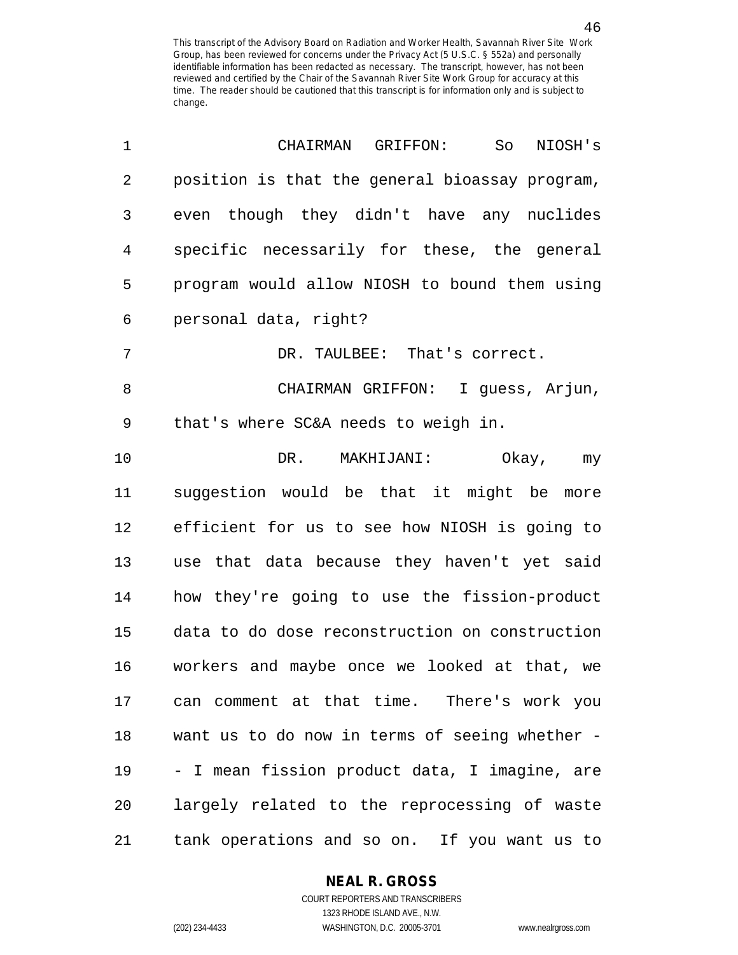| 1  | CHAIRMAN GRIFFON:<br>So<br>NIOSH's             |
|----|------------------------------------------------|
| 2  | position is that the general bioassay program, |
| 3  | even though they didn't have any nuclides      |
| 4  | specific necessarily for these, the general    |
| 5  | program would allow NIOSH to bound them using  |
| 6  | personal data, right?                          |
| 7  | DR. TAULBEE: That's correct.                   |
| 8  | CHAIRMAN GRIFFON: I quess, Arjun,              |
| 9  | that's where SC&A needs to weigh in.           |
| 10 | DR.<br>MAKHIJANI:<br>Okay,<br>my               |
| 11 | suggestion would be that it might be<br>more   |
| 12 | efficient for us to see how NIOSH is going to  |
| 13 | use that data because they haven't yet said    |
| 14 | how they're going to use the fission-product   |
| 15 | data to do dose reconstruction on construction |
| 16 | workers and maybe once we looked at that, we   |
| 17 | can comment at that time. There's work you     |
| 18 | want us to do now in terms of seeing whether - |
| 19 | - I mean fission product data, I imagine, are  |
| 20 | largely related to the reprocessing of waste   |
| 21 | tank operations and so on. If you want us to   |

1323 RHODE ISLAND AVE., N.W. (202) 234-4433 WASHINGTON, D.C. 20005-3701 www.nealrgross.com

46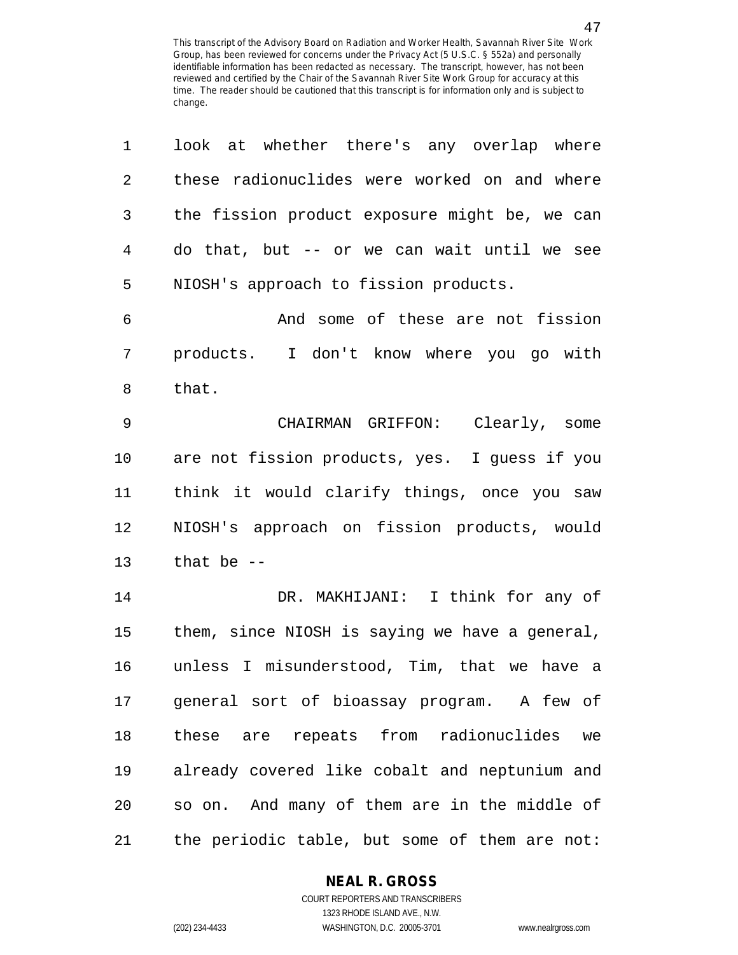| 1              | look at whether there's any overlap where      |
|----------------|------------------------------------------------|
| $\overline{2}$ | these radionuclides were worked on and where   |
| 3              | the fission product exposure might be, we can  |
| $\overline{4}$ | do that, but -- or we can wait until we see    |
| 5              | NIOSH's approach to fission products.          |
| 6              | And some of these are not fission              |
| 7              | products. I don't know where you go with       |
| 8              | that.                                          |
| 9              | CHAIRMAN GRIFFON: Clearly, some                |
| 10             | are not fission products, yes. I guess if you  |
| 11             | think it would clarify things, once you saw    |
| 12             | NIOSH's approach on fission products, would    |
| 13             | that be $-$                                    |
| 14             | DR. MAKHIJANI: I think for any of              |
| 15             | them, since NIOSH is saying we have a general, |
| 16             | unless I misunderstood, Tim, that we have a    |
| 17             | general sort of bioassay program. A few of     |
| 18             | these are repeats from radionuclides we        |
| 19             | already covered like cobalt and neptunium and  |
| 20             | so on. And many of them are in the middle of   |
| 21             | the periodic table, but some of them are not:  |

#### **NEAL R. GROSS**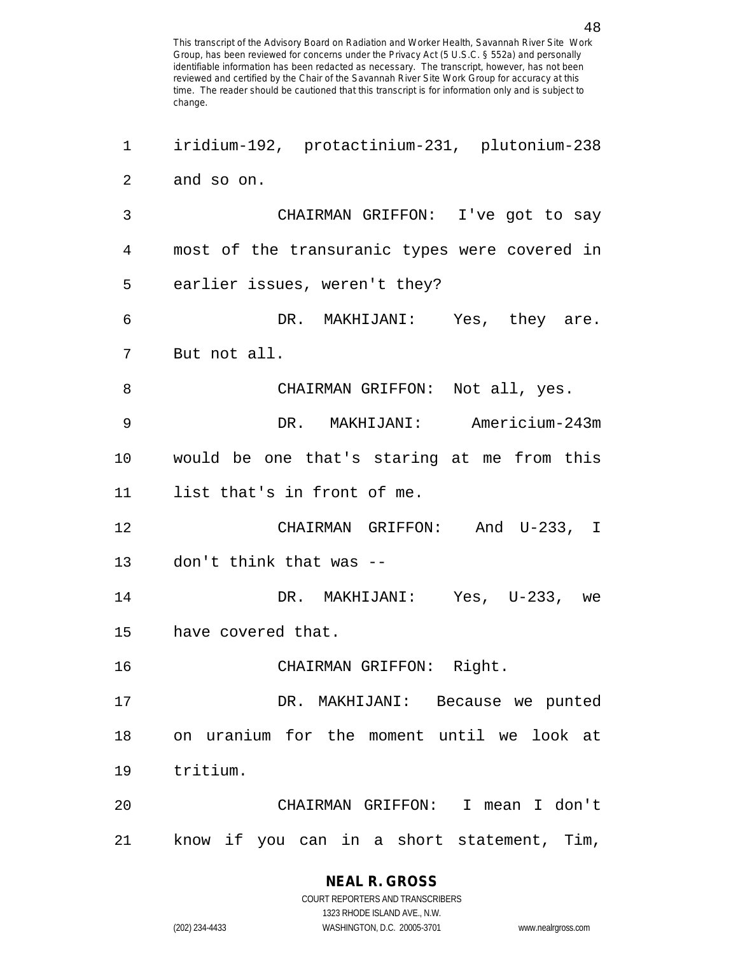1 iridium-192, protactinium-231, plutonium-238 2 and so on. 3 CHAIRMAN GRIFFON: I've got to say 4 most of the transuranic types were covered in 5 earlier issues, weren't they? 6 DR. MAKHIJANI: Yes, they are. 7 But not all. 8 CHAIRMAN GRIFFON: Not all, yes. 9 DR. MAKHIJANI: Americium-243m 10 would be one that's staring at me from this 11 list that's in front of me. 12 CHAIRMAN GRIFFON: And U-233, I 13 don't think that was -- 14 DR. MAKHIJANI: Yes, U-233, we 15 have covered that. 16 CHAIRMAN GRIFFON: Right. 17 DR. MAKHIJANI: Because we punted 18 on uranium for the moment until we look at 19 tritium. 20 CHAIRMAN GRIFFON: I mean I don't 21 know if you can in a short statement, Tim,

**NEAL R. GROSS**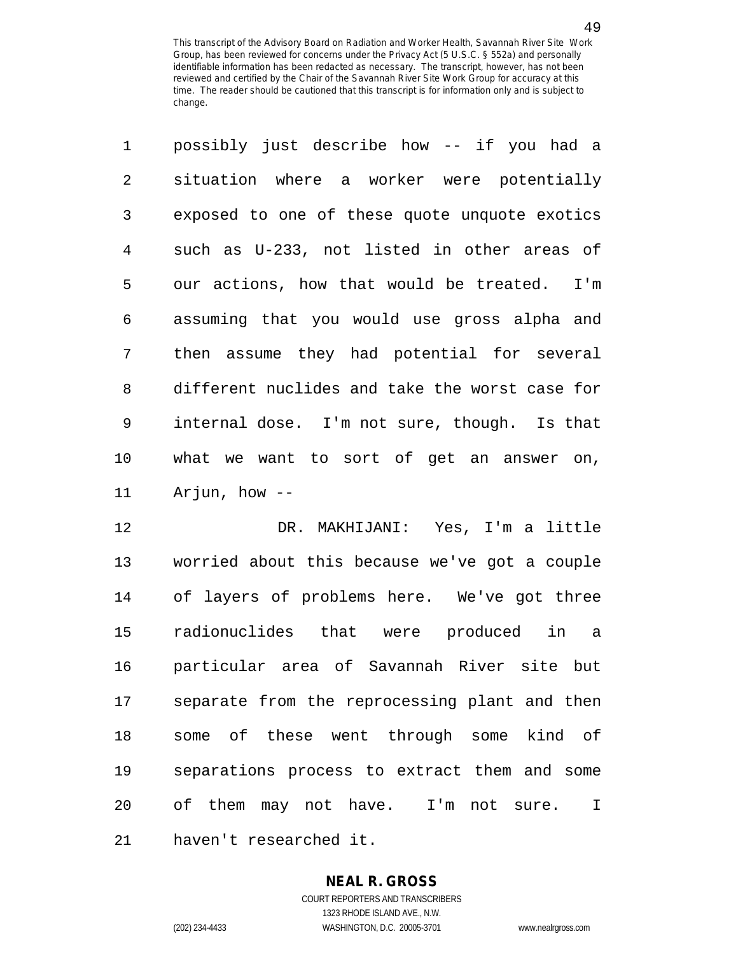| $\mathbf 1$ | possibly just describe how -- if you had a     |
|-------------|------------------------------------------------|
| 2           | situation where a worker were potentially      |
| 3           | exposed to one of these quote unquote exotics  |
| 4           | such as U-233, not listed in other areas of    |
| 5           | our actions, how that would be treated. I'm    |
| 6           | assuming that you would use gross alpha and    |
| 7           | then assume they had potential for several     |
| 8           | different nuclides and take the worst case for |
| 9           | internal dose. I'm not sure, though. Is that   |
| 10          | what we want to sort of get an answer on,      |
| 11          | Arjun, how --                                  |

12 DR. MAKHIJANI: Yes, I'm a little 13 worried about this because we've got a couple 14 of layers of problems here. We've got three 15 radionuclides that were produced in a 16 particular area of Savannah River site but 17 separate from the reprocessing plant and then 18 some of these went through some kind of 19 separations process to extract them and some 20 of them may not have. I'm not sure. I 21 haven't researched it.

## **NEAL R. GROSS**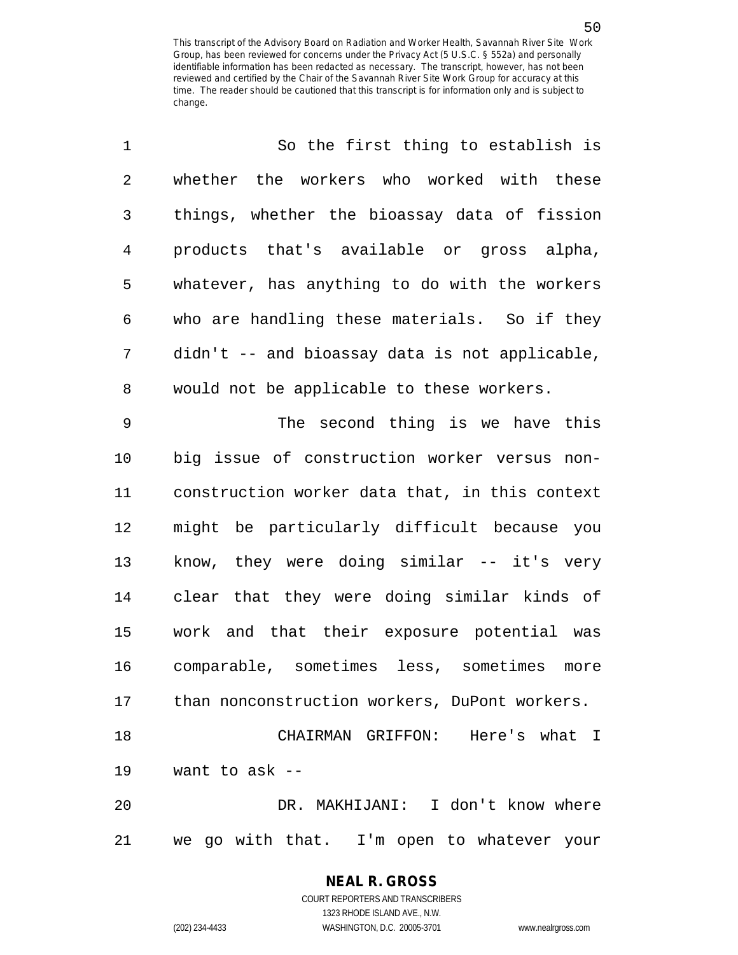| 1              | So the first thing to establish is             |
|----------------|------------------------------------------------|
| $\sqrt{2}$     | whether the workers who worked with these      |
| 3              | things, whether the bioassay data of fission   |
| $\overline{4}$ | products that's available or gross alpha,      |
| 5              | whatever, has anything to do with the workers  |
| 6              | who are handling these materials. So if they   |
| 7              | didn't -- and bioassay data is not applicable, |
| 8              | would not be applicable to these workers.      |
| 9              | The second thing is we have this               |
| 10             | big issue of construction worker versus non-   |
| 11             | construction worker data that, in this context |
| 12             | might be particularly difficult because you    |
| 13             | know, they were doing similar -- it's very     |
| 14             | clear that they were doing similar kinds of    |
| 15             | work and that their exposure potential was     |
| 16             | comparable, sometimes less, sometimes<br>more  |
| 17             | than nonconstruction workers, DuPont workers.  |
| 18             | CHAIRMAN GRIFFON: Here's what I                |
| 19             | want to ask --                                 |
| 20             | DR. MAKHIJANI: I don't know where              |
| 21             | we go with that. I'm open to whatever your     |

**NEAL R. GROSS** COURT REPORTERS AND TRANSCRIBERS

1323 RHODE ISLAND AVE., N.W.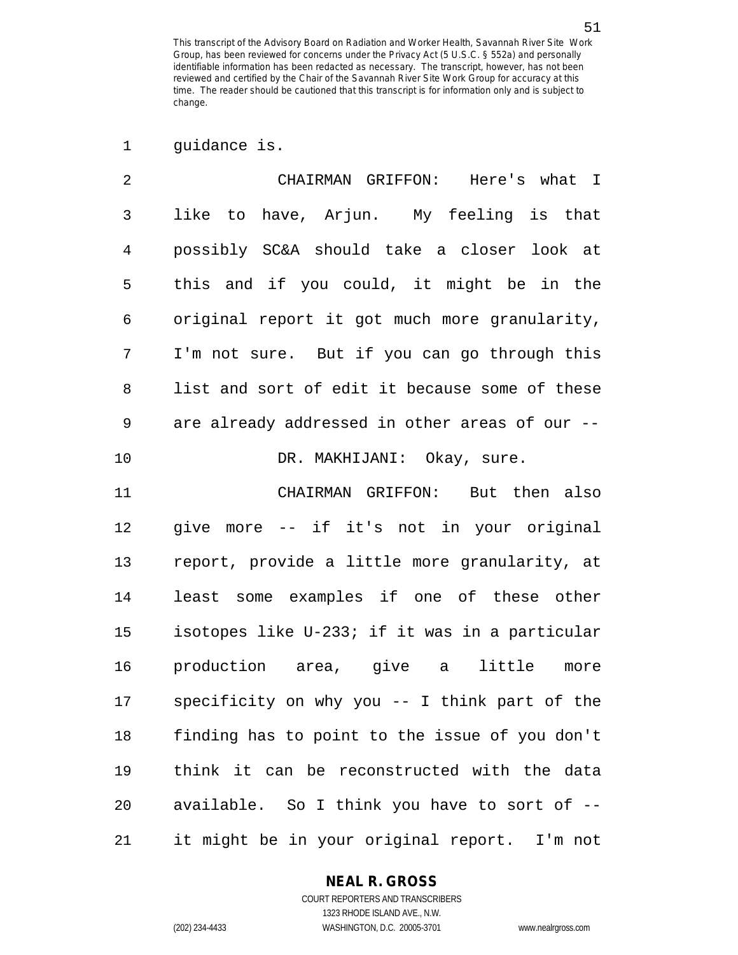51

1 guidance is.

| 2  | CHAIRMAN GRIFFON: Here's what I                  |
|----|--------------------------------------------------|
| 3  | like to have, Arjun. My feeling is that          |
| 4  | possibly SC&A should take a closer look at       |
| 5  | this and if you could, it might be in the        |
| 6  | original report it got much more granularity,    |
| 7  | I'm not sure. But if you can go through this     |
| 8  | list and sort of edit it because some of these   |
| 9  | are already addressed in other areas of our --   |
| 10 | DR. MAKHIJANI: Okay, sure.                       |
| 11 | CHAIRMAN GRIFFON: But then also                  |
| 12 | give more -- if it's not in your original        |
| 13 | report, provide a little more granularity, at    |
| 14 | least some examples if one of these other        |
| 15 | isotopes like U-233; if it was in a particular   |
| 16 | production area, give a little<br>more           |
| 17 | specificity on why you $-$ - I think part of the |
| 18 | finding has to point to the issue of you don't   |
| 19 | think it can be reconstructed with the data      |
| 20 | available. So I think you have to sort of --     |
| 21 | it might be in your original report. I'm not     |

#### **NEAL R. GROSS** COURT REPORTERS AND TRANSCRIBERS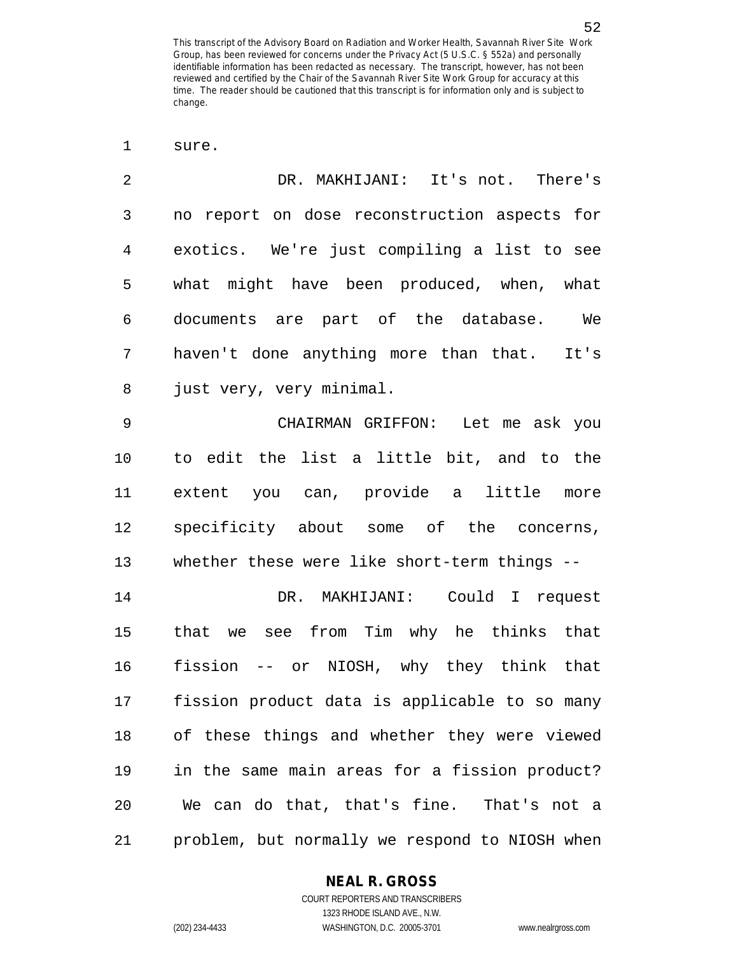1 sure.

| $\overline{2}$ | DR. MAKHIJANI: It's not. There's              |
|----------------|-----------------------------------------------|
| 3              | no report on dose reconstruction aspects for  |
| $\overline{4}$ | exotics. We're just compiling a list to see   |
| 5              | what might have been produced, when, what     |
| 6              | documents are part of the database. We        |
| 7              | haven't done anything more than that. It's    |
| 8              | just very, very minimal.                      |
| $\mathsf 9$    | CHAIRMAN GRIFFON: Let me ask you              |
| 10             | to edit the list a little bit, and to the     |
| 11             | extent you can, provide a little more         |
| 12             | specificity about some of the concerns,       |
| 13             | whether these were like short-term things --  |
| 14             | DR. MAKHIJANI: Could I request                |
| 15             | we see from Tim why he thinks that<br>that    |
| 16             | fission -- or NIOSH, why they think that      |
| 17             | fission product data is applicable to so many |
| 18             | of these things and whether they were viewed  |
| 19             | in the same main areas for a fission product? |

20 We can do that, that's fine. That's not a 21 problem, but normally we respond to NIOSH when

#### **NEAL R. GROSS**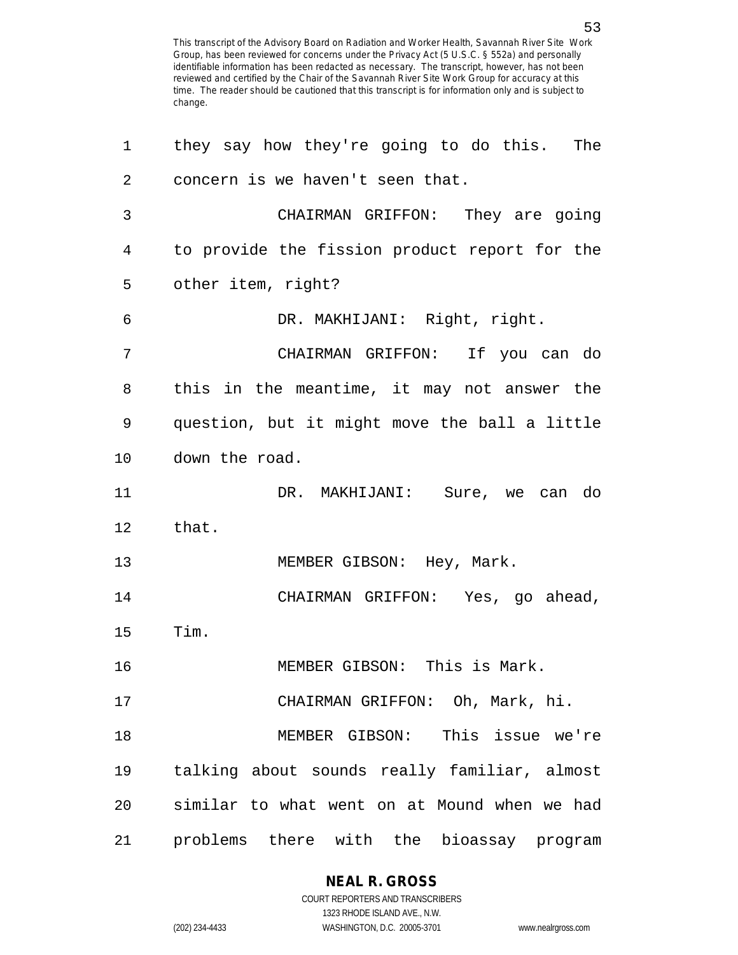| 1  | they say how they're going to do this. The    |
|----|-----------------------------------------------|
| 2  | concern is we haven't seen that.              |
| 3  | CHAIRMAN GRIFFON: They are going              |
| 4  | to provide the fission product report for the |
| 5  | other item, right?                            |
| 6  | DR. MAKHIJANI: Right, right.                  |
| 7  | CHAIRMAN GRIFFON: If you can do               |
| 8  | this in the meantime, it may not answer the   |
| 9  | question, but it might move the ball a little |
| 10 | down the road.                                |
| 11 | DR. MAKHIJANI: Sure, we can do                |
| 12 | that.                                         |
| 13 | MEMBER GIBSON: Hey, Mark.                     |
| 14 | CHAIRMAN GRIFFON: Yes, go ahead,              |
| 15 | Tim.                                          |
| 16 | MEMBER GIBSON: This is Mark.                  |
| 17 | CHAIRMAN GRIFFON: Oh, Mark, hi.               |
| 18 | MEMBER GIBSON: This issue we're               |
| 19 | talking about sounds really familiar, almost  |
| 20 | similar to what went on at Mound when we had  |
| 21 | problems there with the bioassay program      |

**NEAL R. GROSS**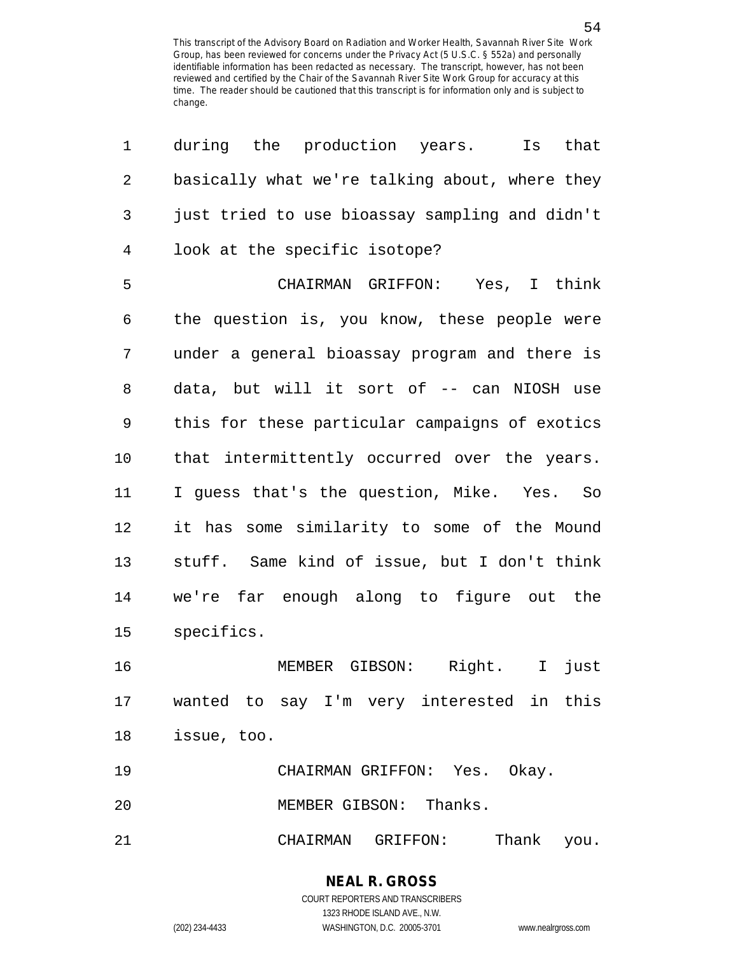| 1              | during the production years.<br>Is<br>that     |
|----------------|------------------------------------------------|
| $\overline{2}$ | basically what we're talking about, where they |
| $\mathbf{3}$   | just tried to use bioassay sampling and didn't |
| $\overline{4}$ | look at the specific isotope?                  |
| 5              | CHAIRMAN GRIFFON: Yes, I think                 |
| 6              | the question is, you know, these people were   |
| 7              | under a general bioassay program and there is  |
| 8              | data, but will it sort of -- can NIOSH use     |
| 9              | this for these particular campaigns of exotics |
| 10             | that intermittently occurred over the years.   |
| 11             | I guess that's the question, Mike. Yes. So     |
| 12             | it has some similarity to some of the Mound    |
| 13             | stuff. Same kind of issue, but I don't think   |
| 14             | we're far enough along to figure out the       |
| 15             | specifics.                                     |
| 16             | MEMBER GIBSON: Right.<br>$\mathbf{I}$<br>just  |
| 17             | wanted to say I'm very interested in this      |
| 18             | issue, too.                                    |
| 19             | CHAIRMAN GRIFFON: Yes. Okay.                   |
| 20             | MEMBER GIBSON: Thanks.                         |
| 21             | CHAIRMAN GRIFFON: Thank you.                   |

**NEAL R. GROSS** COURT REPORTERS AND TRANSCRIBERS 1323 RHODE ISLAND AVE., N.W.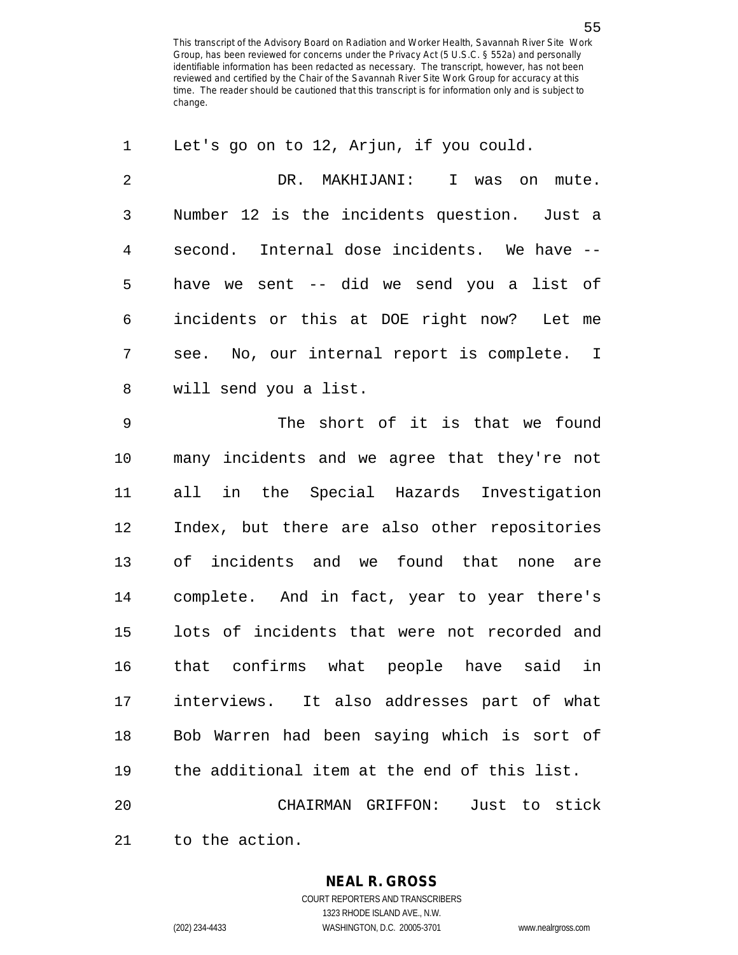| 1              | Let's go on to 12, Arjun, if you could.      |
|----------------|----------------------------------------------|
| $\overline{2}$ | DR. MAKHIJANI: I was on mute.                |
| 3              | Number 12 is the incidents question. Just a  |
| $\overline{4}$ | second. Internal dose incidents. We have --  |
| 5              | have we sent -- did we send you a list of    |
| 6              | incidents or this at DOE right now? Let me   |
| 7              | see. No, our internal report is complete. I  |
| 8              | will send you a list.                        |
| $\mathsf 9$    | The short of it is that we found             |
| 10             | many incidents and we agree that they're not |
| 11             | all in the Special Hazards Investigation     |
| 12             | Index, but there are also other repositories |
| 13             | of incidents and we found that none are      |
| 14             | complete. And in fact, year to year there's  |
| 15             | lots of incidents that were not recorded and |
| 16             | that confirms what people have said in       |
| 17             | interviews. It also addresses part of what   |
| 18             | Bob Warren had been saying which is sort of  |
| 19             | the additional item at the end of this list. |
| 20             | CHAIRMAN GRIFFON: Just to stick              |
| 21             | to the action.                               |

1323 RHODE ISLAND AVE., N.W.

(202) 234-4433 WASHINGTON, D.C. 20005-3701 www.nealrgross.com

55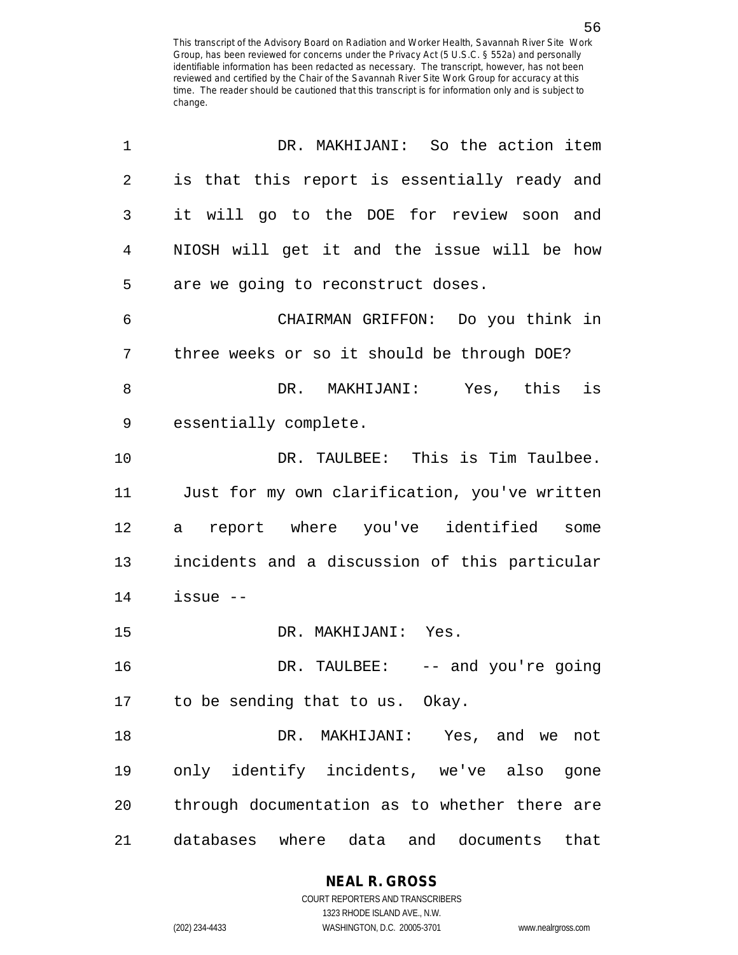| 1  | DR. MAKHIJANI: So the action item             |
|----|-----------------------------------------------|
| 2  | is that this report is essentially ready and  |
| 3  | it will go to the DOE for review soon and     |
| 4  | NIOSH will get it and the issue will be how   |
| 5  | are we going to reconstruct doses.            |
| 6  | CHAIRMAN GRIFFON: Do you think in             |
| 7  | three weeks or so it should be through DOE?   |
| 8  | DR. MAKHIJANI: Yes, this is                   |
| 9  | essentially complete.                         |
| 10 | DR. TAULBEE: This is Tim Taulbee.             |
| 11 | Just for my own clarification, you've written |
| 12 | report where you've identified<br>some<br>a   |
| 13 | incidents and a discussion of this particular |
| 14 | $i$ ssue $-$                                  |
| 15 | DR. MAKHIJANI: Yes.                           |
| 16 | DR. TAULBEE: -- and you're going              |
| 17 | to be sending that to us. Okay.               |
| 18 | MAKHIJANI: Yes, and we not<br>DR.             |
| 19 | only identify incidents, we've also<br>gone   |
| 20 | through documentation as to whether there are |
| 21 | databases where data<br>and documents<br>that |

**NEAL R. GROSS**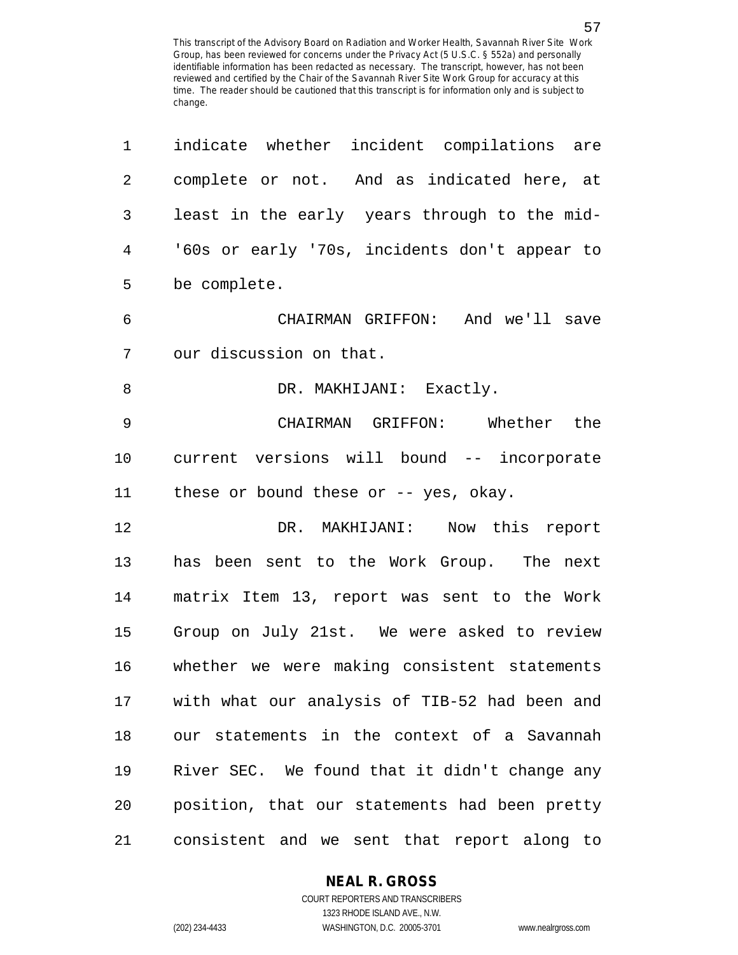| $\mathbf 1$    | indicate whether incident compilations are    |
|----------------|-----------------------------------------------|
| $\overline{2}$ | complete or not. And as indicated here, at    |
| $\mathfrak{Z}$ | least in the early years through to the mid-  |
| $\overline{4}$ | '60s or early '70s, incidents don't appear to |
| 5              | be complete.                                  |
| 6              | CHAIRMAN GRIFFON: And we'll save              |
| 7              | our discussion on that.                       |
| 8              | DR. MAKHIJANI: Exactly.                       |
| $\mathsf 9$    | CHAIRMAN GRIFFON: Whether the                 |
| 10             | current versions will bound -- incorporate    |
| 11             | these or bound these or -- yes, okay.         |
| 12             | DR. MAKHIJANI: Now this report                |
| 13             | has been sent to the Work Group. The next     |
| 14             | matrix Item 13, report was sent to the Work   |
| 15             | Group on July 21st. We were asked to review   |
| 16             | whether we were making consistent statements  |
| 17             | with what our analysis of TIB-52 had been and |
| 18             | our statements in the context of a Savannah   |
| 19             | River SEC. We found that it didn't change any |
| 20             | position, that our statements had been pretty |
| 21             | consistent and we sent that report along to   |

1323 RHODE ISLAND AVE., N.W.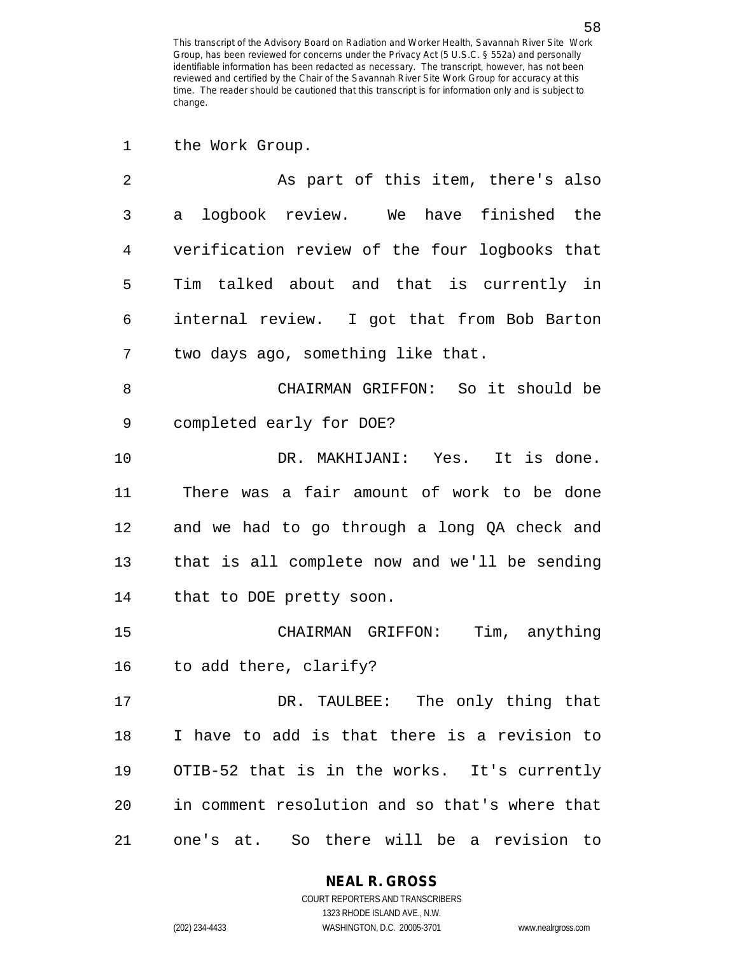| 1              | the Work Group.                                |
|----------------|------------------------------------------------|
| $\overline{2}$ | As part of this item, there's also             |
| 3              | logbook review. We have finished the<br>a      |
| 4              | verification review of the four logbooks that  |
| 5              | Tim talked about and that is currently in      |
| 6              | internal review. I got that from Bob Barton    |
| 7              | two days ago, something like that.             |
| 8              | CHAIRMAN GRIFFON: So it should be              |
| 9              | completed early for DOE?                       |
| 10             | DR. MAKHIJANI: Yes. It is done.                |
| 11             | There was a fair amount of work to be done     |
| 12             | and we had to go through a long QA check and   |
| 13             | that is all complete now and we'll be sending  |
| 14             | that to DOE pretty soon.                       |
| 15             | Tim, anything<br>CHAIRMAN GRIFFON:             |
| 16             | to add there, clarify?                         |
| 17             | DR. TAULBEE: The only thing that               |
| 18             | I have to add is that there is a revision to   |
| 19             | OTIB-52 that is in the works. It's currently   |
| 20             | in comment resolution and so that's where that |
| 21             | one's at. So there will be a revision to       |

**NEAL R. GROSS**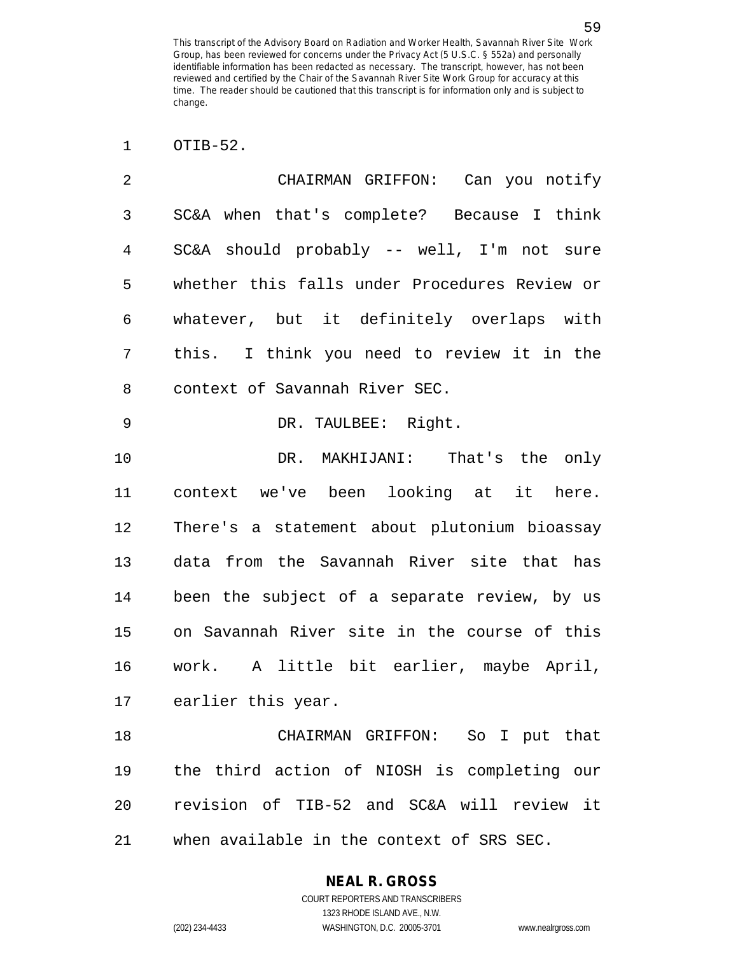1 OTIB-52.

| $\mathfrak{D}$ | Can you notify<br>CHAIRMAN GRIFFON:           |
|----------------|-----------------------------------------------|
| 3              | SC&A when that's complete? Because I think    |
| 4              | SC&A should probably -- well, I'm not sure    |
| 5              | whether this falls under Procedures Review or |
| 6              | whatever, but it definitely overlaps with     |
| 7              | this. I think you need to review it in the    |
| 8              | context of Savannah River SEC.                |

9 DR. TAULBEE: Right.

10 DR. MAKHIJANI: That's the only 11 context we've been looking at it here. 12 There's a statement about plutonium bioassay 13 data from the Savannah River site that has 14 been the subject of a separate review, by us 15 on Savannah River site in the course of this 16 work. A little bit earlier, maybe April, 17 earlier this year.

18 CHAIRMAN GRIFFON: So I put that 19 the third action of NIOSH is completing our 20 revision of TIB-52 and SC&A will review it 21 when available in the context of SRS SEC.

## **NEAL R. GROSS**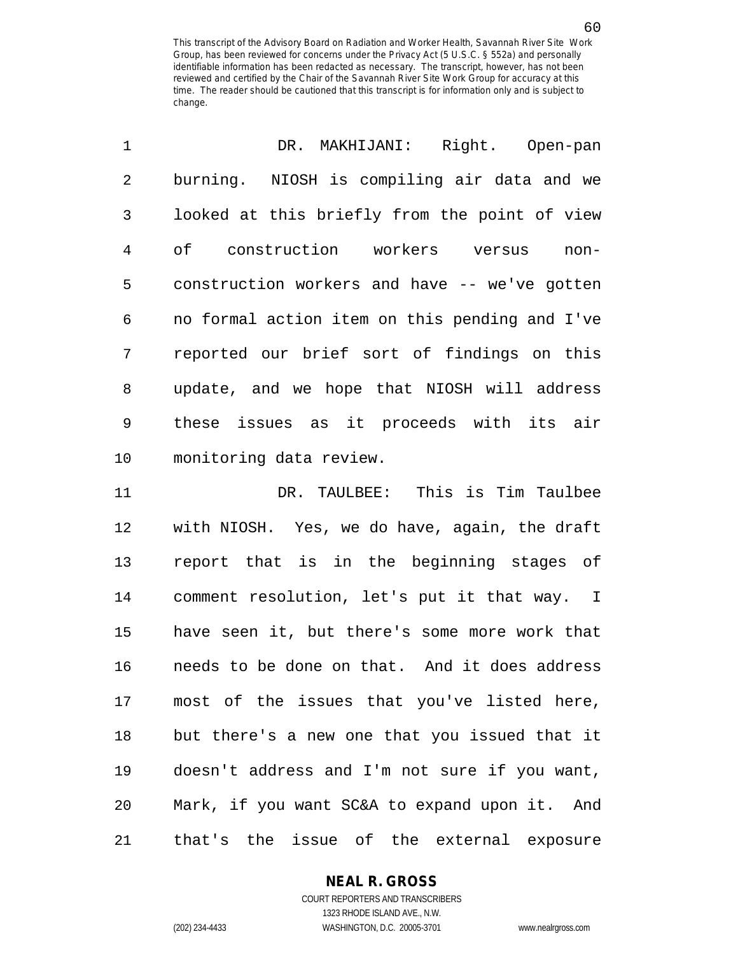| $\mathbf{1}$ | DR. MAKHIJANI: Right. Open-pan                 |
|--------------|------------------------------------------------|
| 2            | burning. NIOSH is compiling air data and we    |
| 3            | looked at this briefly from the point of view  |
| 4            | of construction workers versus<br>$non-$       |
| 5            | construction workers and have -- we've gotten  |
| 6            | no formal action item on this pending and I've |
| 7            | reported our brief sort of findings on this    |
| 8            | update, and we hope that NIOSH will address    |
| 9            | these issues as it proceeds with its air       |
| 10           | monitoring data review.                        |

11 DR. TAULBEE: This is Tim Taulbee 12 with NIOSH. Yes, we do have, again, the draft 13 report that is in the beginning stages of 14 comment resolution, let's put it that way. I 15 have seen it, but there's some more work that 16 needs to be done on that. And it does address 17 most of the issues that you've listed here, 18 but there's a new one that you issued that it 19 doesn't address and I'm not sure if you want, 20 Mark, if you want SC&A to expand upon it. And 21 that's the issue of the external exposure

#### **NEAL R. GROSS**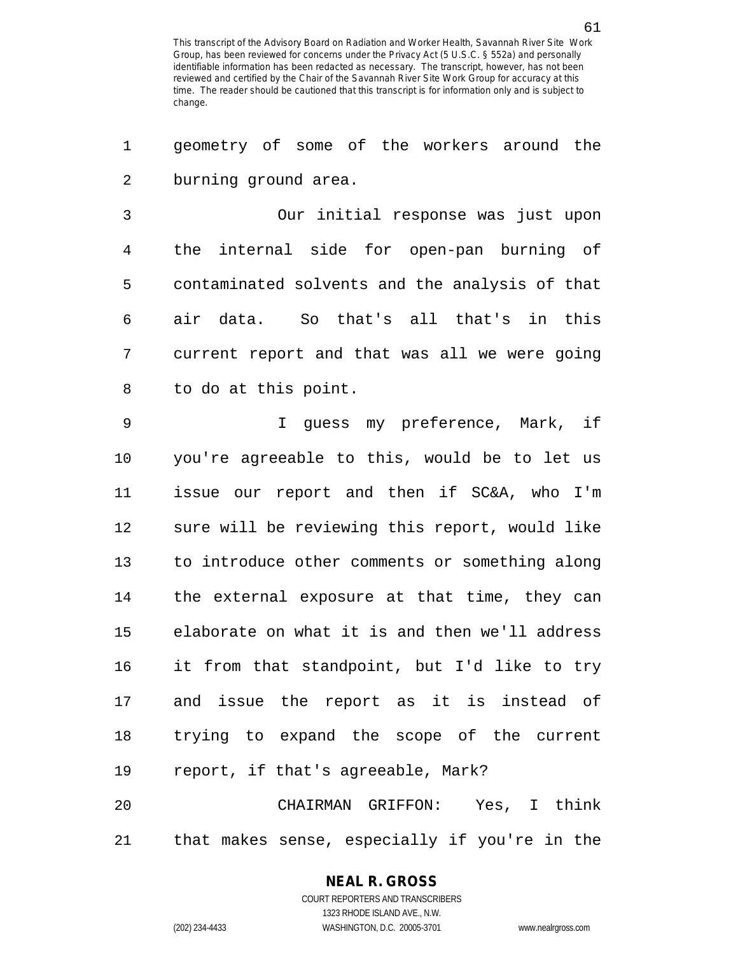1 geometry of some of the workers around the 2 burning ground area.

3 Our initial response was just upon 4 the internal side for open-pan burning of 5 contaminated solvents and the analysis of that 6 air data. So that's all that's in this 7 current report and that was all we were going 8 to do at this point.

9 I guess my preference, Mark, if 10 you're agreeable to this, would be to let us 11 issue our report and then if SC&A, who I'm 12 sure will be reviewing this report, would like 13 to introduce other comments or something along 14 the external exposure at that time, they can 15 elaborate on what it is and then we'll address 16 it from that standpoint, but I'd like to try 17 and issue the report as it is instead of 18 trying to expand the scope of the current 19 report, if that's agreeable, Mark?

20 CHAIRMAN GRIFFON: Yes, I think 21 that makes sense, especially if you're in the

#### **NEAL R. GROSS**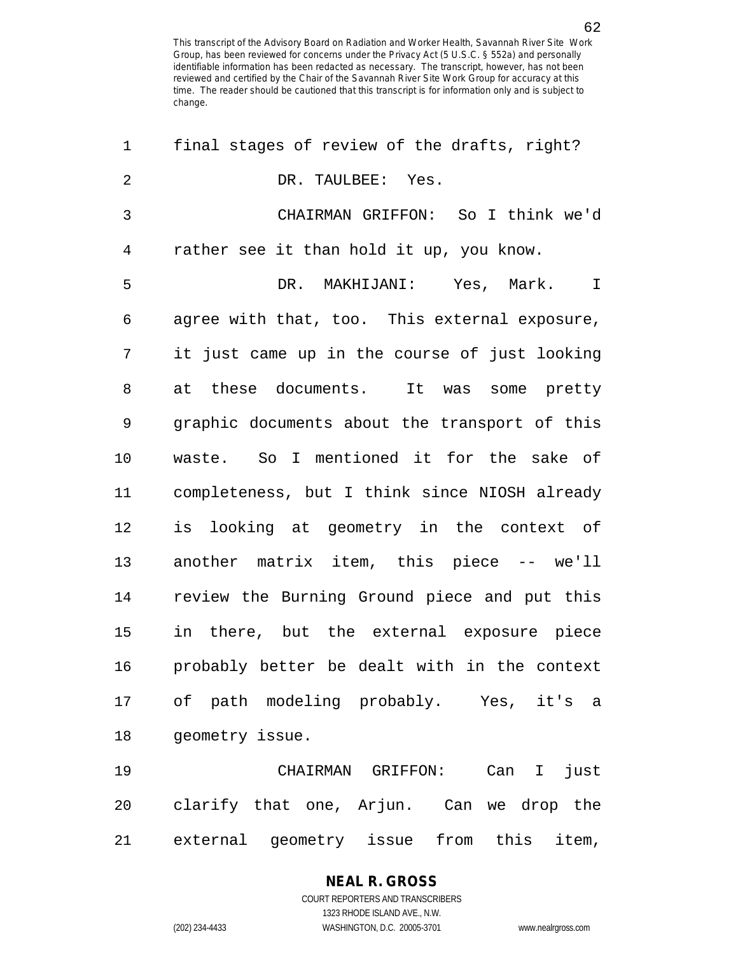| $\mathbf{1}$   | final stages of review of the drafts, right?            |
|----------------|---------------------------------------------------------|
| $\overline{2}$ | DR. TAULBEE: Yes.                                       |
| 3              | CHAIRMAN GRIFFON: So I think we'd                       |
| 4              | rather see it than hold it up, you know.                |
| 5              | DR. MAKHIJANI: Yes, Mark.<br>$\mathbf I$                |
| 6              | agree with that, too. This external exposure,           |
| 7              | it just came up in the course of just looking           |
| 8              | at these documents. It was some pretty                  |
| 9              | graphic documents about the transport of this           |
| 10             | waste. So I mentioned it for the sake of                |
| 11             | completeness, but I think since NIOSH already           |
| 12             | is looking at geometry in the context of                |
| 13             | another matrix item, this piece -- we'll                |
| 14             | review the Burning Ground piece and put this            |
| 15             | in there, but the external exposure piece               |
| 16             | probably better be dealt with in the context            |
|                | 17 of path modeling probably. Yes, it's<br>$\mathsf{a}$ |
| 18             | geometry issue.                                         |
| 19             | CHAIRMAN GRIFFON: Can I just                            |
| 20             | clarify that one, Arjun. Can we drop the                |

21 external geometry issue from this item,

# **NEAL R. GROSS**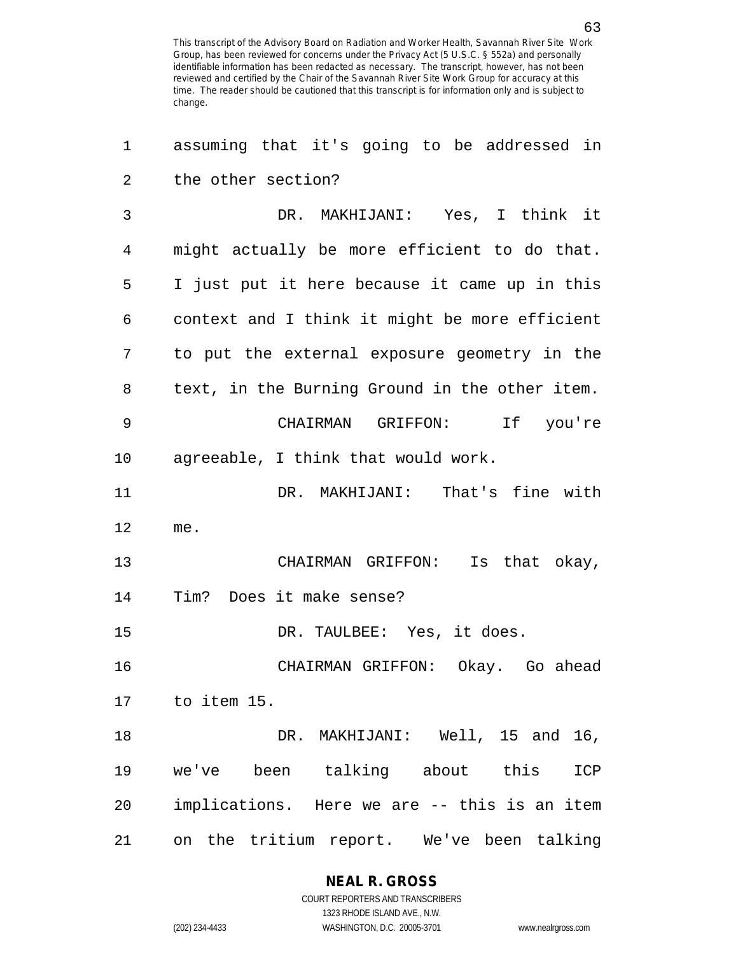| 1  | assuming that it's going to be addressed in    |
|----|------------------------------------------------|
| 2  | the other section?                             |
| 3  | DR. MAKHIJANI: Yes, I think it                 |
| 4  | might actually be more efficient to do that.   |
| 5  | I just put it here because it came up in this  |
| 6  | context and I think it might be more efficient |
| 7  | to put the external exposure geometry in the   |
| 8  | text, in the Burning Ground in the other item. |
| 9  | CHAIRMAN GRIFFON: If you're                    |
| 10 | agreeable, I think that would work.            |
| 11 | DR. MAKHIJANI: That's fine with                |
| 12 | me.                                            |
| 13 | CHAIRMAN GRIFFON: Is that okay,                |
| 14 | Tim? Does it make sense?                       |
| 15 | DR. TAULBEE: Yes, it does.                     |
| 16 | CHAIRMAN GRIFFON: Okay. Go ahead               |
|    | 17 to item 15.                                 |
| 18 | DR. MAKHIJANI: Well, 15 and 16,                |
| 19 | we've been talking about this<br>ICP           |
| 20 | implications. Here we are -- this is an item   |
| 21 | on the tritium report. We've been talking      |

**NEAL R. GROSS** COURT REPORTERS AND TRANSCRIBERS

1323 RHODE ISLAND AVE., N.W. (202) 234-4433 WASHINGTON, D.C. 20005-3701 www.nealrgross.com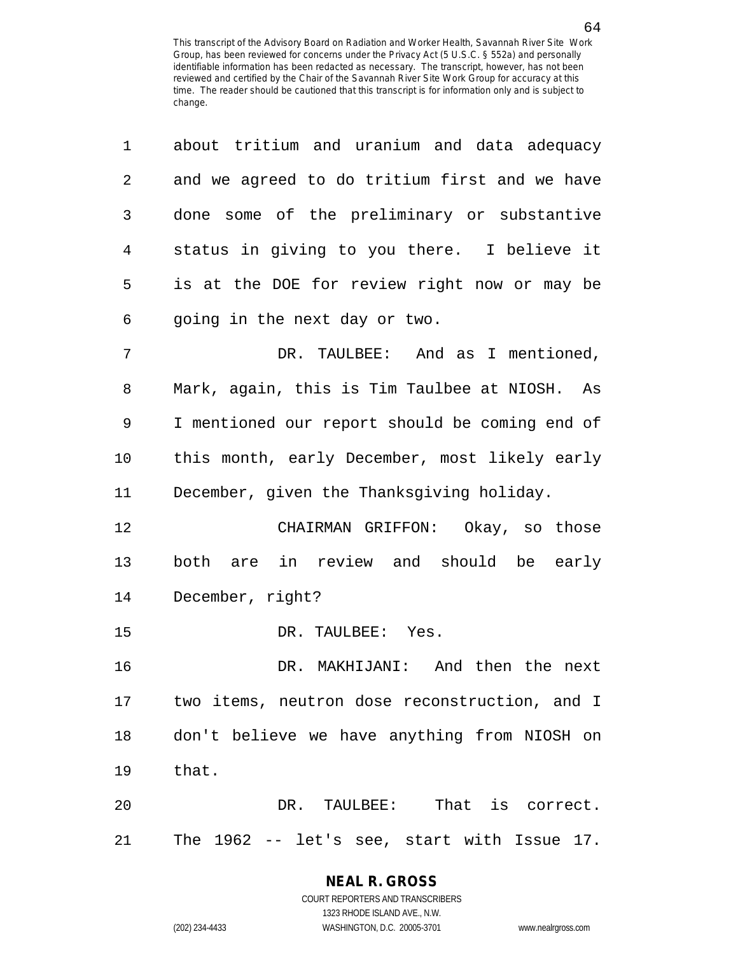| 1  | about tritium and uranium and data adequacy    |
|----|------------------------------------------------|
| 2  | and we agreed to do tritium first and we have  |
| 3  | done some of the preliminary or substantive    |
| 4  | status in giving to you there. I believe it    |
| 5  | is at the DOE for review right now or may be   |
| 6  | going in the next day or two.                  |
| 7  | DR. TAULBEE: And as I mentioned,               |
| 8  | Mark, again, this is Tim Taulbee at NIOSH. As  |
| 9  | I mentioned our report should be coming end of |
| 10 | this month, early December, most likely early  |
| 11 | December, given the Thanksgiving holiday.      |
| 12 | CHAIRMAN GRIFFON: Okay, so those               |
| 13 | are in review and should be early<br>both      |
| 14 | December, right?                               |
| 15 | DR. TAULBEE: Yes.                              |
| 16 | DR. MAKHIJANI: And then the next               |
| 17 | two items, neutron dose reconstruction, and I  |
| 18 | don't believe we have anything from NIOSH on   |
| 19 | that.                                          |
| 20 | TAULBEE: That is correct.<br>DR.               |
| 21 | The 1962 -- let's see, start with Issue 17.    |

# 64

COURT REPORTERS AND TRANSCRIBERS 1323 RHODE ISLAND AVE., N.W. (202) 234-4433 WASHINGTON, D.C. 20005-3701 www.nealrgross.com

**NEAL R. GROSS**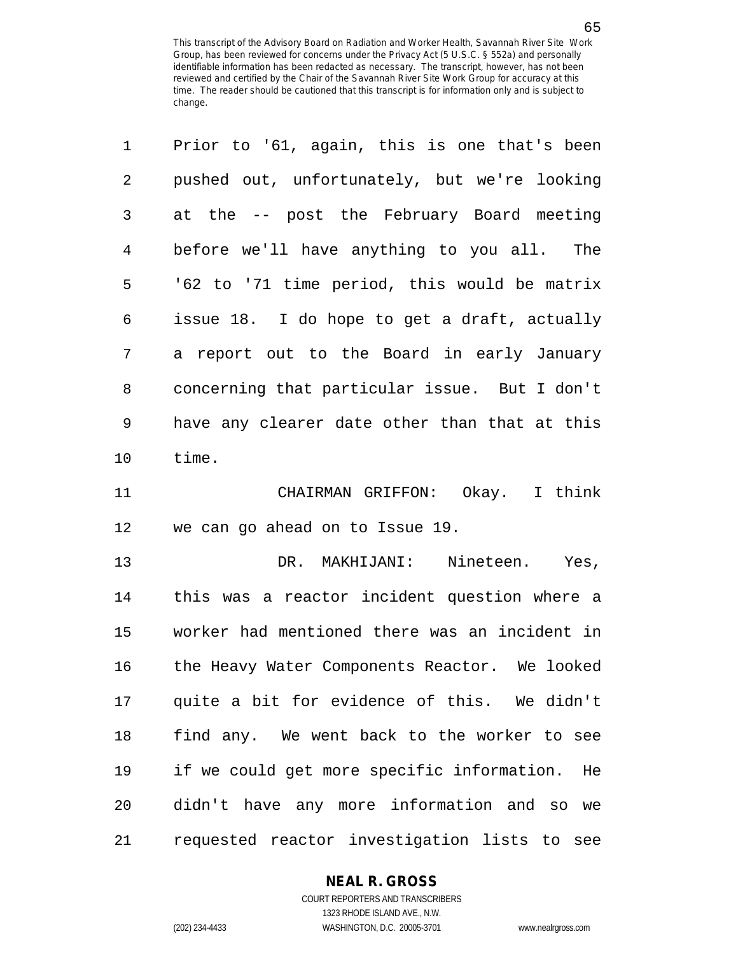| $\mathbf 1$    | Prior to '61, again, this is one that's been  |
|----------------|-----------------------------------------------|
| $\overline{2}$ | pushed out, unfortunately, but we're looking  |
| 3              | at the -- post the February Board meeting     |
| $\overline{4}$ | before we'll have anything to you all. The    |
| 5              | '62 to '71 time period, this would be matrix  |
| 6              | issue 18. I do hope to get a draft, actually  |
| 7              | a report out to the Board in early January    |
| 8              | concerning that particular issue. But I don't |
| 9              | have any clearer date other than that at this |
| 10             | time.                                         |
| 11             | CHAIRMAN GRIFFON: Okay. I think               |
| 12             | we can go ahead on to Issue 19.               |
| 13             | DR. MAKHIJANI:<br>Nineteen.<br>Yes,           |
| 14             | this was a reactor incident question where a  |
| 15             | worker had mentioned there was an incident in |
| 16             | the Heavy Water Components Reactor. We looked |
| 17             | quite a bit for evidence of this. We didn't   |
| 18             | find any. We went back to the worker to see   |

COURT REPORTERS AND TRANSCRIBERS 1323 RHODE ISLAND AVE., N.W. (202) 234-4433 WASHINGTON, D.C. 20005-3701 www.nealrgross.com

**NEAL R. GROSS**

19 if we could get more specific information. He

20 didn't have any more information and so we

21 requested reactor investigation lists to see

65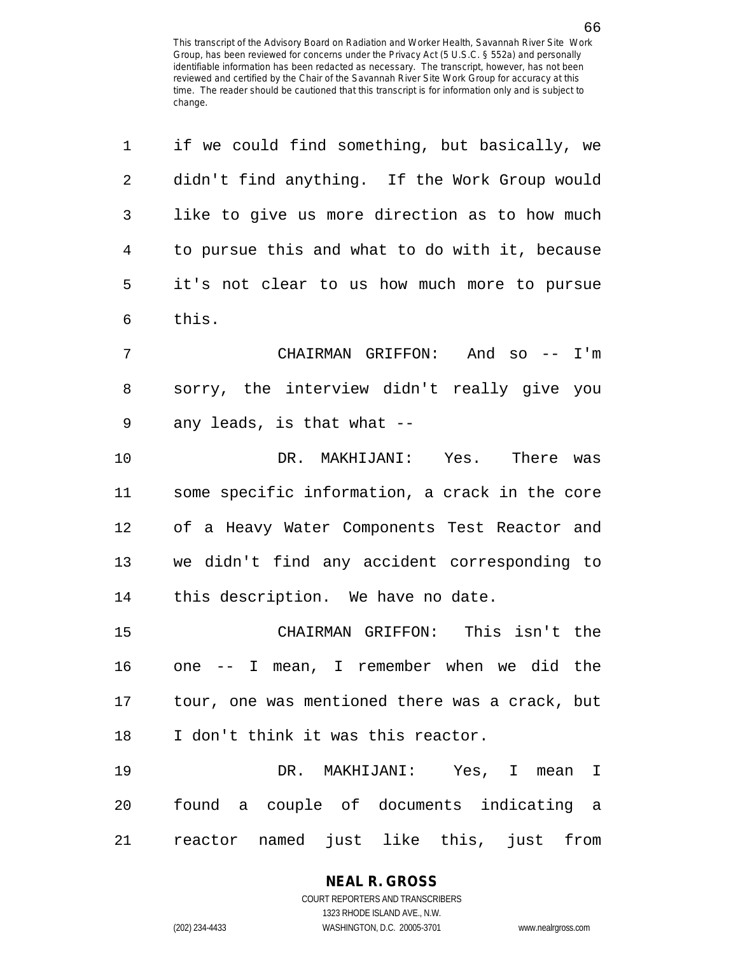| $\mathbf 1$    | if we could find something, but basically, we     |
|----------------|---------------------------------------------------|
| $\overline{2}$ | didn't find anything. If the Work Group would     |
| 3              | like to give us more direction as to how much     |
| 4              | to pursue this and what to do with it, because    |
| 5              | it's not clear to us how much more to pursue      |
| 6              | this.                                             |
| 7              | CHAIRMAN GRIFFON: And so -- I'm                   |
| 8              | sorry, the interview didn't really give you       |
| 9              | any leads, is that what --                        |
| 10             | DR. MAKHIJANI: Yes. There was                     |
| 11             | some specific information, a crack in the core    |
| 12             | of a Heavy Water Components Test Reactor and      |
| 13             | we didn't find any accident corresponding to      |
| 14             | this description. We have no date.                |
| 15             | CHAIRMAN GRIFFON: This isn't the                  |
| 16             | one -- I mean, I remember when we did the         |
|                | 17 tour, one was mentioned there was a crack, but |
| 18             | I don't think it was this reactor.                |
| 19             | DR. MAKHIJANI: Yes, I mean I                      |
| 20             | found a couple of documents indicating a          |
| 21             | reactor named just like this, just from           |

## **NEAL R. GROSS**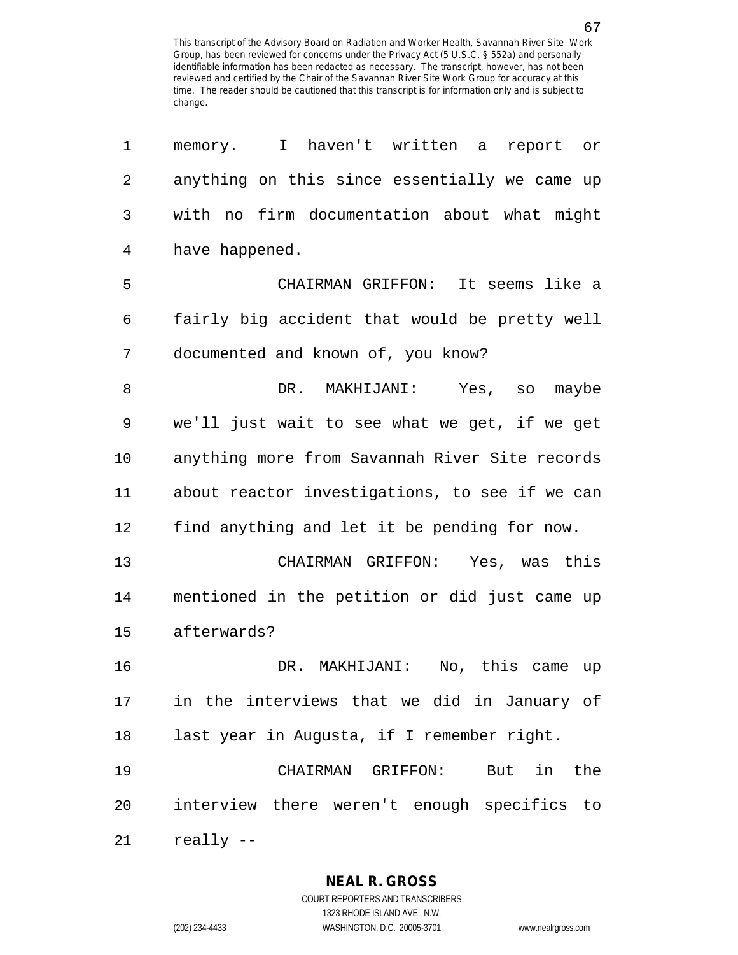| 1              | memory. I haven't written a<br>report or       |
|----------------|------------------------------------------------|
| $\overline{2}$ | anything on this since essentially we came up  |
| 3              | with no firm documentation about what might    |
| $\overline{4}$ | have happened.                                 |
| 5              | It seems like a<br>CHAIRMAN GRIFFON:           |
| 6              | fairly big accident that would be pretty well  |
| 7              | documented and known of, you know?             |
| 8              | DR.<br>MAKHIJANI: Yes, so maybe                |
| 9              | we'll just wait to see what we get, if we get  |
| 10             | anything more from Savannah River Site records |
| 11             | about reactor investigations, to see if we can |
| 12             | find anything and let it be pending for now.   |
| 13             | CHAIRMAN GRIFFON: Yes, was this                |
| 14             | mentioned in the petition or did just came up  |
| 15             | afterwards?                                    |
| 16             | DR. MAKHIJANI: No, this came up                |
| 17             | in the interviews that we did in January of    |
| 18             | last year in Augusta, if I remember right.     |
| 19             | CHAIRMAN GRIFFON: But in the                   |
| 20             | interview there weren't enough specifics to    |
| 21             | really --                                      |

**NEAL R. GROSS** COURT REPORTERS AND TRANSCRIBERS

1323 RHODE ISLAND AVE., N.W.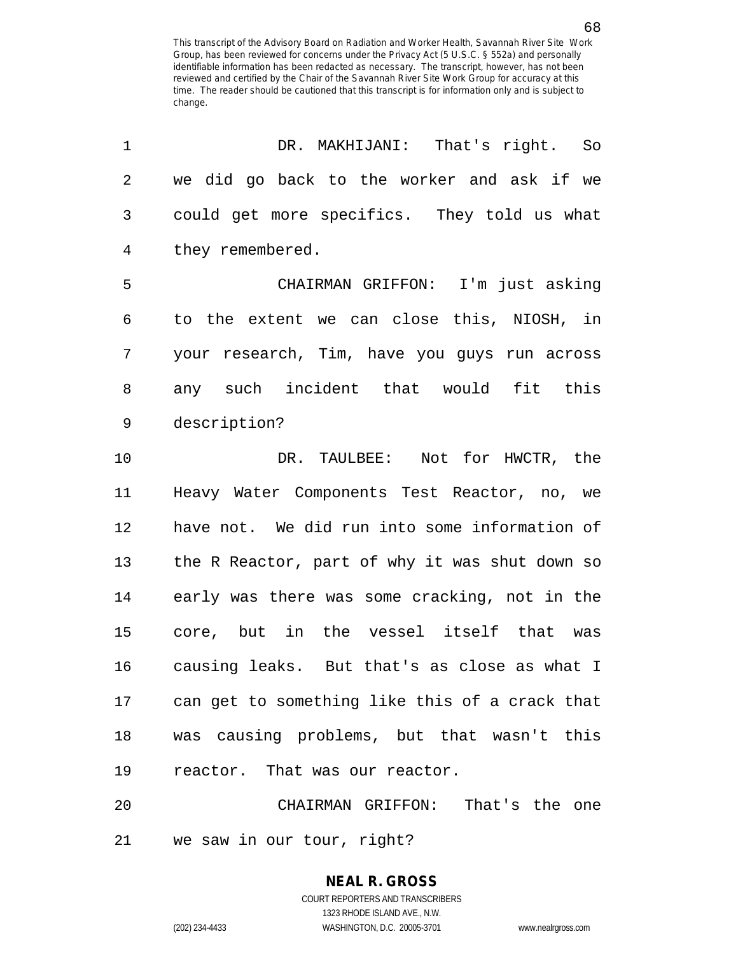| 1              | DR. MAKHIJANI: That's right. So                |
|----------------|------------------------------------------------|
| $\overline{2}$ | we did go back to the worker and ask if we     |
| 3              | could get more specifics. They told us what    |
| 4              | they remembered.                               |
| 5              | CHAIRMAN GRIFFON: I'm just asking              |
| 6              | to the extent we can close this, NIOSH, in     |
| 7              | your research, Tim, have you guys run across   |
| 8              | any such incident that would fit this          |
| 9              | description?                                   |
| 10             | DR. TAULBEE: Not for HWCTR, the                |
| 11             | Heavy Water Components Test Reactor, no, we    |
| 12             | have not. We did run into some information of  |
| 13             | the R Reactor, part of why it was shut down so |
| 14             | early was there was some cracking, not in the  |
| 15             | core, but in the vessel itself that was        |
| 16             | causing leaks. But that's as close as what I   |
| 17             | can get to something like this of a crack that |
| 18             | was causing problems, but that wasn't this     |
| 19             | reactor. That was our reactor.                 |
| 20             | CHAIRMAN GRIFFON: That's the one               |

21 we saw in our tour, right?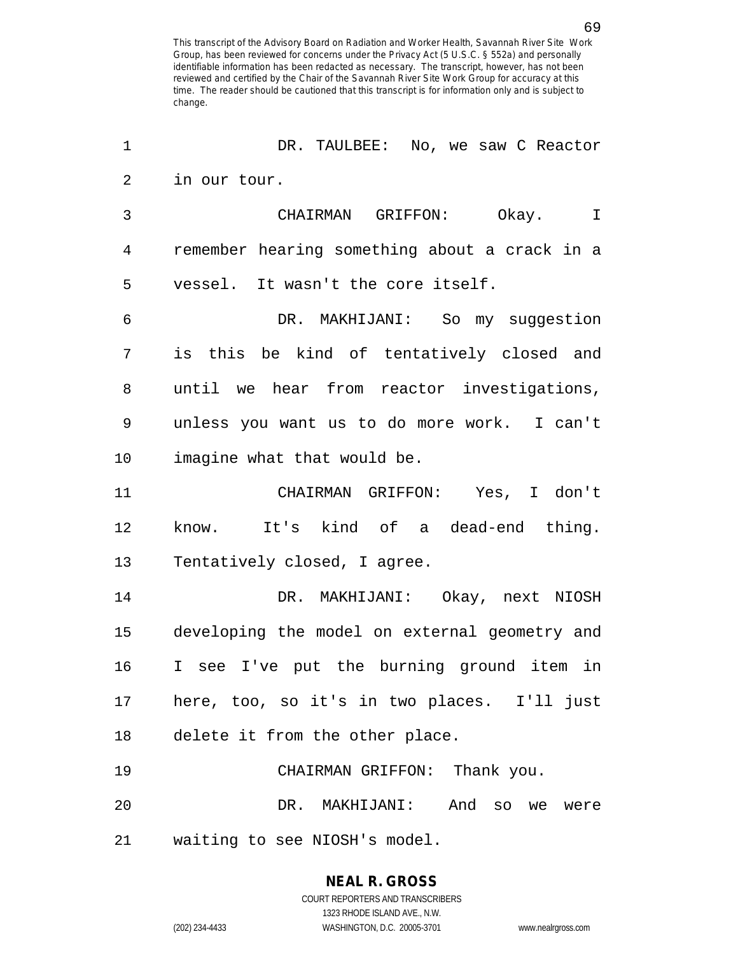1 DR. TAULBEE: No, we saw C Reactor 2 in our tour. 3 CHAIRMAN GRIFFON: Okay. I 4 remember hearing something about a crack in a 5 vessel. It wasn't the core itself. 6 DR. MAKHIJANI: So my suggestion 7 is this be kind of tentatively closed and 8 until we hear from reactor investigations, 9 unless you want us to do more work. I can't 10 imagine what that would be. 11 CHAIRMAN GRIFFON: Yes, I don't 12 know. It's kind of a dead-end thing. 13 Tentatively closed, I agree. 14 DR. MAKHIJANI: Okay, next NIOSH 15 developing the model on external geometry and 16 I see I've put the burning ground item in 17 here, too, so it's in two places. I'll just 18 delete it from the other place. 19 CHAIRMAN GRIFFON: Thank you. 20 DR. MAKHIJANI: And so we were 21 waiting to see NIOSH's model.

# **NEAL R. GROSS**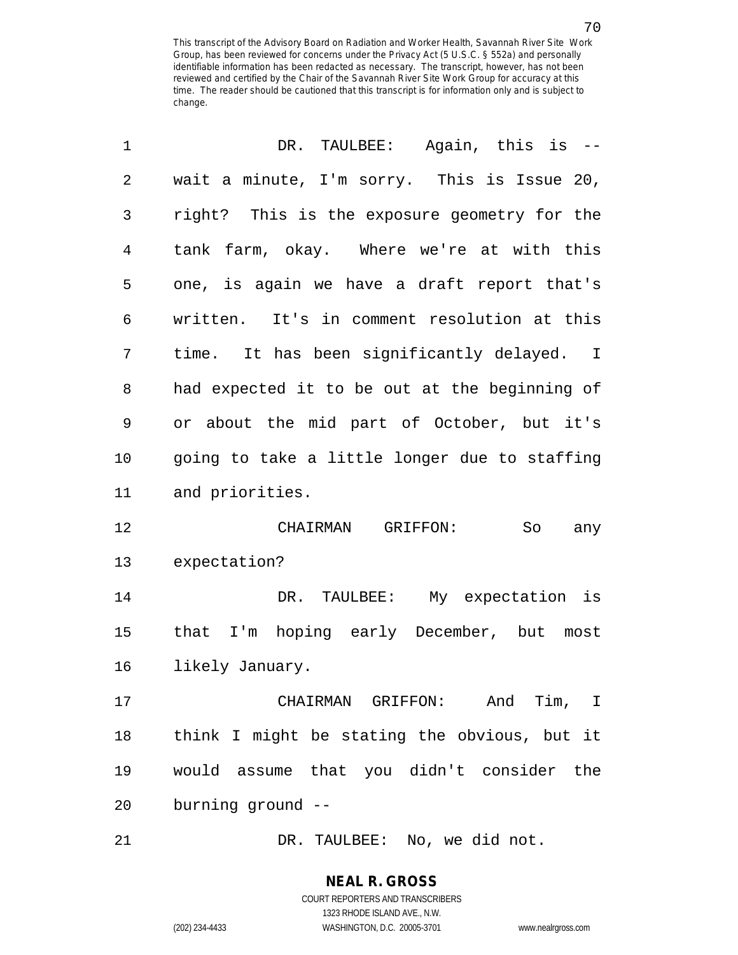| 1  | DR. TAULBEE: Again, this is --                |
|----|-----------------------------------------------|
| 2  | wait a minute, I'm sorry. This is Issue 20,   |
| 3  | right? This is the exposure geometry for the  |
| 4  | tank farm, okay. Where we're at with this     |
| 5  | one, is again we have a draft report that's   |
| 6  | written. It's in comment resolution at this   |
| 7  | time. It has been significantly delayed. I    |
| 8  | had expected it to be out at the beginning of |
| 9  | or about the mid part of October, but it's    |
| 10 | going to take a little longer due to staffing |
| 11 | and priorities.                               |
| 12 | CHAIRMAN GRIFFON:<br>So<br>any                |
| 13 | expectation?                                  |
| 14 | DR. TAULBEE: My expectation is                |
| 15 | that I'm hoping early December, but most      |
| 16 | likely January.                               |
| 17 | CHAIRMAN GRIFFON: And Tim, I                  |
| 18 | think I might be stating the obvious, but it  |
| 19 | would assume that you didn't consider the     |
| 20 | burning ground --                             |
|    |                                               |

21 DR. TAULBEE: No, we did not.

#### **NEAL R. GROSS** COURT REPORTERS AND TRANSCRIBERS 1323 RHODE ISLAND AVE., N.W.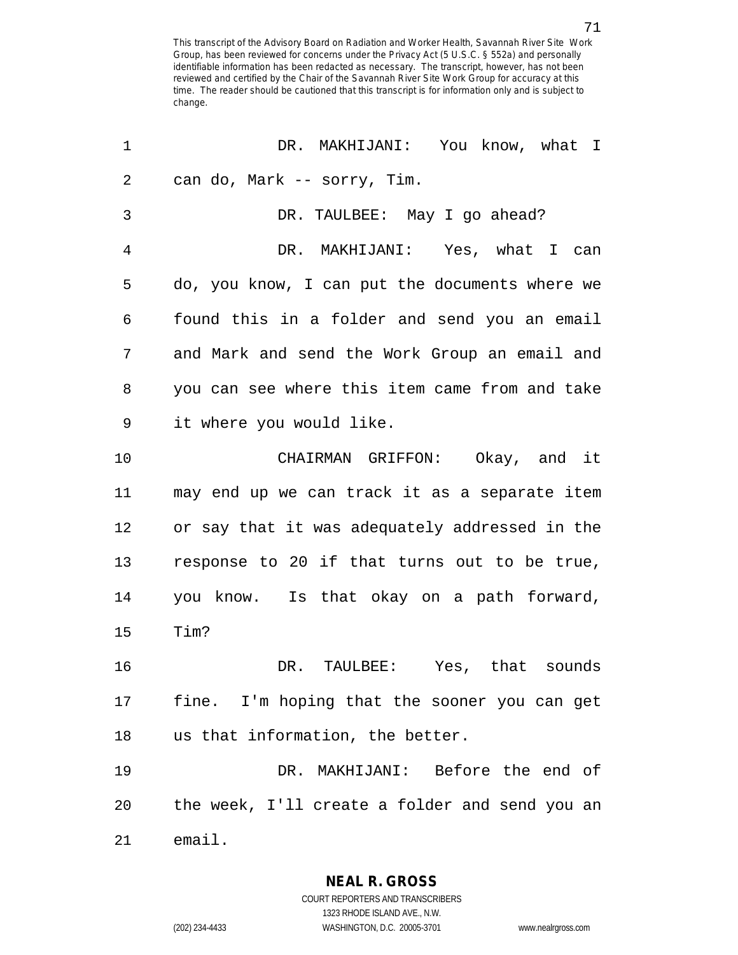| 1              | DR. MAKHIJANI: You know, what I                |
|----------------|------------------------------------------------|
| 2              | can do, Mark -- sorry, Tim.                    |
| 3              | DR. TAULBEE: May I go ahead?                   |
| $\overline{4}$ | DR. MAKHIJANI: Yes, what I can                 |
| 5              | do, you know, I can put the documents where we |
| 6              | found this in a folder and send you an email   |
| 7              | and Mark and send the Work Group an email and  |
| 8              | you can see where this item came from and take |
| 9              | it where you would like.                       |
| 10             | CHAIRMAN GRIFFON: Okay, and it                 |
| 11             | may end up we can track it as a separate item  |
| 12             | or say that it was adequately addressed in the |
| 13             | response to 20 if that turns out to be true,   |
| 14             | you know. Is that okay on a path forward,      |
| 15             | Tim?                                           |
| 16             | DR. TAULBEE: Yes, that sounds                  |
| 17             | fine. I'm hoping that the sooner you can get   |
| 18             | us that information, the better.               |
| 19             | DR. MAKHIJANI: Before the end of               |
| 20             | the week, I'll create a folder and send you an |
| 21             | email.                                         |

**NEAL R. GROSS** COURT REPORTERS AND TRANSCRIBERS 1323 RHODE ISLAND AVE., N.W.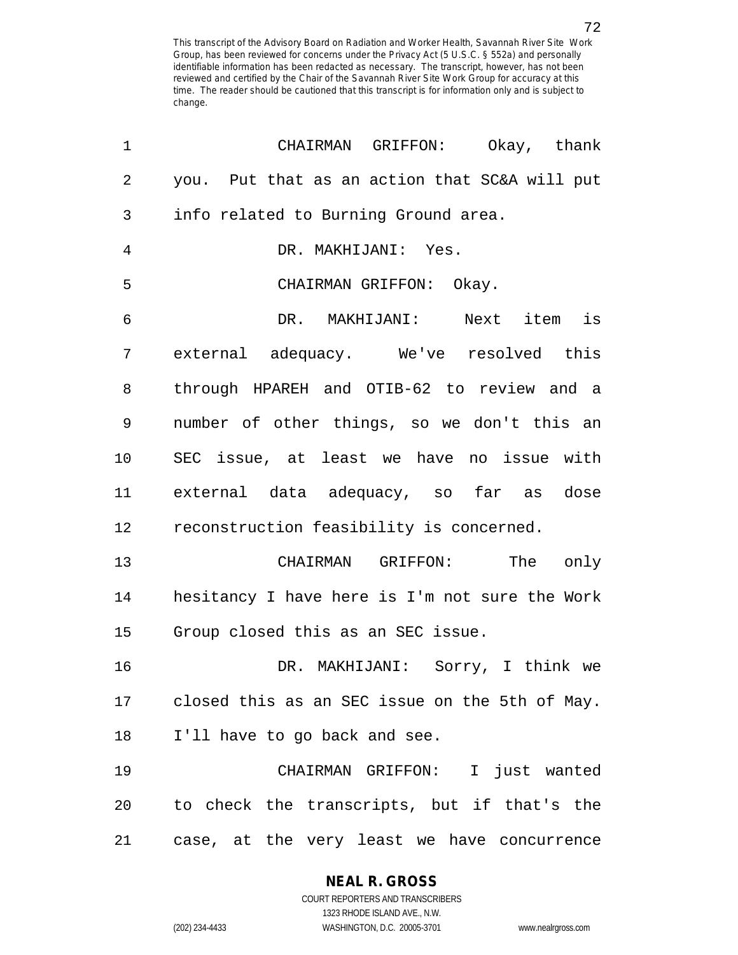| 1              | CHAIRMAN GRIFFON: Okay, thank                  |
|----------------|------------------------------------------------|
| $\overline{2}$ | you. Put that as an action that SC&A will put  |
| 3              | info related to Burning Ground area.           |
| 4              | DR. MAKHIJANI: Yes.                            |
| 5              | CHAIRMAN GRIFFON: Okay.                        |
| 6              | DR. MAKHIJANI: Next item is                    |
| 7              | external adequacy. We've resolved this         |
| 8              | through HPAREH and OTIB-62 to review and a     |
| 9              | number of other things, so we don't this an    |
| 10             | SEC issue, at least we have no issue with      |
| 11             | external data adequacy, so far as dose         |
| 12             | reconstruction feasibility is concerned.       |
| 13             | CHAIRMAN GRIFFON:<br>The only                  |
| 14             | hesitancy I have here is I'm not sure the Work |
| 15             | Group closed this as an SEC issue.             |
| 16             | DR. MAKHIJANI: Sorry, I think we               |
| 17             | closed this as an SEC issue on the 5th of May. |
| 18             | I'll have to go back and see.                  |
| 19             | CHAIRMAN GRIFFON: I just wanted                |
| 20             | to check the transcripts, but if that's the    |
| 21             | case, at the very least we have concurrence    |

**NEAL R. GROSS**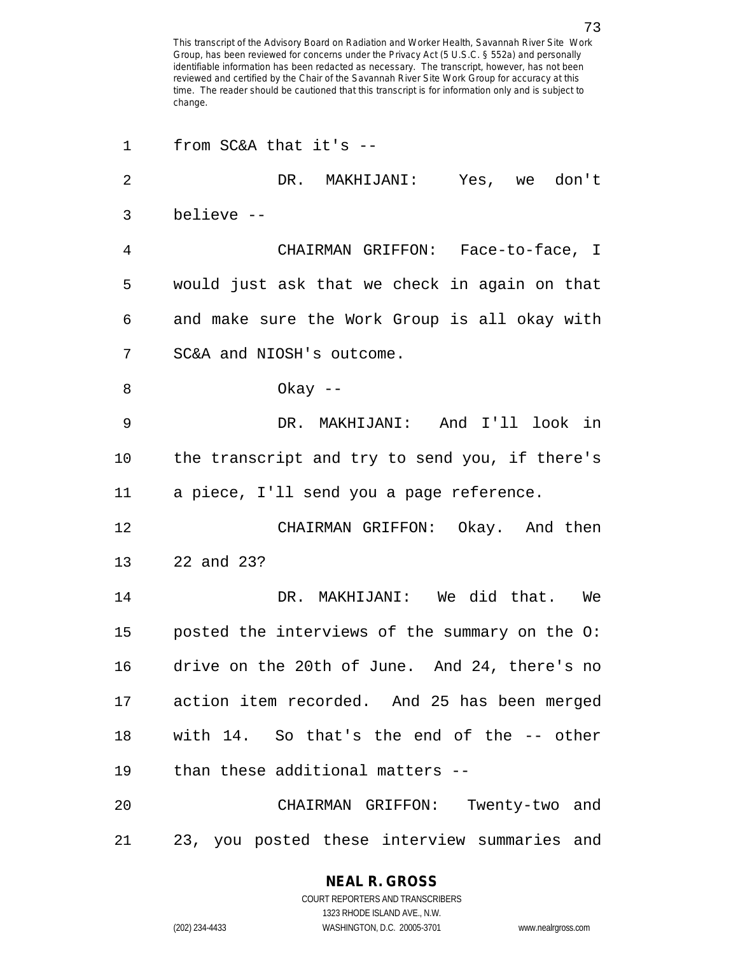| 1              | from $SC&A$ that it's --                       |
|----------------|------------------------------------------------|
| $\overline{2}$ | DR. MAKHIJANI: Yes, we don't                   |
| 3              | believe --                                     |
| 4              | CHAIRMAN GRIFFON: Face-to-face, I              |
| 5              | would just ask that we check in again on that  |
| 6              | and make sure the Work Group is all okay with  |
| 7              | SC&A and NIOSH's outcome.                      |
| 8              | Okay $--$                                      |
| 9              | DR. MAKHIJANI: And I'll look in                |
| 10             | the transcript and try to send you, if there's |
| 11             | a piece, I'll send you a page reference.       |
| 12             | CHAIRMAN GRIFFON: Okay. And then               |
| 13             | 22 and 23?                                     |
| 14             | DR. MAKHIJANI: We did that. We                 |
| 15             | posted the interviews of the summary on the O: |
| 16             | drive on the 20th of June. And 24, there's no  |
| 17             | action item recorded. And 25 has been merged   |
| 18             | with 14. So that's the end of the -- other     |
| 19             | than these additional matters --               |
| 20             | CHAIRMAN GRIFFON: Twenty-two and               |
| 21             | 23, you posted these interview summaries and   |

1323 RHODE ISLAND AVE., N.W.

(202) 234-4433 WASHINGTON, D.C. 20005-3701 www.nealrgross.com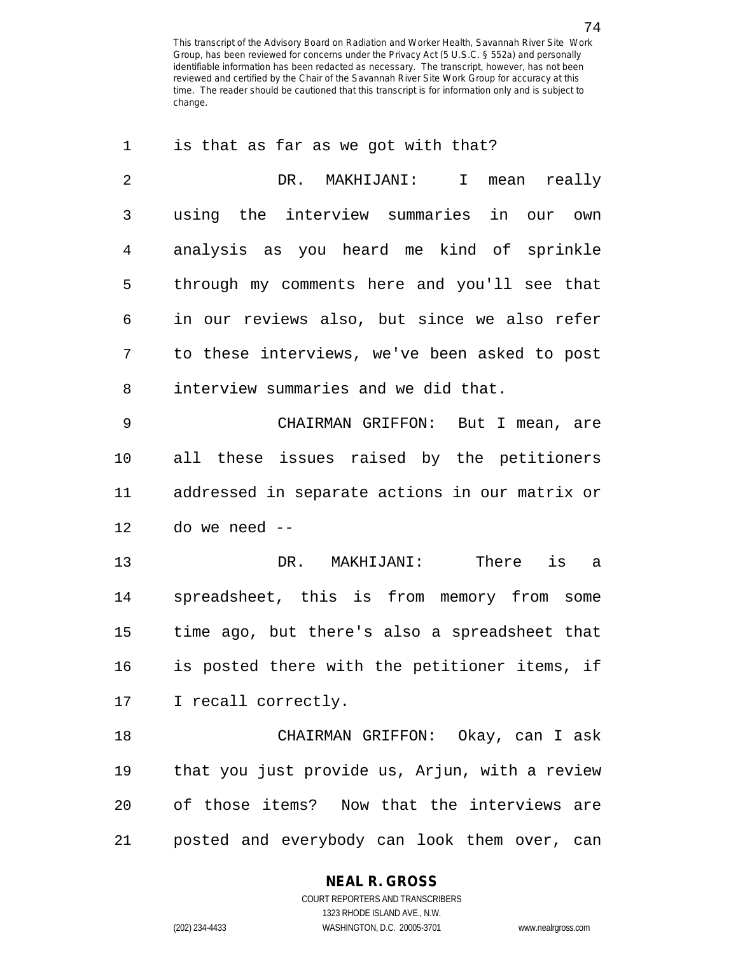| 1              | is that as far as we got with that?            |
|----------------|------------------------------------------------|
| $\overline{2}$ | DR. MAKHIJANI:<br>I mean<br>really             |
| 3              | using the interview summaries in our own       |
| 4              | analysis as you heard me kind of sprinkle      |
| 5              | through my comments here and you'll see that   |
| 6              | in our reviews also, but since we also refer   |
| 7              | to these interviews, we've been asked to post  |
| 8              | interview summaries and we did that.           |
| 9              | CHAIRMAN GRIFFON: But I mean, are              |
| 10             | all these issues raised by the petitioners     |
| 11             | addressed in separate actions in our matrix or |
| 12             | do we need --                                  |
| 13             | DR. MAKHIJANI:<br>There is a                   |
| 14             | spreadsheet, this is from memory from some     |
| 15             | time ago, but there's also a spreadsheet that  |
| 16             | is posted there with the petitioner items, if  |
| 17             | I recall correctly.                            |
| 18             | CHAIRMAN GRIFFON: Okay, can I ask              |
| 19             | that you just provide us, Arjun, with a review |
| 20             | of those items? Now that the interviews are    |
| 21             | posted and everybody can look them over, can   |

### **NEAL R. GROSS**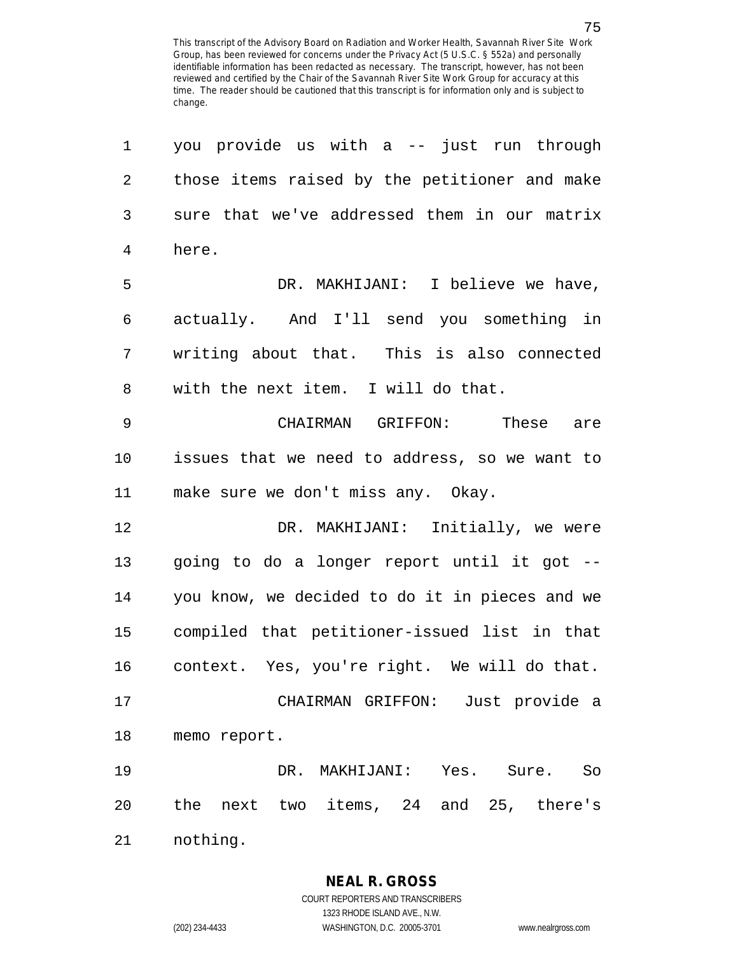1 you provide us with a -- just run through 2 those items raised by the petitioner and make 3 sure that we've addressed them in our matrix 4 here. 5 DR. MAKHIJANI: I believe we have, 6 actually. And I'll send you something in 7 writing about that. This is also connected 8 with the next item. I will do that. 9 CHAIRMAN GRIFFON: These are 10 issues that we need to address, so we want to 11 make sure we don't miss any. Okay. 12 DR. MAKHIJANI: Initially, we were 13 going to do a longer report until it got -- 14 you know, we decided to do it in pieces and we 15 compiled that petitioner-issued list in that 16 context. Yes, you're right. We will do that. 17 CHAIRMAN GRIFFON: Just provide a 18 memo report. 19 DR. MAKHIJANI: Yes. Sure. So 20 the next two items, 24 and 25, there's 21 nothing.

1323 RHODE ISLAND AVE., N.W.

(202) 234-4433 WASHINGTON, D.C. 20005-3701 www.nealrgross.com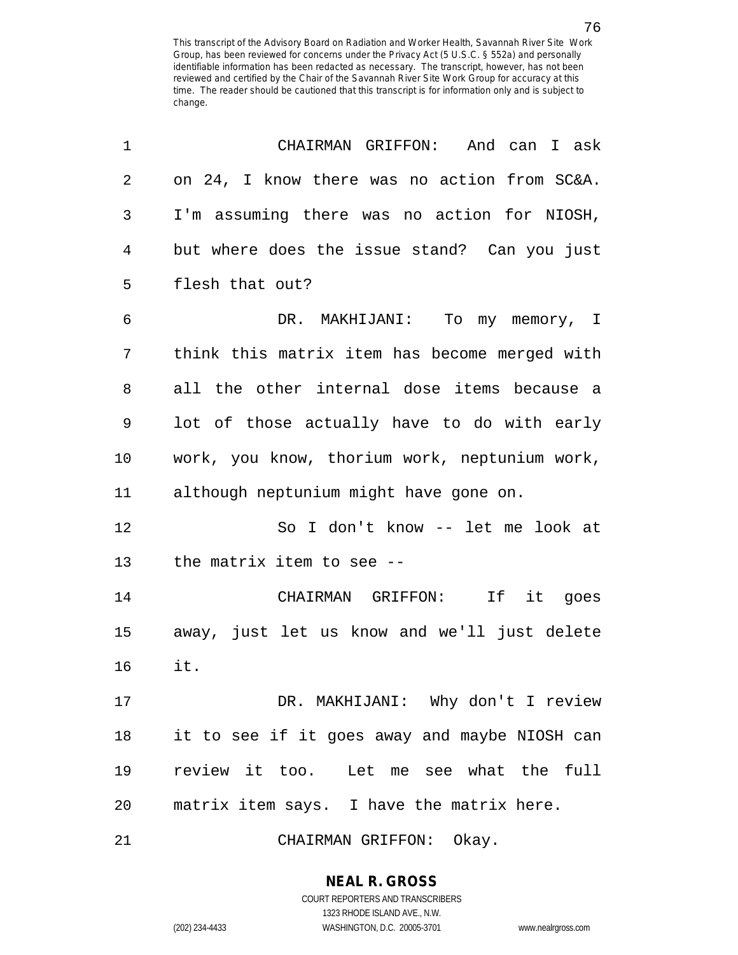| 1  | CHAIRMAN GRIFFON: And can I ask               |
|----|-----------------------------------------------|
| 2  | on 24, I know there was no action from SC&A.  |
| 3  | I'm assuming there was no action for NIOSH,   |
| 4  | but where does the issue stand? Can you just  |
| 5  | flesh that out?                               |
| 6  | DR. MAKHIJANI: To my memory, I                |
| 7  | think this matrix item has become merged with |
| 8  | all the other internal dose items because a   |
| 9  | lot of those actually have to do with early   |
| 10 | work, you know, thorium work, neptunium work, |
| 11 | although neptunium might have gone on.        |
| 12 | So I don't know -- let me look at             |
| 13 | the matrix item to see --                     |
| 14 | CHAIRMAN GRIFFON: If it goes                  |
| 15 | away, just let us know and we'll just delete  |
| 16 | it.                                           |
| 17 | DR. MAKHIJANI: Why don't I review             |
| 18 | it to see if it goes away and maybe NIOSH can |
| 19 | review it too. Let me see what the full       |
| 20 | matrix item says. I have the matrix here.     |
| 21 | CHAIRMAN GRIFFON: Okay.                       |

**NEAL R. GROSS** COURT REPORTERS AND TRANSCRIBERS

1323 RHODE ISLAND AVE., N.W.

(202) 234-4433 WASHINGTON, D.C. 20005-3701 www.nealrgross.com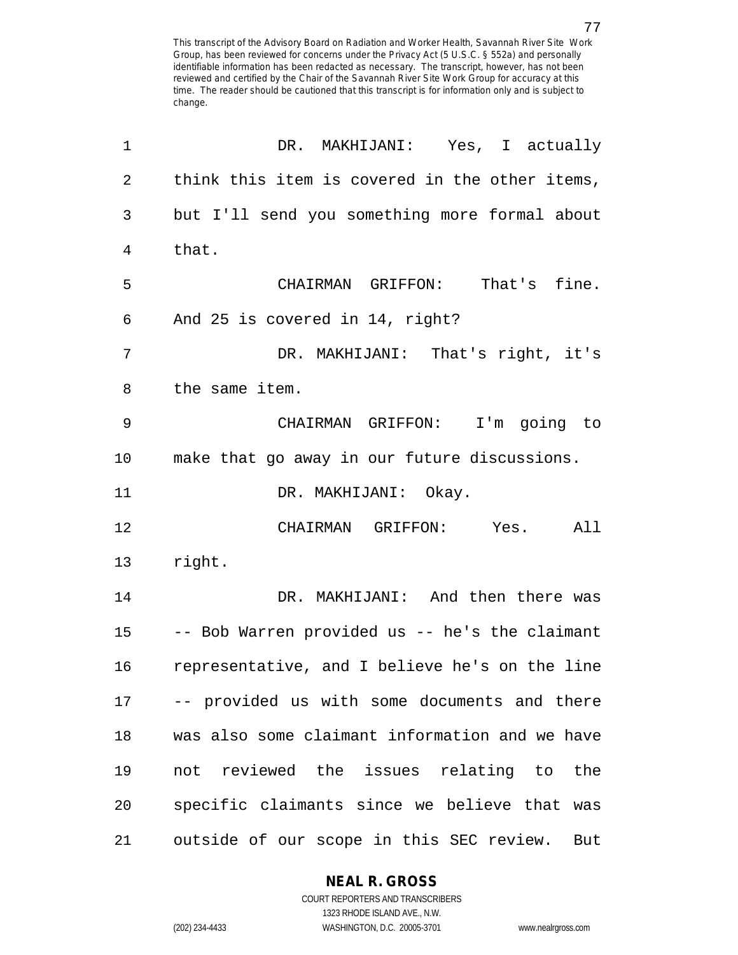| 1              | DR. MAKHIJANI: Yes, I actually                  |
|----------------|-------------------------------------------------|
| $\overline{2}$ | think this item is covered in the other items,  |
| 3              | but I'll send you something more formal about   |
| 4              | that.                                           |
| 5              | CHAIRMAN GRIFFON: That's fine.                  |
| 6              | And 25 is covered in 14, right?                 |
| 7              | DR. MAKHIJANI: That's right, it's               |
| 8              | the same item.                                  |
| 9              | CHAIRMAN GRIFFON: I'm going to                  |
| 10             | make that go away in our future discussions.    |
| 11             | DR. MAKHIJANI: Okay.                            |
| 12             | CHAIRMAN GRIFFON: Yes.<br>All                   |
| 13             | right.                                          |
| 14             | DR. MAKHIJANI: And then there was               |
| 15             | -- Bob Warren provided us -- he's the claimant  |
| 16             | representative, and I believe he's on the line  |
| 17             | -- provided us with some documents and there    |
| 18             | was also some claimant information and we have  |
| 19             | not reviewed the issues relating to the         |
| 20             | specific claimants since we believe that was    |
| 21             | outside of our scope in this SEC review.<br>But |

**NEAL R. GROSS**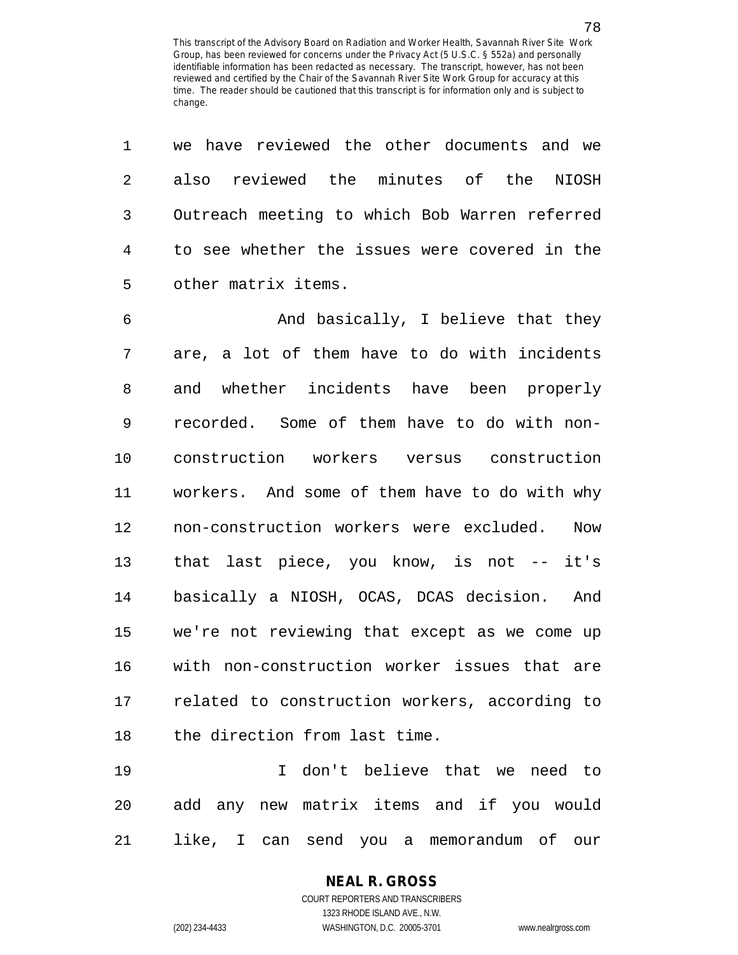| $\mathbf 1$    | we have reviewed the other documents and we    |
|----------------|------------------------------------------------|
| $\overline{2}$ | also reviewed the minutes of the NIOSH         |
| 3              | Outreach meeting to which Bob Warren referred  |
| 4              | to see whether the issues were covered in the  |
| 5              | other matrix items.                            |
| 6              | And basically, I believe that they             |
| 7              | are, a lot of them have to do with incidents   |
| 8              | and whether incidents have been properly       |
| 9              | recorded. Some of them have to do with non-    |
| 10             | construction workers versus construction       |
| 11             | workers. And some of them have to do with why  |
| 12             | non-construction workers were excluded.<br>Now |
| 13             | that last piece, you know, is not -- it's      |
| 14             | basically a NIOSH, OCAS, DCAS decision. And    |
| 15             | we're not reviewing that except as we come up  |
| 16             | with non-construction worker issues that are   |
| 17             | related to construction workers, according to  |
| 18             | the direction from last time.                  |
| 19             | don't believe that we need to<br>$\top$        |
| 20             | add any new matrix items and if you would      |

21 like, I can send you a memorandum of our

**NEAL R. GROSS** COURT REPORTERS AND TRANSCRIBERS

1323 RHODE ISLAND AVE., N.W.

78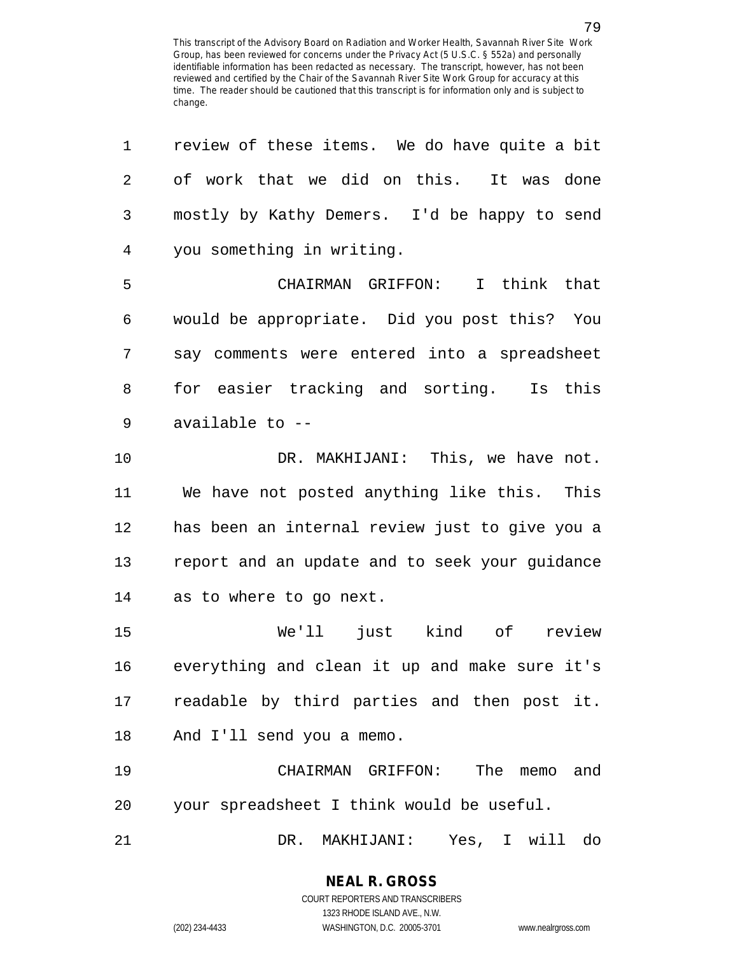| 1              | review of these items. We do have quite a bit  |
|----------------|------------------------------------------------|
| $\overline{2}$ | of work that we did on this. It was done       |
| $\mathfrak{Z}$ | mostly by Kathy Demers. I'd be happy to send   |
| $\overline{4}$ | you something in writing.                      |
| 5              | CHAIRMAN GRIFFON: I think that                 |
| 6              | would be appropriate. Did you post this? You   |
| 7              | say comments were entered into a spreadsheet   |
| 8              | for easier tracking and sorting. Is this       |
| 9              | available to --                                |
| 10             | DR. MAKHIJANI: This, we have not.              |
| 11             | We have not posted anything like this. This    |
| 12             | has been an internal review just to give you a |
| 13             | report and an update and to seek your guidance |
| 14             | as to where to go next.                        |
| 15             | We'll just kind of review                      |
| 16             | everything and clean it up and make sure it's  |
| 17             | readable by third parties and then post it.    |
| 18             | And I'll send you a memo.                      |
| 19             | CHAIRMAN GRIFFON: The memo<br>and              |
| 20             | your spreadsheet I think would be useful.      |
| 21             | DR.<br>Yes, I will do<br>MAKHIJANI:            |

**NEAL R. GROSS** COURT REPORTERS AND TRANSCRIBERS

1323 RHODE ISLAND AVE., N.W. (202) 234-4433 WASHINGTON, D.C. 20005-3701 www.nealrgross.com

79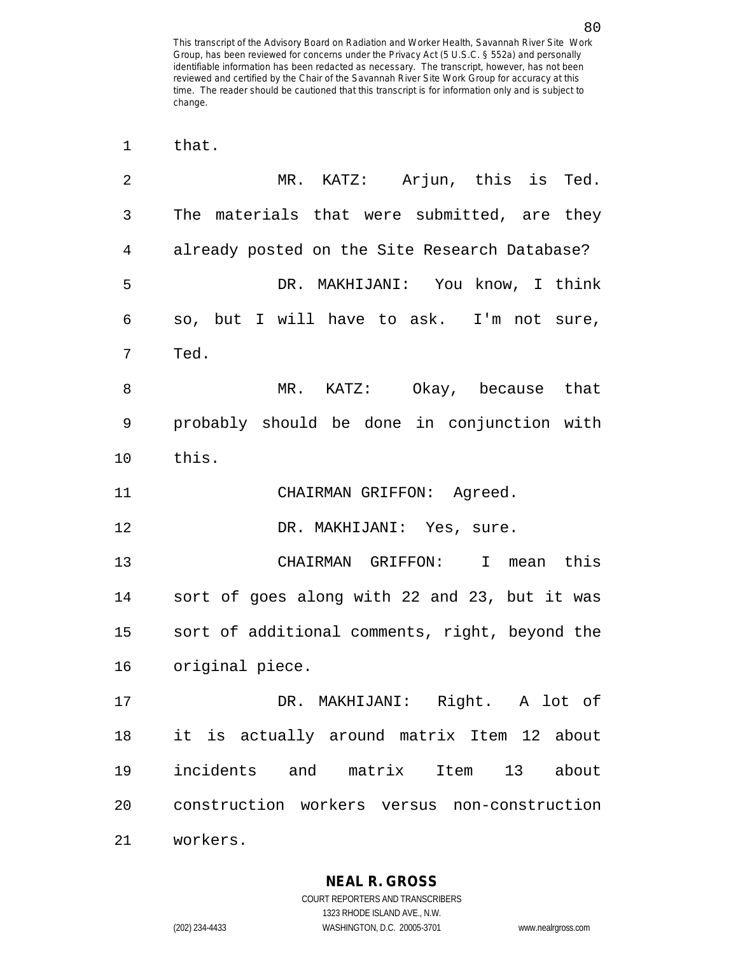| 1  | that.                                          |
|----|------------------------------------------------|
| 2  | MR. KATZ: Arjun, this is Ted.                  |
| 3  | The materials that were submitted, are they    |
| 4  | already posted on the Site Research Database?  |
| 5  | DR. MAKHIJANI: You know, I think               |
| 6  | so, but I will have to ask. I'm not sure,      |
| 7  | Ted.                                           |
| 8  | MR. KATZ: Okay, because that                   |
| 9  | probably should be done in conjunction with    |
| 10 | this.                                          |
| 11 | CHAIRMAN GRIFFON: Agreed.                      |
| 12 | DR. MAKHIJANI: Yes, sure.                      |
| 13 | CHAIRMAN GRIFFON: I mean this                  |
| 14 | sort of goes along with 22 and 23, but it was  |
| 15 | sort of additional comments, right, beyond the |
| 16 | original piece.                                |
| 17 | DR. MAKHIJANI: Right. A lot of                 |
| 18 | it is actually around matrix Item 12 about     |
| 19 | incidents and matrix Item 13 about             |
| 20 | construction workers versus non-construction   |
| 21 | workers.                                       |

**NEAL R. GROSS** COURT REPORTERS AND TRANSCRIBERS

1323 RHODE ISLAND AVE., N.W. (202) 234-4433 WASHINGTON, D.C. 20005-3701 www.nealrgross.com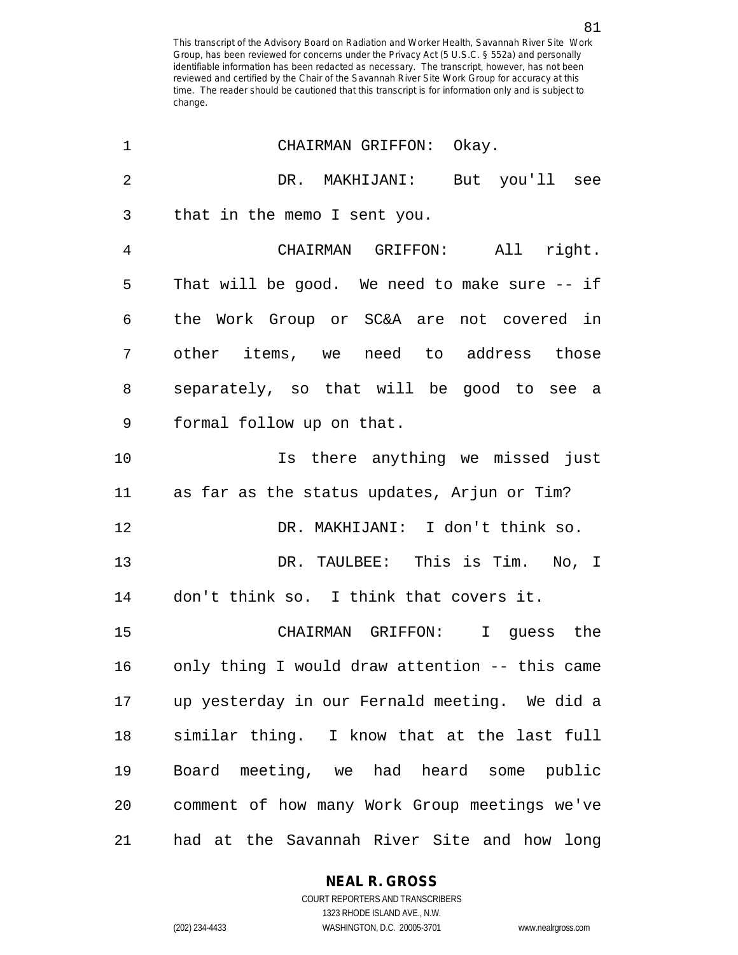| 1              | CHAIRMAN GRIFFON: Okay.                          |
|----------------|--------------------------------------------------|
| $\overline{2}$ | DR. MAKHIJANI: But you'll see                    |
| 3              | that in the memo I sent you.                     |
| 4              | CHAIRMAN GRIFFON: All right.                     |
| 5              | That will be good. We need to make sure $-$ - if |
| 6              | the Work Group or SC&A are not covered in        |
| 7              | other items, we need to address those            |
| 8              | separately, so that will be good to see a        |
| $\mathsf 9$    | formal follow up on that.                        |
| 10             | Is there anything we missed just                 |
| 11             | as far as the status updates, Arjun or Tim?      |
| 12             | DR. MAKHIJANI: I don't think so.                 |
| 13             | DR. TAULBEE: This is Tim. No, I                  |
| 14             | don't think so. I think that covers it.          |
| 15             | CHAIRMAN GRIFFON: I guess the                    |
| 16             | only thing I would draw attention -- this came   |
| 17             | up yesterday in our Fernald meeting. We did a    |
| 18             | similar thing. I know that at the last full      |
| 19             | Board meeting, we had heard some public          |
| 20             | comment of how many Work Group meetings we've    |
| 21             | had at the Savannah River Site and how long      |

**NEAL R. GROSS**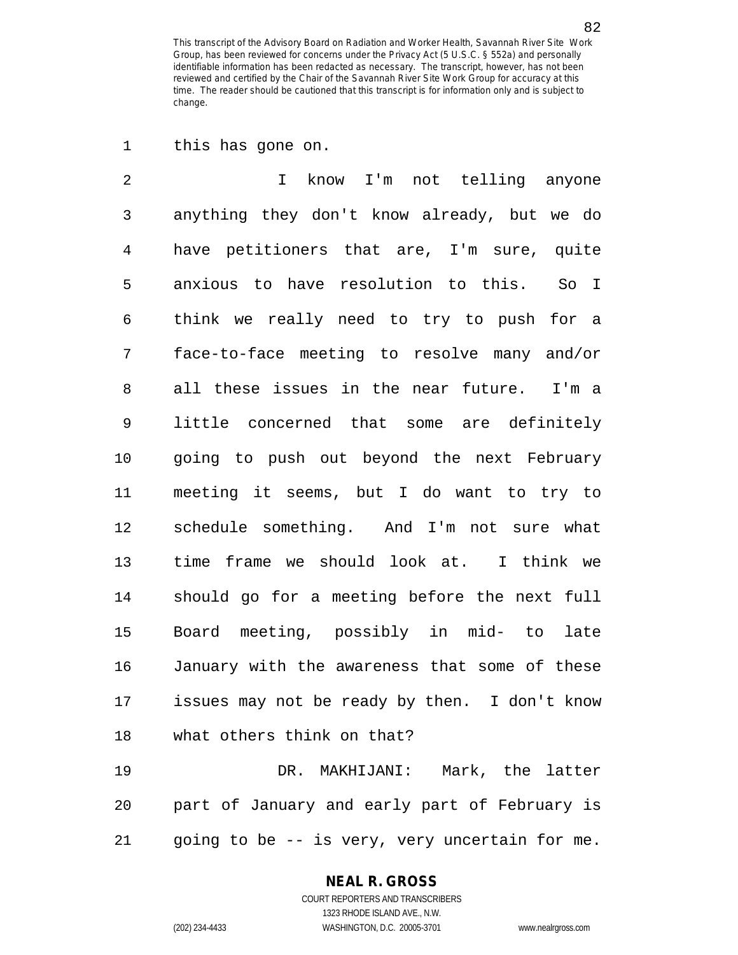1 this has gone on.

2 I know I'm not telling anyone 3 anything they don't know already, but we do 4 have petitioners that are, I'm sure, quite 5 anxious to have resolution to this. So I 6 think we really need to try to push for a 7 face-to-face meeting to resolve many and/or 8 all these issues in the near future. I'm a 9 little concerned that some are definitely 10 going to push out beyond the next February 11 meeting it seems, but I do want to try to 12 schedule something. And I'm not sure what 13 time frame we should look at. I think we 14 should go for a meeting before the next full 15 Board meeting, possibly in mid- to late 16 January with the awareness that some of these 17 issues may not be ready by then. I don't know 18 what others think on that?

19 DR. MAKHIJANI: Mark, the latter 20 part of January and early part of February is 21 going to be -- is very, very uncertain for me.

#### **NEAL R. GROSS**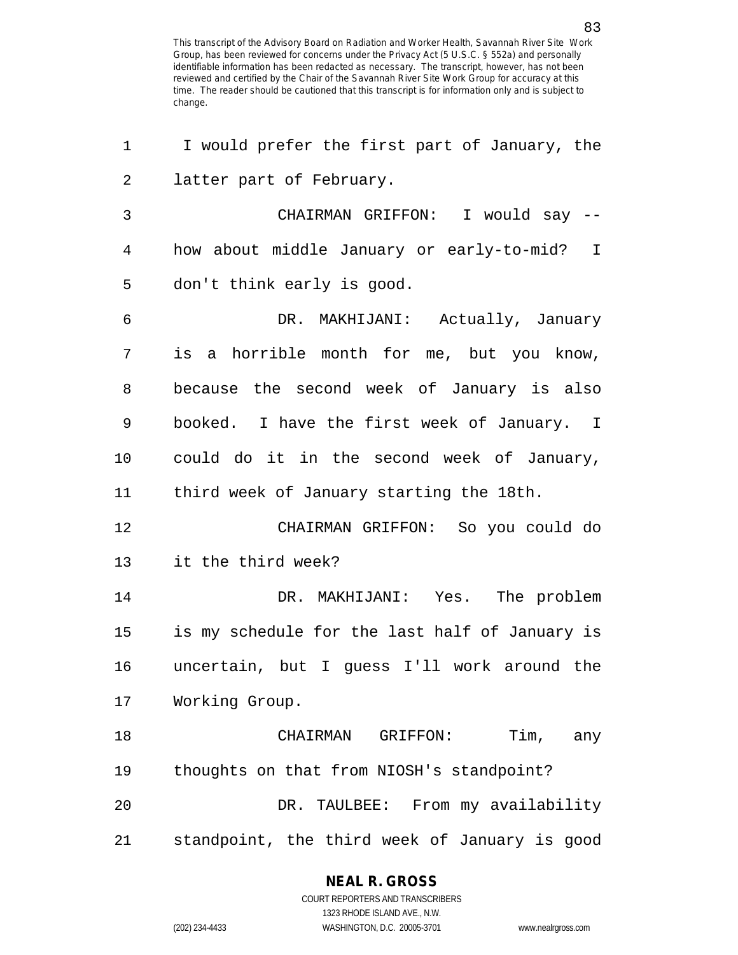| 1  | I would prefer the first part of January, the  |
|----|------------------------------------------------|
| 2  | latter part of February.                       |
| 3  | CHAIRMAN GRIFFON: I would say --               |
| 4  | how about middle January or early-to-mid? I    |
| 5  | don't think early is good.                     |
| 6  | DR. MAKHIJANI: Actually, January               |
| 7  | is a horrible month for me, but you know,      |
| 8  | because the second week of January is also     |
| 9  | booked. I have the first week of January. I    |
| 10 | could do it in the second week of January,     |
| 11 | third week of January starting the 18th.       |
| 12 | CHAIRMAN GRIFFON: So you could do              |
| 13 | it the third week?                             |
| 14 | DR. MAKHIJANI: Yes. The problem                |
| 15 | is my schedule for the last half of January is |
| 16 | uncertain, but I guess I'll work around the    |
| 17 | Working Group.                                 |
| 18 | Tim, any<br>CHAIRMAN GRIFFON:                  |
| 19 | thoughts on that from NIOSH's standpoint?      |
| 20 | DR. TAULBEE: From my availability              |
| 21 | standpoint, the third week of January is good  |

### **NEAL R. GROSS**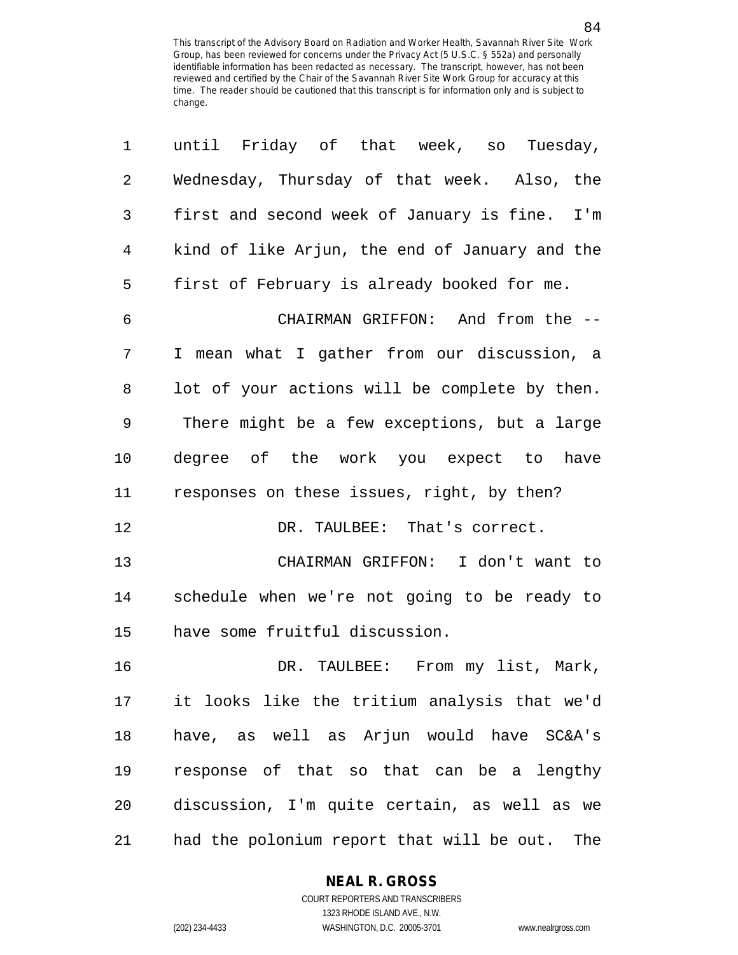| 1  | until Friday of that week, so Tuesday,           |
|----|--------------------------------------------------|
| 2  | Wednesday, Thursday of that week. Also, the      |
| 3  | first and second week of January is fine. I'm    |
| 4  | kind of like Arjun, the end of January and the   |
| 5  | first of February is already booked for me.      |
| 6  | CHAIRMAN GRIFFON: And from the --                |
| 7  | I mean what I gather from our discussion, a      |
| 8  | lot of your actions will be complete by then.    |
| 9  | There might be a few exceptions, but a large     |
| 10 | degree of the work you expect to have            |
| 11 | responses on these issues, right, by then?       |
| 12 | DR. TAULBEE: That's correct.                     |
| 13 | CHAIRMAN GRIFFON: I don't want to                |
| 14 | schedule when we're not going to be ready to     |
| 15 | have some fruitful discussion.                   |
| 16 | DR. TAULBEE: From my list, Mark,                 |
| 17 | it looks like the tritium analysis that we'd     |
| 18 | have, as well as Arjun would have SC&A's         |
| 19 | response of that so that can be a lengthy        |
| 20 | discussion, I'm quite certain, as well as we     |
| 21 | had the polonium report that will be out.<br>The |

**NEAL R. GROSS**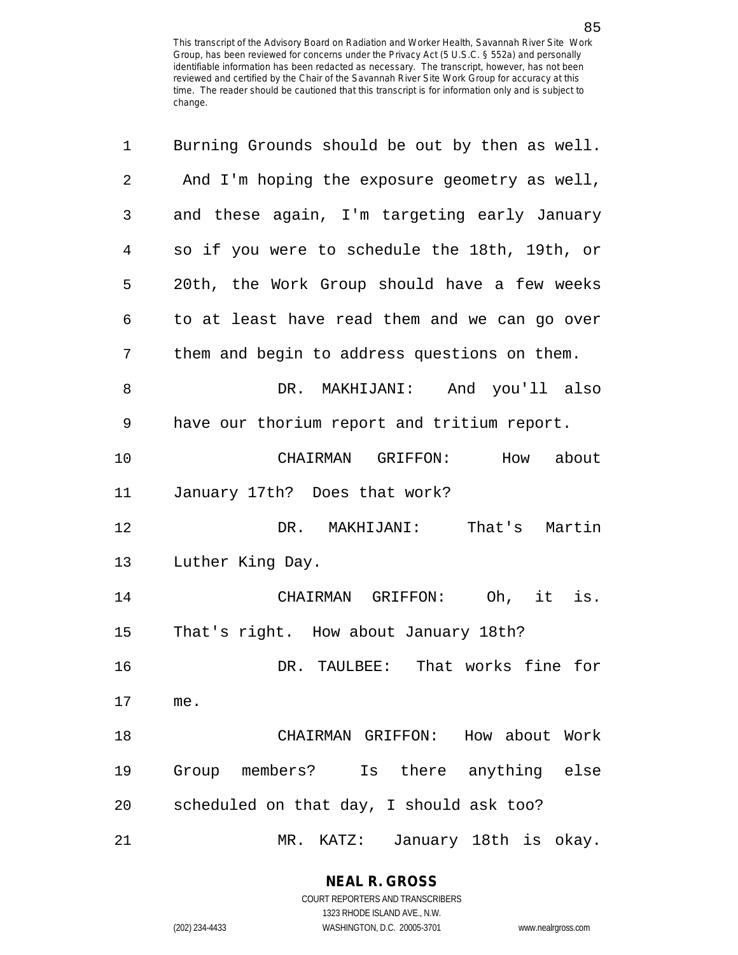| 1  | Burning Grounds should be out by then as well. |
|----|------------------------------------------------|
| 2  | And I'm hoping the exposure geometry as well,  |
| 3  | and these again, I'm targeting early January   |
| 4  | so if you were to schedule the 18th, 19th, or  |
| 5  | 20th, the Work Group should have a few weeks   |
| 6  | to at least have read them and we can go over  |
| 7  | them and begin to address questions on them.   |
| 8  | DR. MAKHIJANI: And you'll also                 |
| 9  | have our thorium report and tritium report.    |
| 10 | CHAIRMAN GRIFFON:<br>How about                 |
| 11 | January 17th? Does that work?                  |
| 12 | DR. MAKHIJANI: That's Martin                   |
| 13 | Luther King Day.                               |
| 14 | CHAIRMAN GRIFFON: Oh, it is.                   |
| 15 | That's right. How about January 18th?          |
| 16 | DR. TAULBEE: That works fine for               |
| 17 | me.                                            |
| 18 | CHAIRMAN GRIFFON: How about Work               |
| 19 | Group members? Is there anything else          |
| 20 | scheduled on that day, I should ask too?       |
| 21 | $MR$ .<br>January 18th is okay.<br>KATZ:       |

**NEAL R. GROSS** COURT REPORTERS AND TRANSCRIBERS

1323 RHODE ISLAND AVE., N.W.

(202) 234-4433 WASHINGTON, D.C. 20005-3701 www.nealrgross.com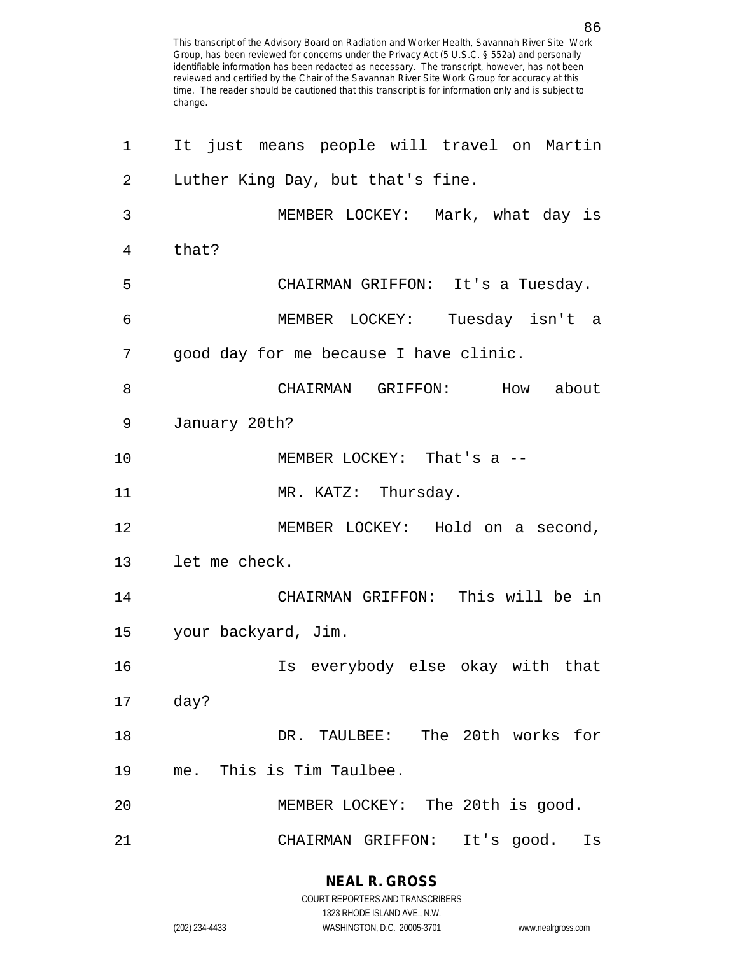| 1  | It just means people will travel on Martin |
|----|--------------------------------------------|
| 2  | Luther King Day, but that's fine.          |
| 3  | MEMBER LOCKEY: Mark, what day is           |
| 4  | that?                                      |
| 5  | CHAIRMAN GRIFFON: It's a Tuesday.          |
| 6  | MEMBER LOCKEY: Tuesday isn't a             |
| 7  | good day for me because I have clinic.     |
| 8  | CHAIRMAN GRIFFON: How about                |
| 9  | January 20th?                              |
| 10 | MEMBER LOCKEY: That's a --                 |
| 11 | MR. KATZ: Thursday.                        |
| 12 | MEMBER LOCKEY: Hold on a second,           |
| 13 | let me check.                              |
| 14 | CHAIRMAN GRIFFON: This will be in          |
| 15 | your backyard, Jim.                        |
| 16 | Is everybody else okay with that           |
| 17 | day?                                       |
| 18 | The 20th works for<br>DR. TAULBEE:         |
| 19 | This is Tim Taulbee.<br>me.                |
| 20 | MEMBER LOCKEY: The 20th is good.           |
| 21 | CHAIRMAN GRIFFON:<br>It's good.<br>Is      |

**NEAL R. GROSS** COURT REPORTERS AND TRANSCRIBERS

1323 RHODE ISLAND AVE., N.W.

(202) 234-4433 WASHINGTON, D.C. 20005-3701 www.nealrgross.com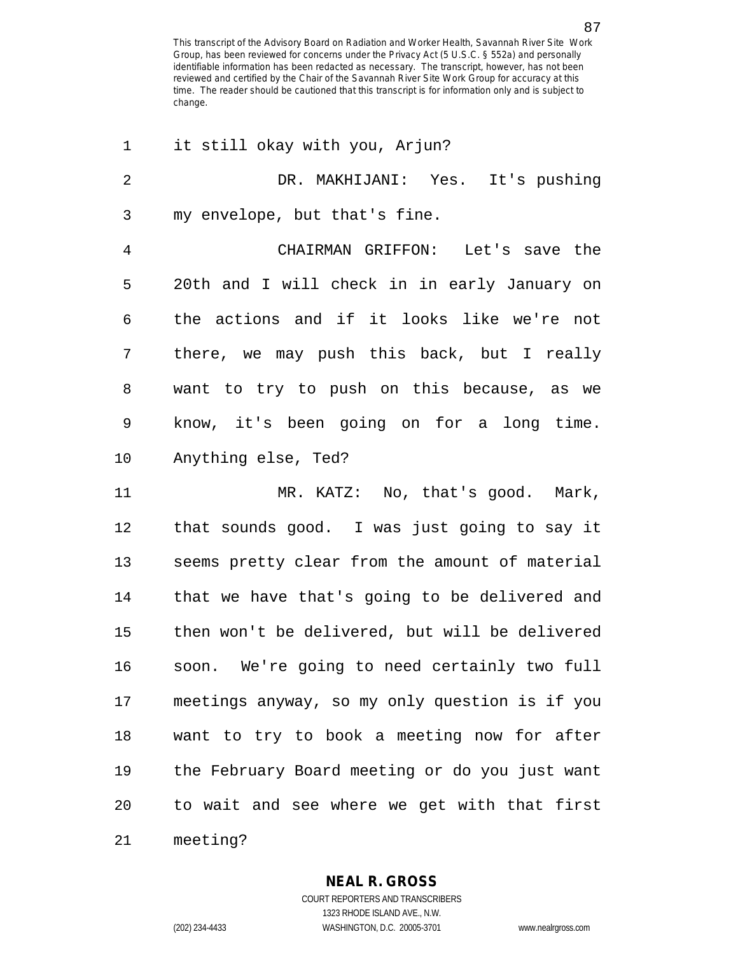| 1              | it still okay with you, Arjun?                 |
|----------------|------------------------------------------------|
| $\overline{2}$ | DR. MAKHIJANI: Yes. It's pushing               |
| 3              | my envelope, but that's fine.                  |
| $\overline{4}$ | CHAIRMAN GRIFFON: Let's save the               |
| 5              | 20th and I will check in in early January on   |
| 6              | the actions and if it looks like we're not     |
| 7              | there, we may push this back, but I really     |
| 8              | want to try to push on this because, as we     |
| 9              | know, it's been going on for a long time.      |
| $10 \,$        | Anything else, Ted?                            |
| 11             | MR. KATZ: No, that's good. Mark,               |
| 12             | that sounds good. I was just going to say it   |
| 13             | seems pretty clear from the amount of material |
| 14             | that we have that's going to be delivered and  |
| 15             | then won't be delivered, but will be delivered |
| 16             | soon. We're going to need certainly two full   |
| 17             | meetings anyway, so my only question is if you |
| 18             | want to try to book a meeting now for after    |
| 19             | the February Board meeting or do you just want |
| 20             | to wait and see where we get with that first   |
| 21             | meeting?                                       |

**NEAL R. GROSS** COURT REPORTERS AND TRANSCRIBERS

1323 RHODE ISLAND AVE., N.W. (202) 234-4433 WASHINGTON, D.C. 20005-3701 www.nealrgross.com

87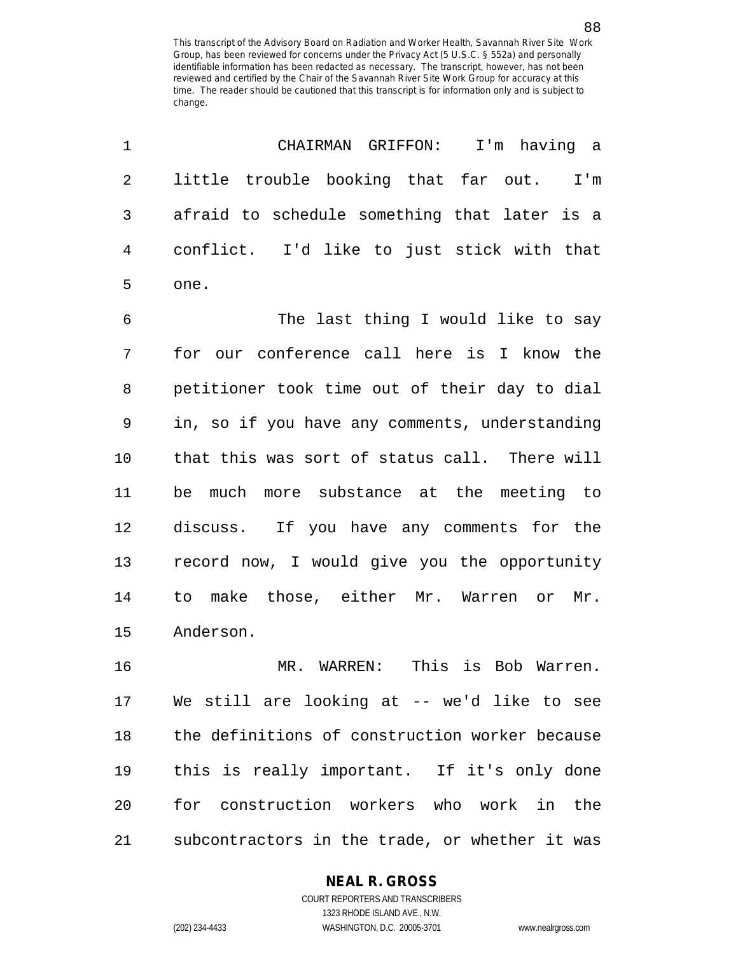| $\mathbf 1$ | CHAIRMAN GRIFFON: I'm having a                 |
|-------------|------------------------------------------------|
| 2           | little trouble booking that far out.<br>I'm    |
| 3           | afraid to schedule something that later is a   |
| 4           | conflict. I'd like to just stick with that     |
| 5           | one.                                           |
| 6           | The last thing I would like to say             |
| 7           | for our conference call here is I know the     |
| 8           | petitioner took time out of their day to dial  |
| 9           | in, so if you have any comments, understanding |
| 10          | that this was sort of status call. There will  |
| 11          | be much more substance at the meeting to       |
| 12          | discuss. If you have any comments for the      |
| 13          | record now, I would give you the opportunity   |
| 14          | to make those, either Mr. Warren or<br>Mr.     |
| 15          | Anderson.                                      |
| 16          | This is Bob Warren.<br>MR. WARREN:             |
| 17          | We still are looking at -- we'd like to see    |
| 18          | the definitions of construction worker because |
| 19          | this is really important. If it's only done    |
| 20          | for construction workers who work in the       |
| 21          | subcontractors in the trade, or whether it was |

**NEAL R. GROSS**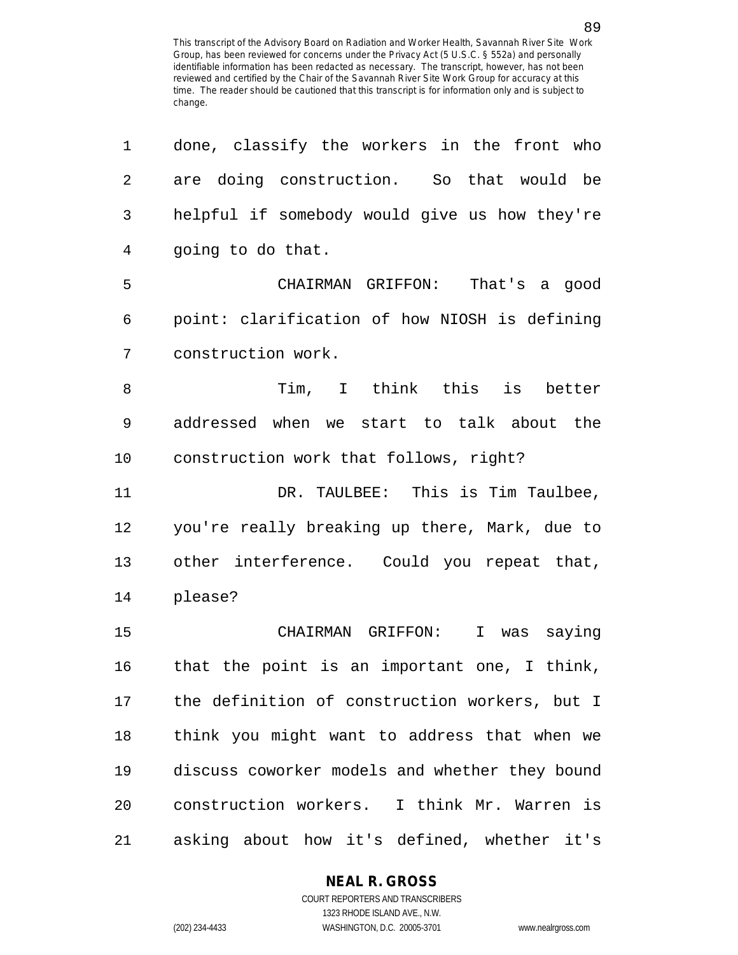| 1              | done, classify the workers in the front who    |
|----------------|------------------------------------------------|
| $\overline{2}$ | are doing construction. So that would be       |
| 3              | helpful if somebody would give us how they're  |
| 4              | going to do that.                              |
| 5              | CHAIRMAN GRIFFON:<br>That's a good             |
| 6              | point: clarification of how NIOSH is defining  |
| 7              | construction work.                             |
| 8              | Tim, I think this is better                    |
| 9              | addressed when we start to talk about the      |
| 10             | construction work that follows, right?         |
| 11             | DR. TAULBEE: This is Tim Taulbee,              |
| 12             | you're really breaking up there, Mark, due to  |
| 13             | other interference. Could you repeat that,     |
| 14             | please?                                        |
| 15             | CHAIRMAN GRIFFON: I was saying                 |
| 16             | that the point is an important one, I think,   |
| 17             | the definition of construction workers, but I  |
| 18             | think you might want to address that when we   |
| 19             | discuss coworker models and whether they bound |
| 20             | construction workers. I think Mr. Warren is    |
| 21             | asking about how it's defined, whether it's    |

#### **NEAL R. GROSS**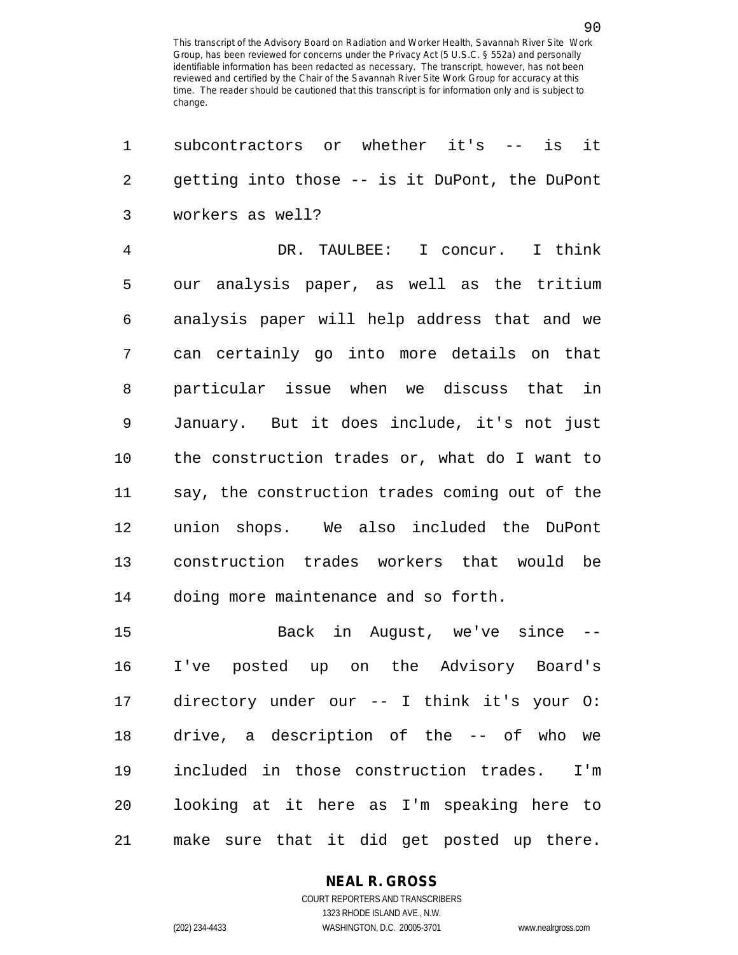1 subcontractors or whether it's -- is it 2 getting into those -- is it DuPont, the DuPont 3 workers as well? 4 DR. TAULBEE: I concur. I think 5 our analysis paper, as well as the tritium 6 analysis paper will help address that and we 7 can certainly go into more details on that 8 particular issue when we discuss that in 9 January. But it does include, it's not just 10 the construction trades or, what do I want to 11 say, the construction trades coming out of the 12 union shops. We also included the DuPont 13 construction trades workers that would be 14 doing more maintenance and so forth. 15 Back in August, we've since -- 16 I've posted up on the Advisory Board's 17 directory under our -- I think it's your O: 18 drive, a description of the -- of who we 19 included in those construction trades. I'm 20 looking at it here as I'm speaking here to

21 make sure that it did get posted up there.

### **NEAL R. GROSS**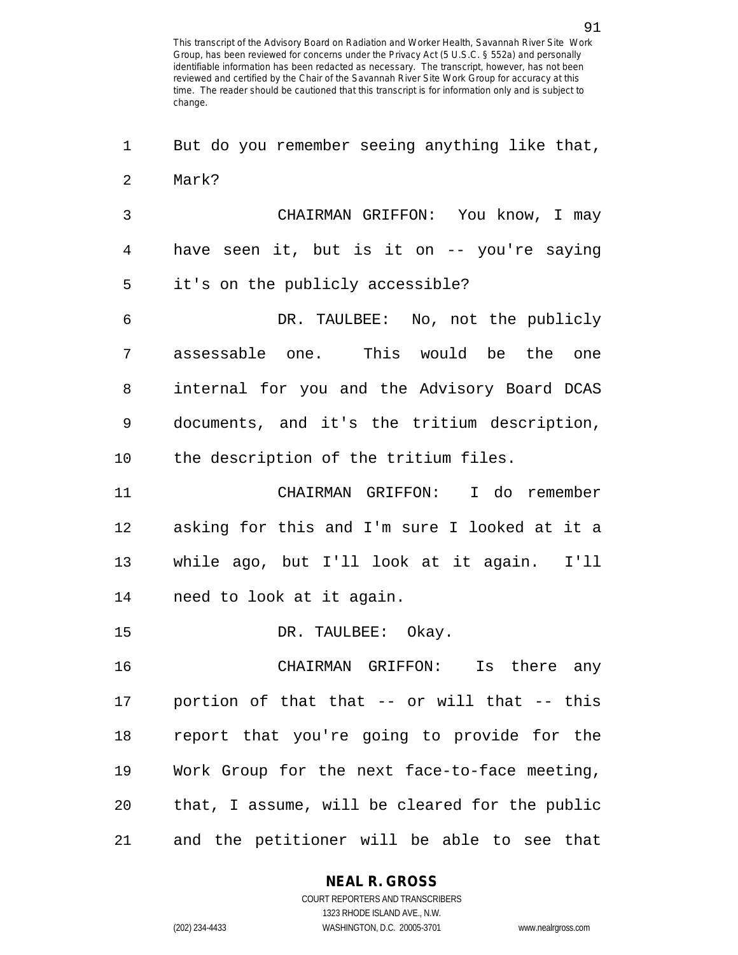1 But do you remember seeing anything like that, 2 Mark?

3 CHAIRMAN GRIFFON: You know, I may 4 have seen it, but is it on -- you're saying 5 it's on the publicly accessible?

6 DR. TAULBEE: No, not the publicly 7 assessable one. This would be the one 8 internal for you and the Advisory Board DCAS 9 documents, and it's the tritium description, 10 the description of the tritium files.

11 CHAIRMAN GRIFFON: I do remember 12 asking for this and I'm sure I looked at it a 13 while ago, but I'll look at it again. I'll 14 need to look at it again.

15 DR. TAULBEE: Okay.

16 CHAIRMAN GRIFFON: Is there any 17 portion of that that -- or will that -- this 18 report that you're going to provide for the 19 Work Group for the next face-to-face meeting, 20 that, I assume, will be cleared for the public 21 and the petitioner will be able to see that

### **NEAL R. GROSS**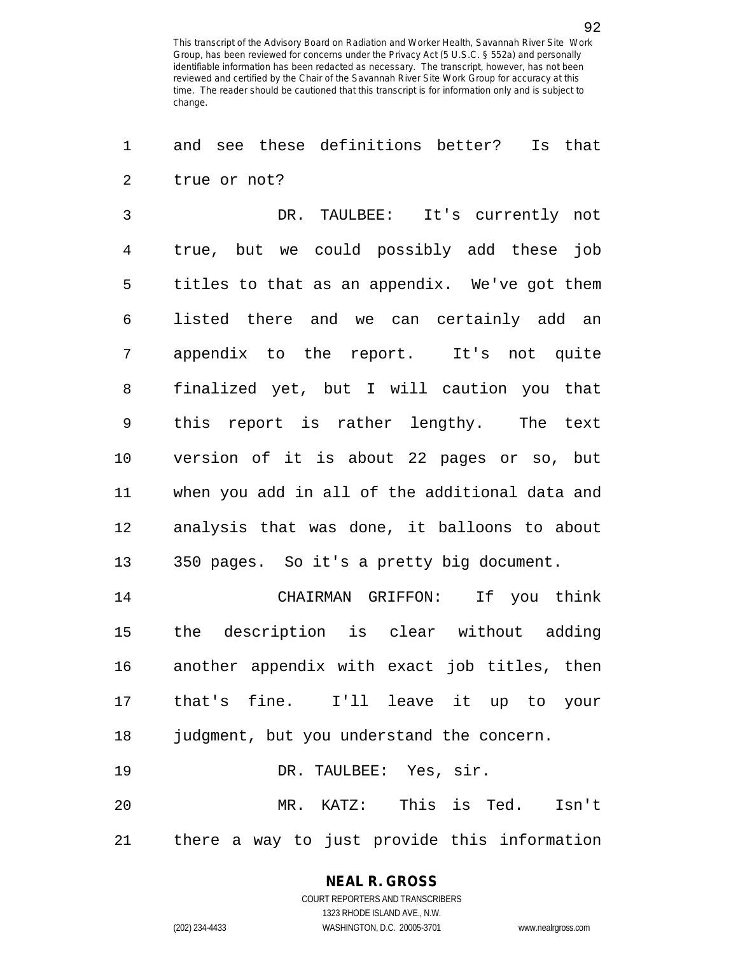1 and see these definitions better? Is that 2 true or not?

3 DR. TAULBEE: It's currently not 4 true, but we could possibly add these job 5 titles to that as an appendix. We've got them 6 listed there and we can certainly add an 7 appendix to the report. It's not quite 8 finalized yet, but I will caution you that 9 this report is rather lengthy. The text 10 version of it is about 22 pages or so, but 11 when you add in all of the additional data and 12 analysis that was done, it balloons to about 13 350 pages. So it's a pretty big document.

14 CHAIRMAN GRIFFON: If you think 15 the description is clear without adding 16 another appendix with exact job titles, then 17 that's fine. I'll leave it up to your 18 judgment, but you understand the concern. 19 DR. TAULBEE: Yes, sir. 20 MR. KATZ: This is Ted. Isn't

21 there a way to just provide this information

### **NEAL R. GROSS**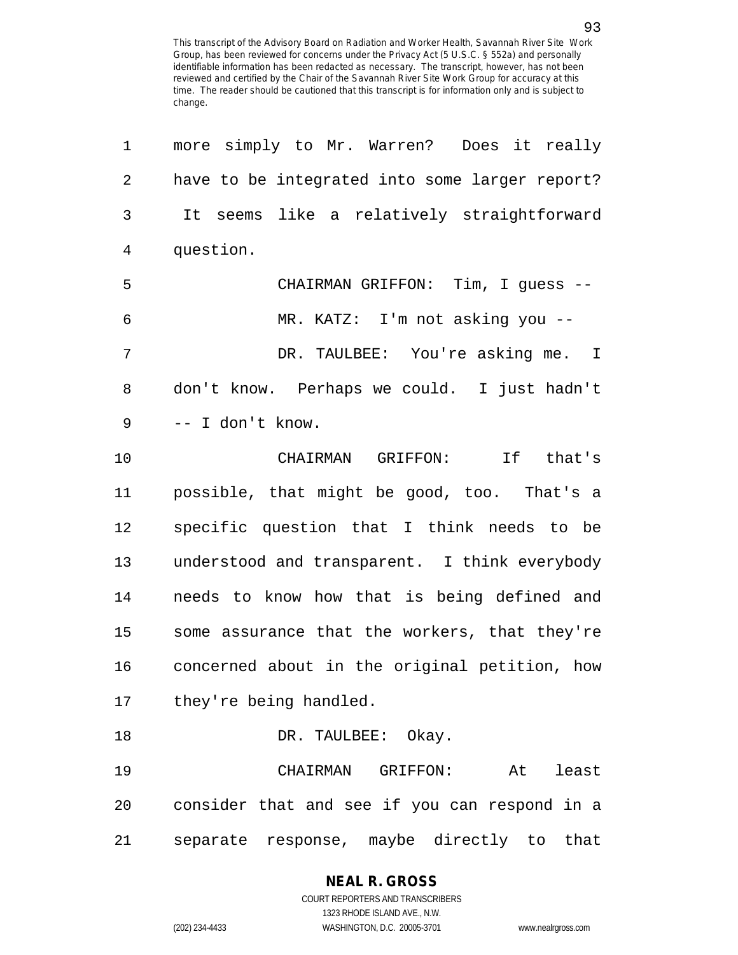1 more simply to Mr. Warren? Does it really 2 have to be integrated into some larger report? 3 It seems like a relatively straightforward 4 question. 5 CHAIRMAN GRIFFON: Tim, I guess -- 6 MR. KATZ: I'm not asking you -- 7 DR. TAULBEE: You're asking me. I 8 don't know. Perhaps we could. I just hadn't 9 -- I don't know. 10 CHAIRMAN GRIFFON: If that's 11 possible, that might be good, too. That's a 12 specific question that I think needs to be 13 understood and transparent. I think everybody 14 needs to know how that is being defined and 15 some assurance that the workers, that they're 16 concerned about in the original petition, how 17 they're being handled. 18 DR. TAULBEE: Okay. 19 CHAIRMAN GRIFFON: At least 20 consider that and see if you can respond in a 21 separate response, maybe directly to that

## **NEAL R. GROSS**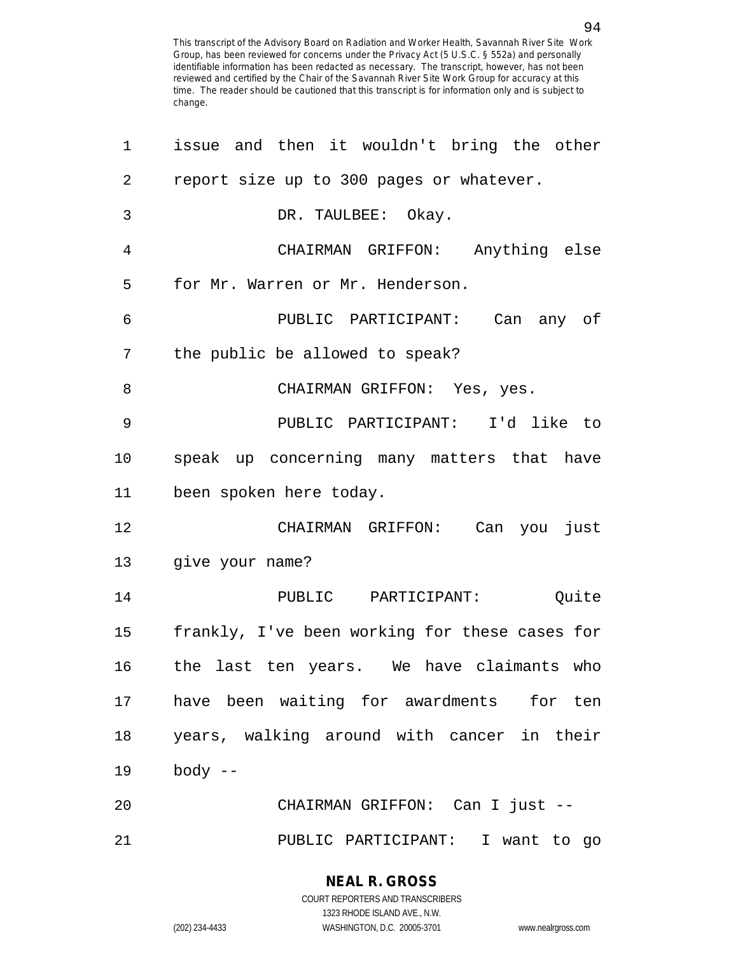| 1      | issue and then it wouldn't bring the other     |
|--------|------------------------------------------------|
| 2      | report size up to 300 pages or whatever.       |
| 3      | DR. TAULBEE: Okay.                             |
| 4      | CHAIRMAN GRIFFON: Anything else                |
| 5      | for Mr. Warren or Mr. Henderson.               |
| 6      | PUBLIC PARTICIPANT: Can any of                 |
| 7      | the public be allowed to speak?                |
| 8      | CHAIRMAN GRIFFON: Yes, yes.                    |
| 9      | PUBLIC PARTICIPANT: I'd like to                |
| 10     | speak up concerning many matters that have     |
| 11     | been spoken here today.                        |
| 12     | CHAIRMAN GRIFFON: Can you just                 |
|        | 13 give your name?                             |
| 14     | PUBLIC PARTICIPANT: Quite                      |
| 15     | frankly, I've been working for these cases for |
| 16     | the last ten years. We have claimants who      |
| 17     | have been waiting for awardments for ten       |
| $18\,$ | years, walking around with cancer in their     |
| 19     | $body$ --                                      |
| 20     | CHAIRMAN GRIFFON: Can I just --                |
| 21     | PUBLIC PARTICIPANT: I want to go               |

COURT REPORTERS AND TRANSCRIBERS 1323 RHODE ISLAND AVE., N.W. (202) 234-4433 WASHINGTON, D.C. 20005-3701 www.nealrgross.com

**NEAL R. GROSS**

94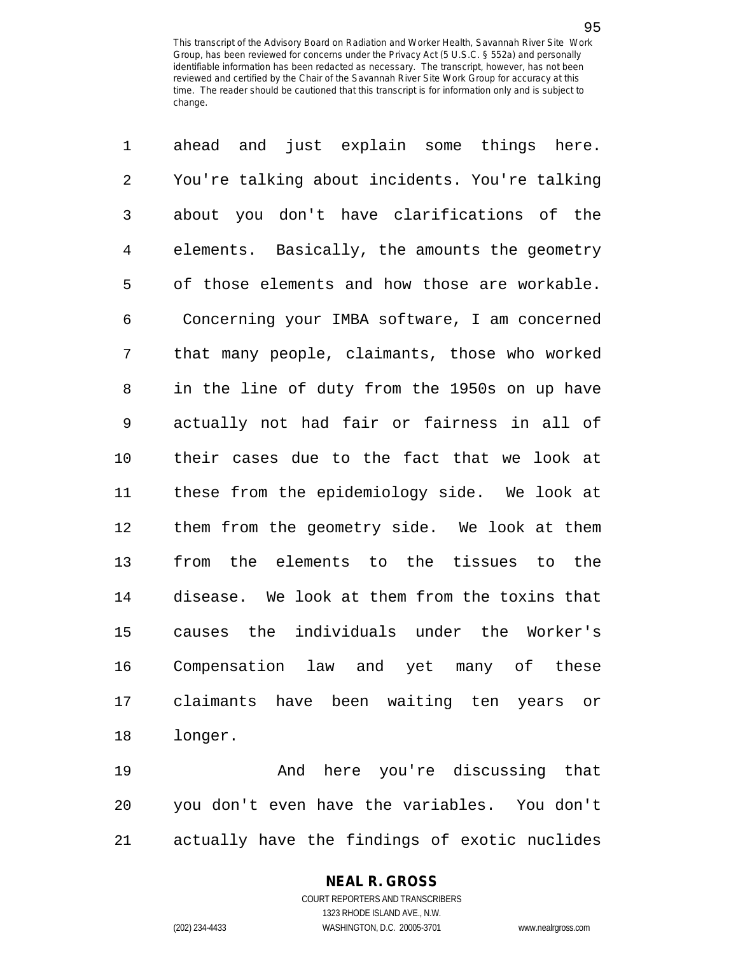1 ahead and just explain some things here. 2 You're talking about incidents. You're talking 3 about you don't have clarifications of the 4 elements. Basically, the amounts the geometry 5 of those elements and how those are workable. 6 Concerning your IMBA software, I am concerned 7 that many people, claimants, those who worked 8 in the line of duty from the 1950s on up have 9 actually not had fair or fairness in all of 10 their cases due to the fact that we look at 11 these from the epidemiology side. We look at 12 them from the geometry side. We look at them 13 from the elements to the tissues to the 14 disease. We look at them from the toxins that 15 causes the individuals under the Worker's 16 Compensation law and yet many of these 17 claimants have been waiting ten years or 18 longer.

19 And here you're discussing that 20 you don't even have the variables. You don't 21 actually have the findings of exotic nuclides

### **NEAL R. GROSS**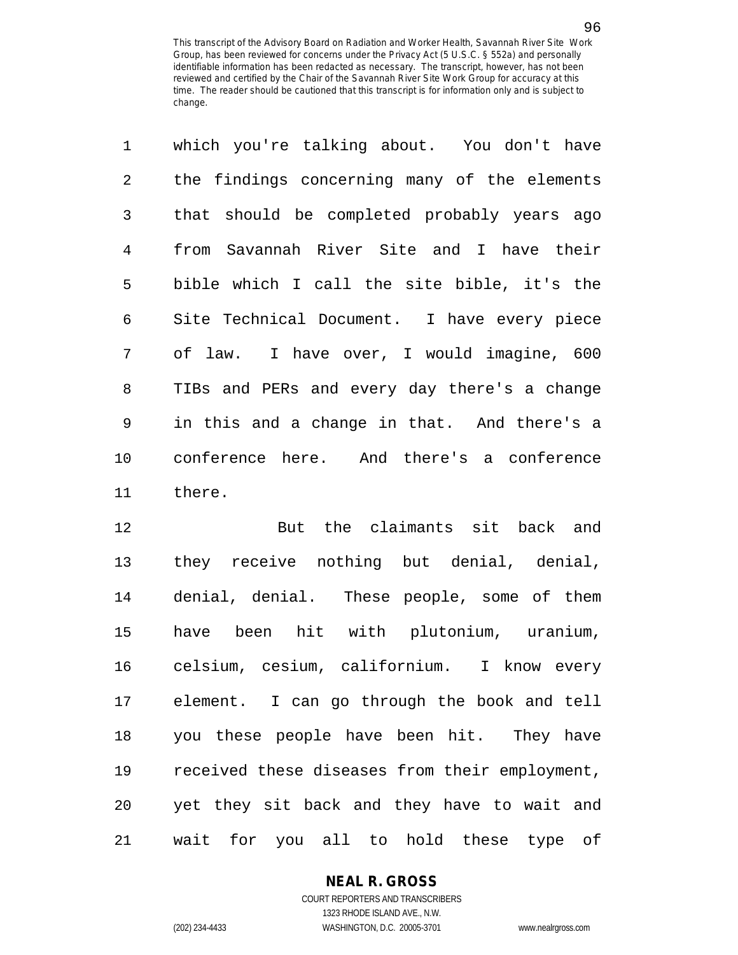| $\mathbf{1}$ | which you're talking about. You don't have   |
|--------------|----------------------------------------------|
| 2            | the findings concerning many of the elements |
| 3            | that should be completed probably years ago  |
| 4            | from Savannah River Site and I have their    |
| 5            | bible which I call the site bible, it's the  |
| 6            | Site Technical Document. I have every piece  |
| 7            | of law. I have over, I would imagine, 600    |
| 8            | TIBs and PERs and every day there's a change |
| 9            | in this and a change in that. And there's a  |
| 10           | conference here. And there's a conference    |
| 11           | there.                                       |

12 But the claimants sit back and 13 they receive nothing but denial, denial, 14 denial, denial. These people, some of them 15 have been hit with plutonium, uranium, 16 celsium, cesium, californium. I know every 17 element. I can go through the book and tell 18 you these people have been hit. They have 19 received these diseases from their employment, 20 yet they sit back and they have to wait and 21 wait for you all to hold these type of

#### **NEAL R. GROSS** COURT REPORTERS AND TRANSCRIBERS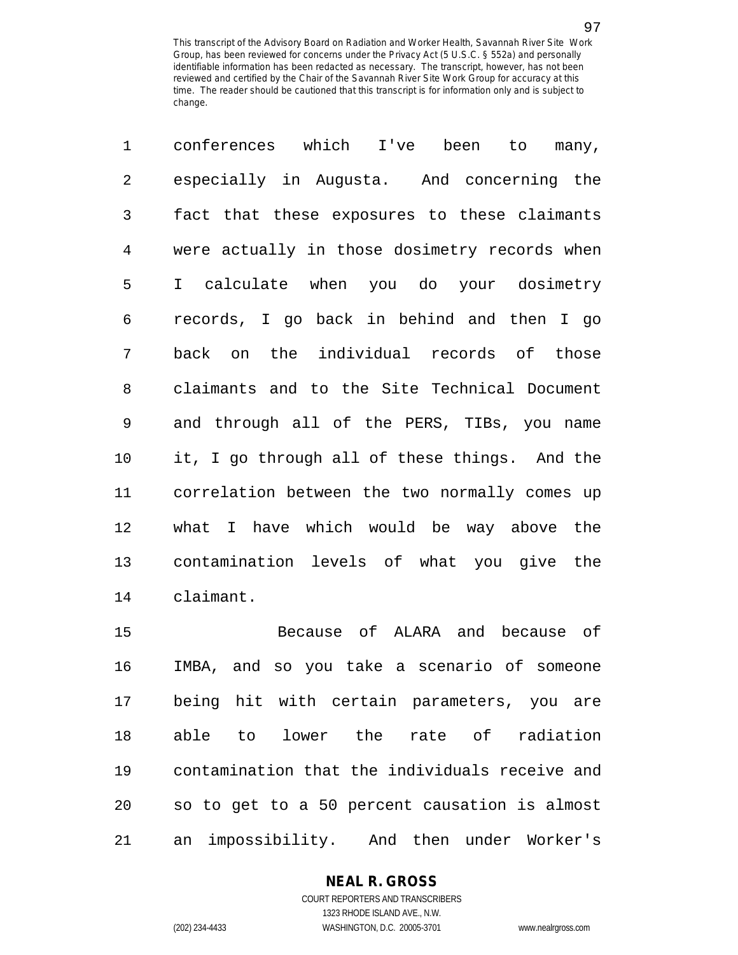1 conferences which I've been to many, 2 especially in Augusta. And concerning the 3 fact that these exposures to these claimants 4 were actually in those dosimetry records when 5 I calculate when you do your dosimetry 6 records, I go back in behind and then I go 7 back on the individual records of those 8 claimants and to the Site Technical Document 9 and through all of the PERS, TIBs, you name 10 it, I go through all of these things. And the 11 correlation between the two normally comes up 12 what I have which would be way above the 13 contamination levels of what you give the 14 claimant.

15 Because of ALARA and because of 16 IMBA, and so you take a scenario of someone 17 being hit with certain parameters, you are 18 able to lower the rate of radiation 19 contamination that the individuals receive and 20 so to get to a 50 percent causation is almost 21 an impossibility. And then under Worker's

> **NEAL R. GROSS** COURT REPORTERS AND TRANSCRIBERS

> > 1323 RHODE ISLAND AVE., N.W.

(202) 234-4433 WASHINGTON, D.C. 20005-3701 www.nealrgross.com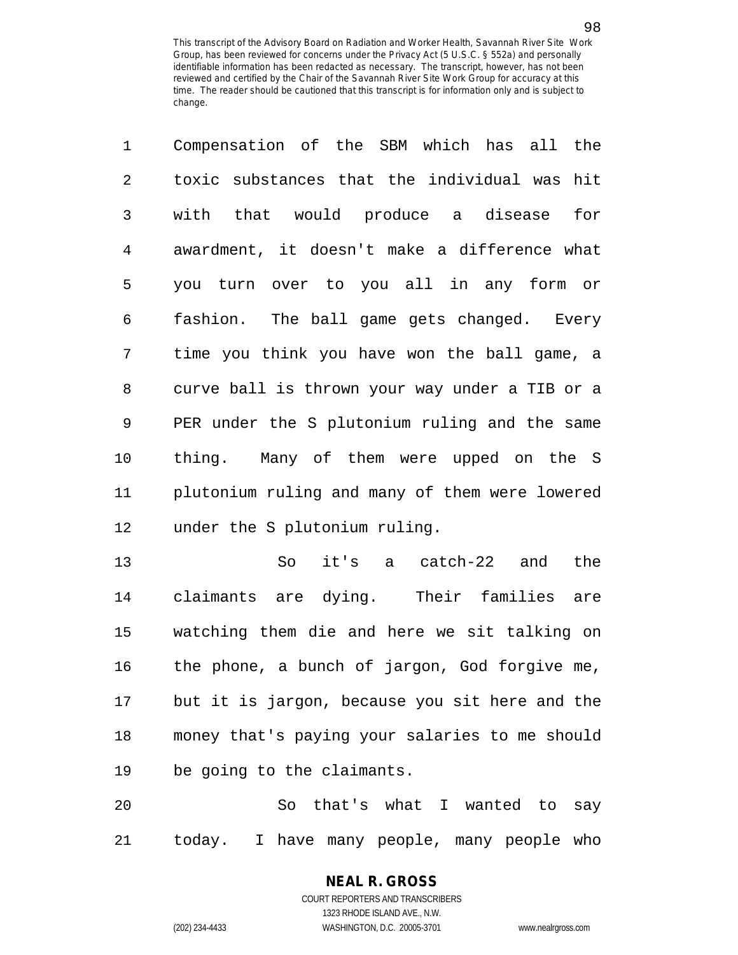| $\mathbf 1$    | Compensation of the SBM which has all the      |
|----------------|------------------------------------------------|
| $\overline{2}$ | toxic substances that the individual was hit   |
| 3              | with that would produce a disease for          |
| 4              | awardment, it doesn't make a difference what   |
| 5              | you turn over to you all in any form or        |
| 6              | fashion. The ball game gets changed. Every     |
| 7              | time you think you have won the ball game, a   |
| 8              | curve ball is thrown your way under a TIB or a |
| 9              | PER under the S plutonium ruling and the same  |
| $10 \,$        | thing. Many of them were upped on the S        |
| 11             | plutonium ruling and many of them were lowered |
| 12             | under the S plutonium ruling.                  |
|                |                                                |

13 So it's a catch-22 and the 14 claimants are dying. Their families are 15 watching them die and here we sit talking on 16 the phone, a bunch of jargon, God forgive me, 17 but it is jargon, because you sit here and the 18 money that's paying your salaries to me should 19 be going to the claimants.

20 So that's what I wanted to say 21 today. I have many people, many people who

## **NEAL R. GROSS** COURT REPORTERS AND TRANSCRIBERS

1323 RHODE ISLAND AVE., N.W. (202) 234-4433 WASHINGTON, D.C. 20005-3701 www.nealrgross.com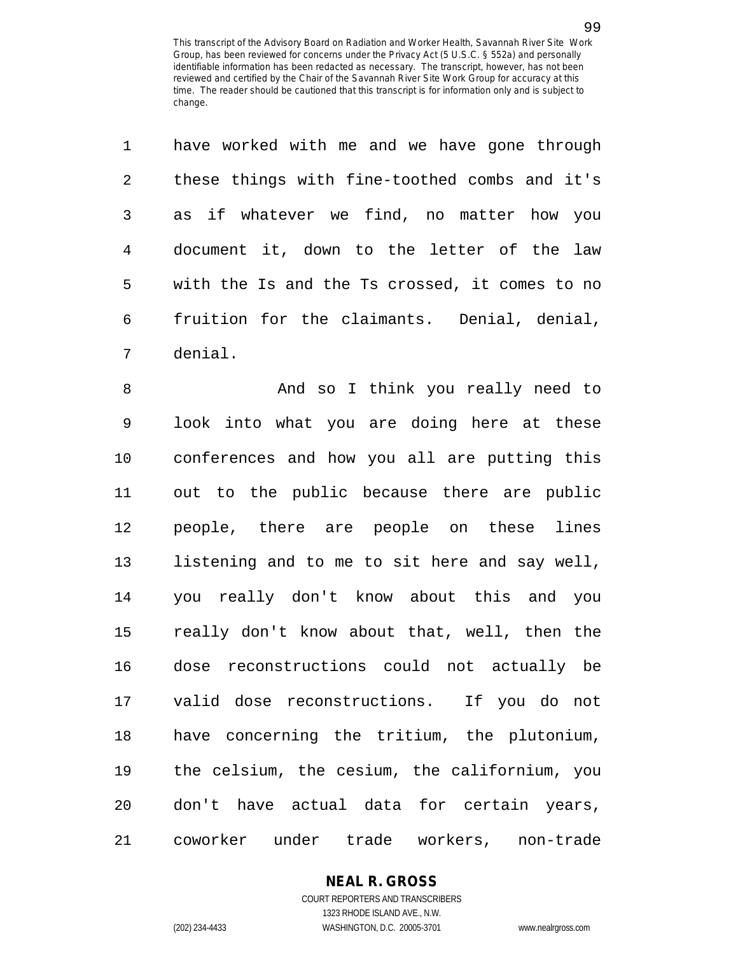| $\mathbf{1}$ | have worked with me and we have gone through   |
|--------------|------------------------------------------------|
| 2            | these things with fine-toothed combs and it's  |
| 3            | as if whatever we find, no matter how you      |
| 4            | document it, down to the letter of the law     |
| 5            | with the Is and the Ts crossed, it comes to no |
| 6            | fruition for the claimants. Denial, denial,    |
| 7            | denial.                                        |

8 And so I think you really need to 9 look into what you are doing here at these 10 conferences and how you all are putting this 11 out to the public because there are public 12 people, there are people on these lines 13 listening and to me to sit here and say well, 14 you really don't know about this and you 15 really don't know about that, well, then the 16 dose reconstructions could not actually be 17 valid dose reconstructions. If you do not 18 have concerning the tritium, the plutonium, 19 the celsium, the cesium, the californium, you 20 don't have actual data for certain years, 21 coworker under trade workers, non-trade

# **NEAL R. GROSS**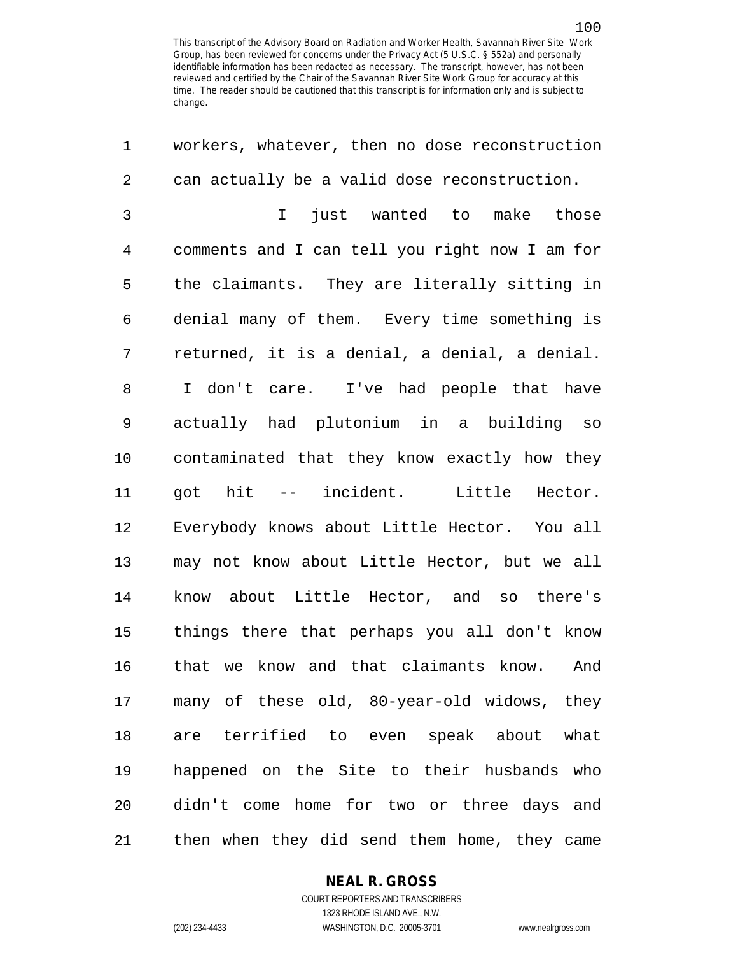1 workers, whatever, then no dose reconstruction 2 can actually be a valid dose reconstruction. 3 I just wanted to make those 4 comments and I can tell you right now I am for 5 the claimants. They are literally sitting in 6 denial many of them. Every time something is

7 returned, it is a denial, a denial, a denial. 8 I don't care. I've had people that have 9 actually had plutonium in a building so 10 contaminated that they know exactly how they 11 got hit -- incident. Little Hector. 12 Everybody knows about Little Hector. You all 13 may not know about Little Hector, but we all 14 know about Little Hector, and so there's 15 things there that perhaps you all don't know 16 that we know and that claimants know. And 17 many of these old, 80-year-old widows, they 18 are terrified to even speak about what 19 happened on the Site to their husbands who 20 didn't come home for two or three days and 21 then when they did send them home, they came

**NEAL R. GROSS**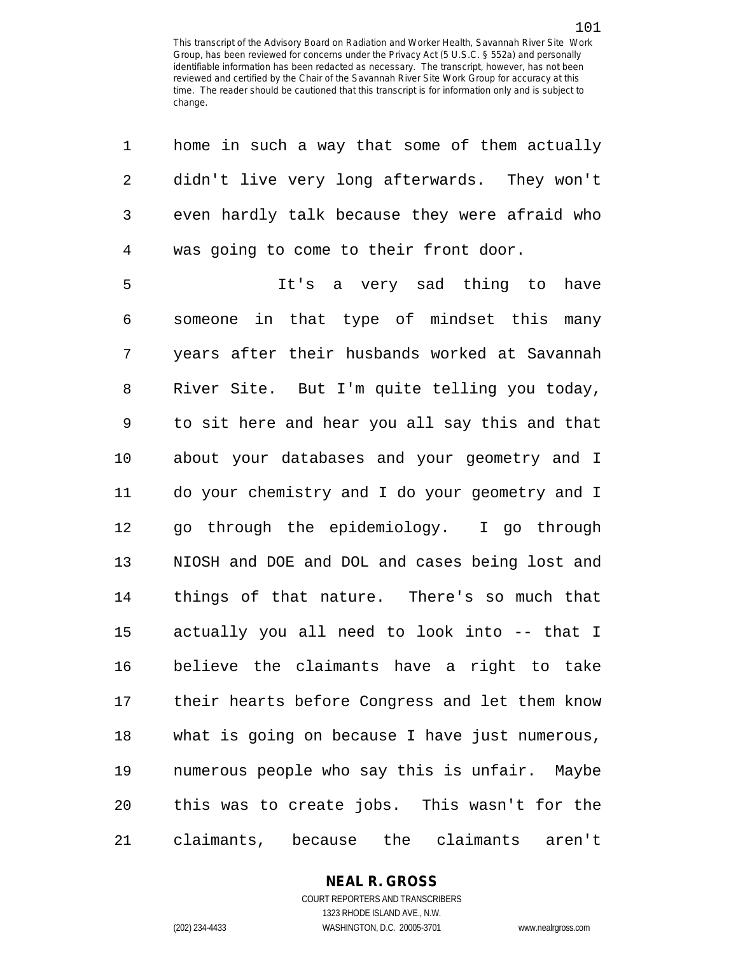| 1              | home in such a way that some of them actually  |
|----------------|------------------------------------------------|
| $\sqrt{2}$     | didn't live very long afterwards. They won't   |
| $\mathfrak{Z}$ | even hardly talk because they were afraid who  |
| $\overline{4}$ | was going to come to their front door.         |
| 5              | It's a very sad thing to<br>have               |
| 6              | someone in that type of mindset this<br>many   |
| 7              | years after their husbands worked at Savannah  |
| 8              | River Site. But I'm quite telling you today,   |
| 9              | to sit here and hear you all say this and that |
| 10             | about your databases and your geometry and I   |
| 11             | do your chemistry and I do your geometry and I |
| 12             | go through the epidemiology. I go through      |
| 13             | NIOSH and DOE and DOL and cases being lost and |
| 14             | things of that nature. There's so much that    |
| 15             | actually you all need to look into -- that I   |
| 16             | believe the claimants have a right to take     |
| 17             | their hearts before Congress and let them know |
| 18             | what is going on because I have just numerous, |
| 19             | numerous people who say this is unfair. Maybe  |
| 20             | this was to create jobs. This wasn't for the   |
| 21             | claimants, because the claimants aren't        |

#### **NEAL R. GROSS** COURT REPORTERS AND TRANSCRIBERS

1323 RHODE ISLAND AVE., N.W. (202) 234-4433 WASHINGTON, D.C. 20005-3701 www.nealrgross.com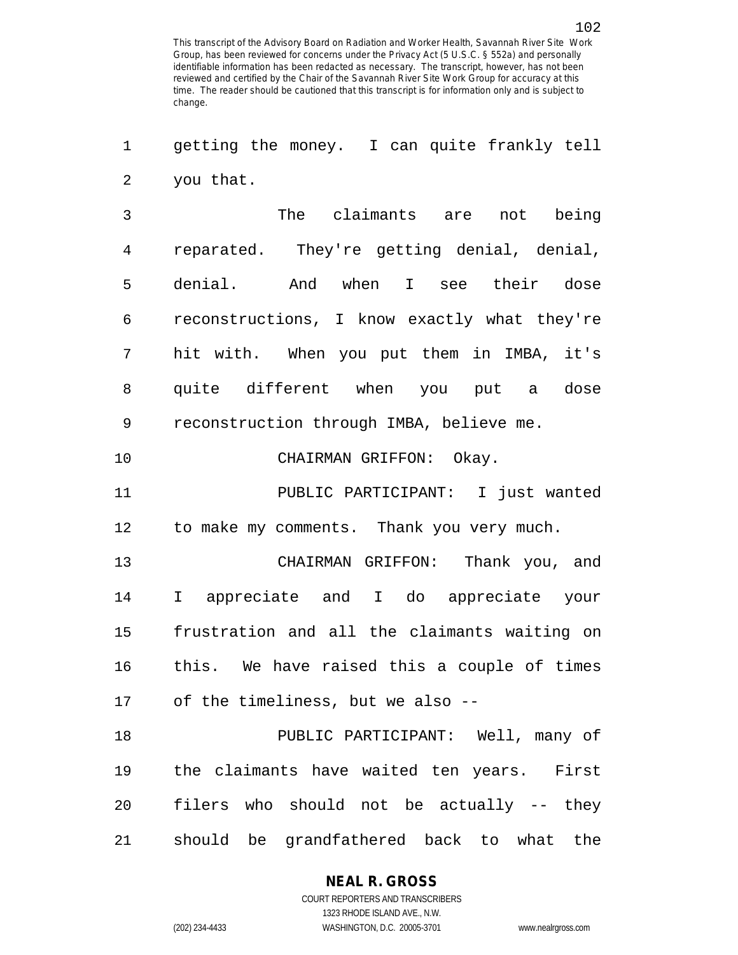1 getting the money. I can quite frankly tell 2 you that.

3 The claimants are not being 4 reparated. They're getting denial, denial, 5 denial. And when I see their dose 6 reconstructions, I know exactly what they're 7 hit with. When you put them in IMBA, it's 8 quite different when you put a dose 9 reconstruction through IMBA, believe me.

10 CHAIRMAN GRIFFON: Okay.

11 PUBLIC PARTICIPANT: I just wanted 12 to make my comments. Thank you very much.

13 CHAIRMAN GRIFFON: Thank you, and 14 I appreciate and I do appreciate your 15 frustration and all the claimants waiting on 16 this. We have raised this a couple of times 17 of the timeliness, but we also --

18 PUBLIC PARTICIPANT: Well, many of 19 the claimants have waited ten years. First 20 filers who should not be actually -- they 21 should be grandfathered back to what the

**NEAL R. GROSS**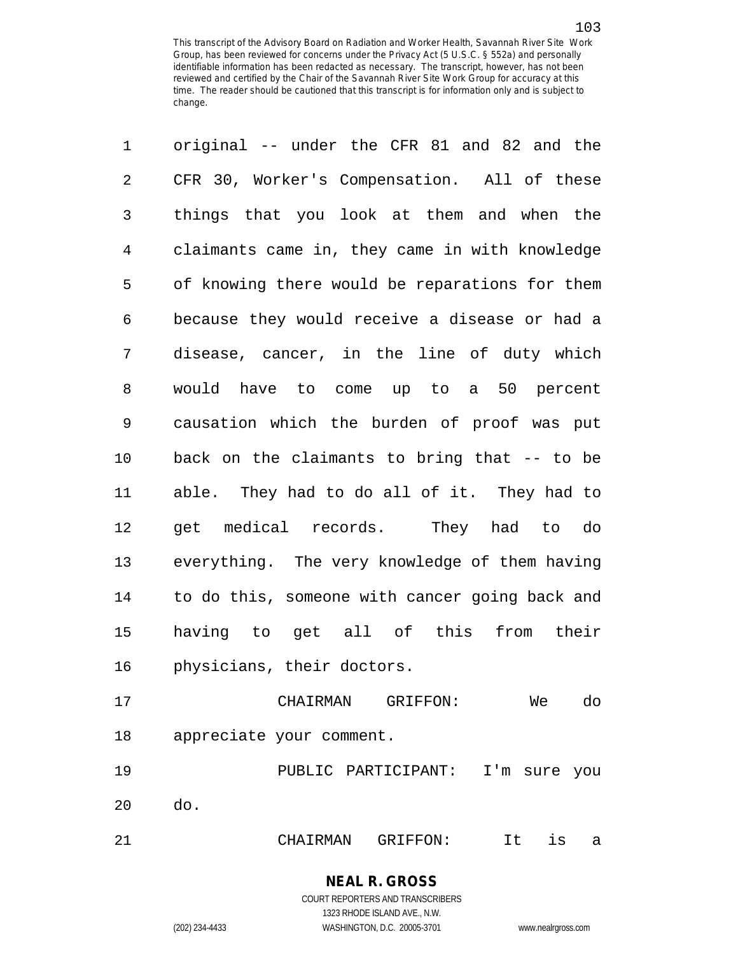1 original -- under the CFR 81 and 82 and the 2 CFR 30, Worker's Compensation. All of these 3 things that you look at them and when the 4 claimants came in, they came in with knowledge 5 of knowing there would be reparations for them 6 because they would receive a disease or had a 7 disease, cancer, in the line of duty which 8 would have to come up to a 50 percent 9 causation which the burden of proof was put 10 back on the claimants to bring that -- to be 11 able. They had to do all of it. They had to 12 get medical records. They had to do 13 everything. The very knowledge of them having 14 to do this, someone with cancer going back and 15 having to get all of this from their 16 physicians, their doctors. 17 CHAIRMAN GRIFFON: We do

18 appreciate your comment.

19 PUBLIC PARTICIPANT: I'm sure you 20 do.

21 CHAIRMAN GRIFFON: It is a

COURT REPORTERS AND TRANSCRIBERS 1323 RHODE ISLAND AVE., N.W.

**NEAL R. GROSS**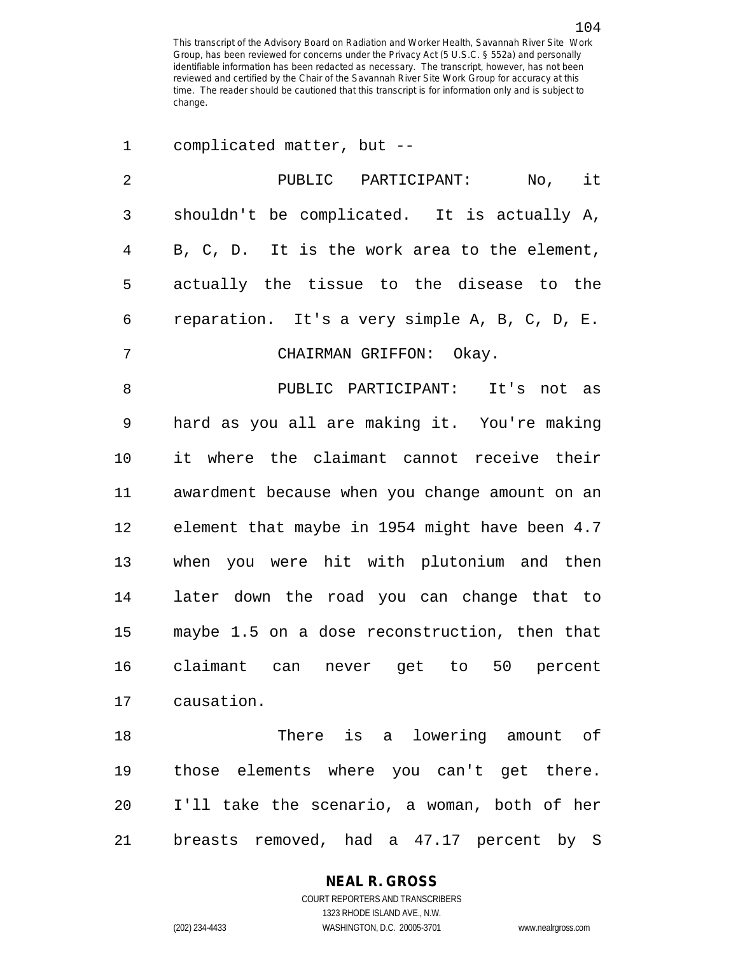1 complicated matter, but --

| $\overline{2}$ | PUBLIC PARTICIPANT:<br>No, it                  |
|----------------|------------------------------------------------|
| 3              | shouldn't be complicated. It is actually A,    |
| 4              | B, C, D. It is the work area to the element,   |
| 5              | actually the tissue to the disease to the      |
| 6              | reparation. It's a very simple A, B, C, D, E.  |
| 7              | CHAIRMAN GRIFFON: Okay.                        |
| 8              | PUBLIC PARTICIPANT: It's not as                |
| 9              | hard as you all are making it. You're making   |
| 10             | it where the claimant cannot receive their     |
| 11             | awardment because when you change amount on an |
| 12             | element that maybe in 1954 might have been 4.7 |
| 13             | when you were hit with plutonium and then      |
| 14             | later down the road you can change that to     |
| 15             | maybe 1.5 on a dose reconstruction, then that  |
| 16             | claimant can<br>never get to 50 percent        |
| 17             | causation.                                     |
| 18             | There is a lowering amount of                  |
| 19             | those elements where you can't get there.      |
| 20             | I'll take the scenario, a woman, both of her   |
| 21             | breasts removed, had a 47.17 percent by S      |

**NEAL R. GROSS**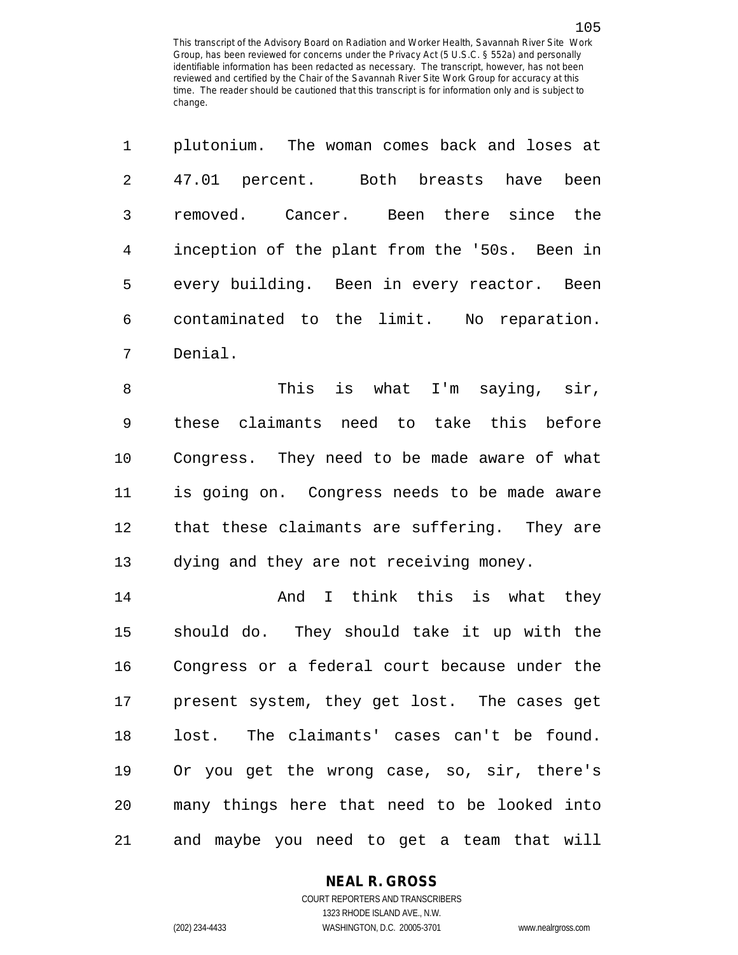|   | plutonium. The woman comes back and loses at  |
|---|-----------------------------------------------|
| 2 | 47.01 percent. Both breasts have been         |
| 3 | removed. Cancer. Been there since the         |
| 4 | inception of the plant from the '50s. Been in |
| 5 | every building. Been in every reactor. Been   |
| 6 | contaminated to the limit. No<br>reparation.  |
|   | Denial.                                       |

8 This is what I'm saying, sir, 9 these claimants need to take this before 10 Congress. They need to be made aware of what 11 is going on. Congress needs to be made aware 12 that these claimants are suffering. They are 13 dying and they are not receiving money.

14 **And I think this is what they** 15 should do. They should take it up with the 16 Congress or a federal court because under the 17 present system, they get lost. The cases get 18 lost. The claimants' cases can't be found. 19 Or you get the wrong case, so, sir, there's 20 many things here that need to be looked into 21 and maybe you need to get a team that will

### **NEAL R. GROSS**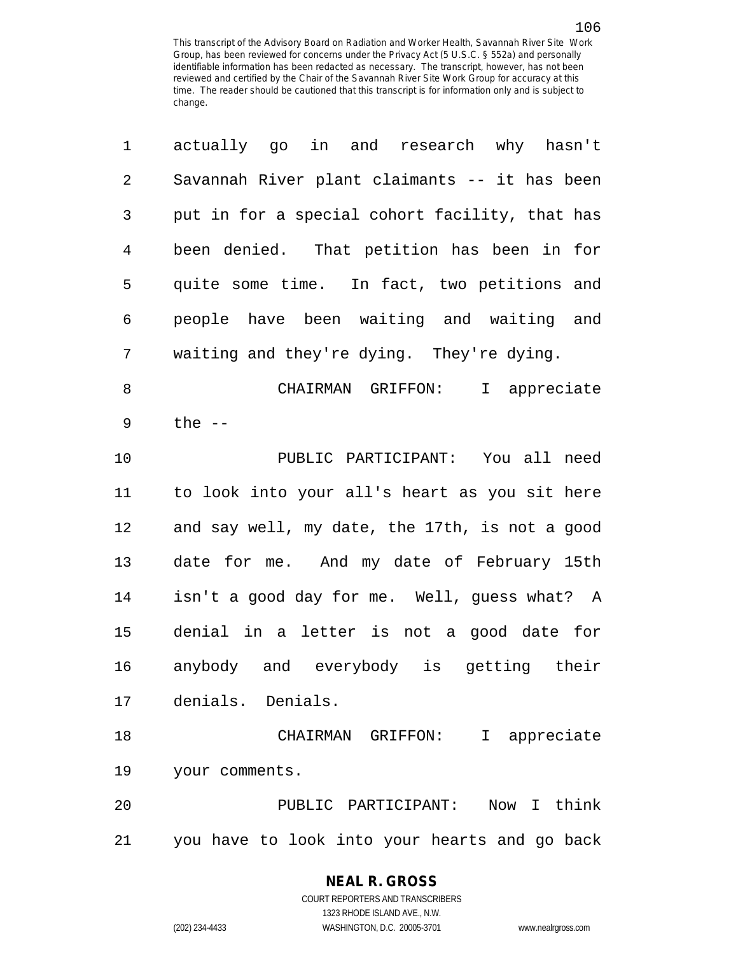| 1              | actually go in and research why hasn't         |
|----------------|------------------------------------------------|
| $\sqrt{2}$     | Savannah River plant claimants -- it has been  |
| 3              | put in for a special cohort facility, that has |
| $\overline{4}$ | been denied. That petition has been in for     |
| 5              | quite some time. In fact, two petitions and    |
| 6              | people have been waiting and waiting and       |
| 7              | waiting and they're dying. They're dying.      |
| 8              | CHAIRMAN GRIFFON:<br>I appreciate              |
| 9              | the $--$                                       |
| 10             | PUBLIC PARTICIPANT: You all need               |
| 11             | to look into your all's heart as you sit here  |
| 12             | and say well, my date, the 17th, is not a good |
| 13             | date for me. And my date of February 15th      |
| 14             | isn't a good day for me. Well, guess what? A   |
| 15             | denial in a letter is not a good date for      |
| 16             | anybody and everybody is getting their         |
| 17             | denials. Denials.                              |
| 18             | CHAIRMAN GRIFFON:<br>I appreciate              |
| 19             | your comments.                                 |
| 20             | Now I think<br>PUBLIC PARTICIPANT:             |
| 21             | you have to look into your hearts and go back  |

## **NEAL R. GROSS**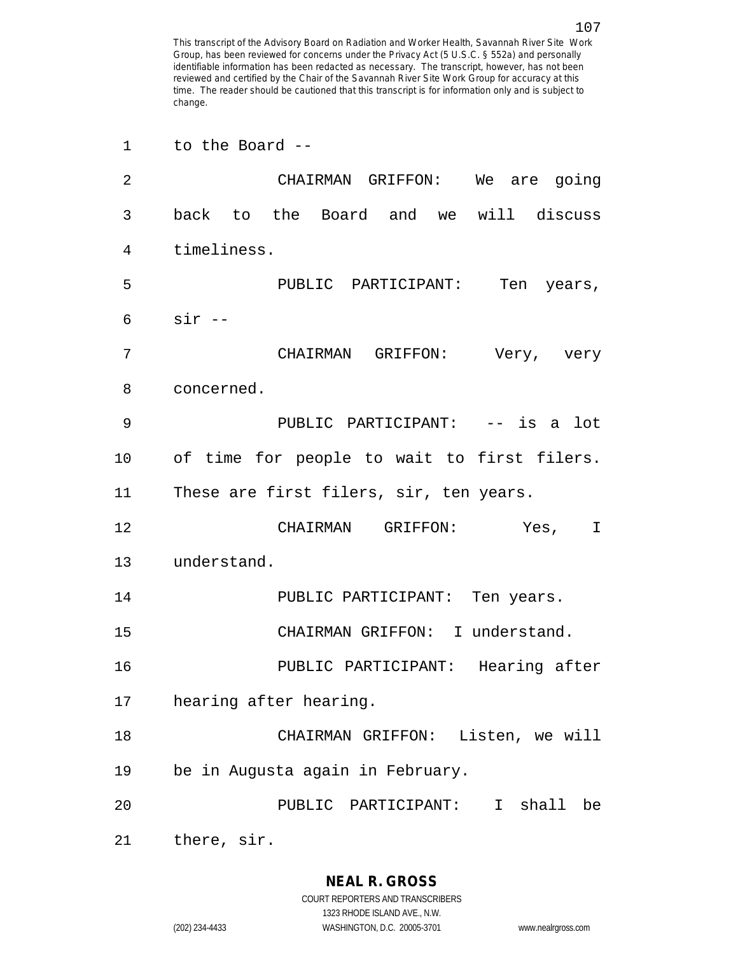1 to the Board -- 2 CHAIRMAN GRIFFON: We are going 3 back to the Board and we will discuss 4 timeliness. 5 PUBLIC PARTICIPANT: Ten years, 6 sir -- 7 CHAIRMAN GRIFFON: Very, very 8 concerned. 9 PUBLIC PARTICIPANT: -- is a lot 10 of time for people to wait to first filers. 11 These are first filers, sir, ten years. 12 CHAIRMAN GRIFFON: Yes, I 13 understand. 14 PUBLIC PARTICIPANT: Ten years. 15 CHAIRMAN GRIFFON: I understand. 16 PUBLIC PARTICIPANT: Hearing after 17 hearing after hearing. 18 CHAIRMAN GRIFFON: Listen, we will 19 be in Augusta again in February. 20 PUBLIC PARTICIPANT: I shall be 21 there, sir.

1323 RHODE ISLAND AVE., N.W.

(202) 234-4433 WASHINGTON, D.C. 20005-3701 www.nealrgross.com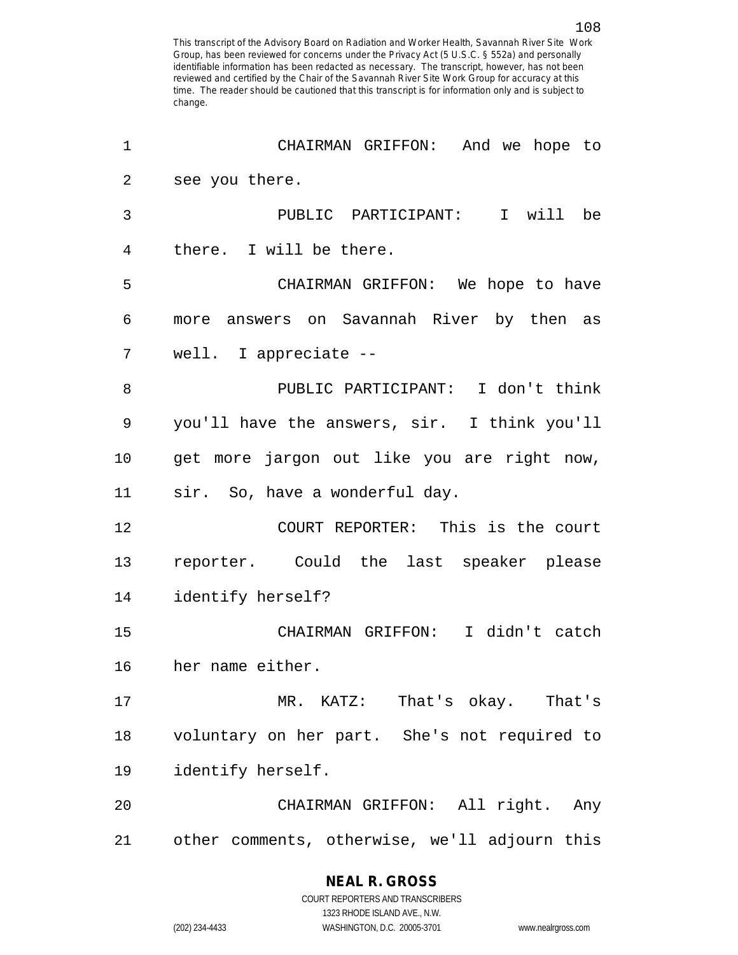| 1              | CHAIRMAN GRIFFON: And we hope to              |
|----------------|-----------------------------------------------|
| $\overline{2}$ | see you there.                                |
| 3              | PUBLIC PARTICIPANT: I will be                 |
| 4              | there. I will be there.                       |
| 5              | CHAIRMAN GRIFFON: We hope to have             |
| 6              | more answers on Savannah River by then as     |
| 7              | well. I appreciate --                         |
| 8              | PUBLIC PARTICIPANT: I don't think             |
| 9              | you'll have the answers, sir. I think you'll  |
| 10             | get more jargon out like you are right now,   |
| 11             | sir. So, have a wonderful day.                |
| 12             | COURT REPORTER: This is the court             |
| 13             | reporter. Could the last speaker please       |
| 14             | identify herself?                             |
| 15             | CHAIRMAN GRIFFON: I didn't catch              |
| 16             | her name either.                              |
| 17             | MR. KATZ: That's okay. That's                 |
| 18             | voluntary on her part. She's not required to  |
| 19             | identify herself.                             |
| 20             | CHAIRMAN GRIFFON: All right. Any              |
| 21             | other comments, otherwise, we'll adjourn this |

# **NEAL R. GROSS**